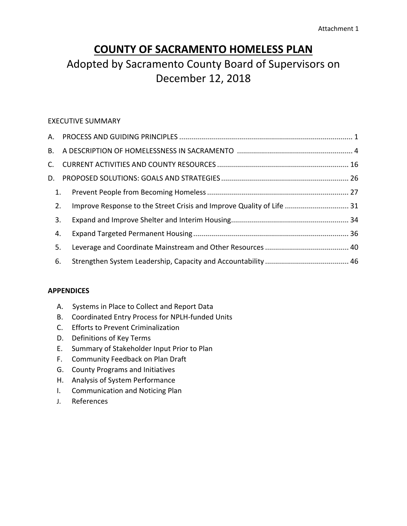# **COUNTY OF SACRAMENTO HOMELESS PLAN**

# Adopted by Sacramento County Board of Supervisors on December 12, 2018

### EXECUTIVE SUMMARY

| 1. |                                                                       |  |
|----|-----------------------------------------------------------------------|--|
| 2. | Improve Response to the Street Crisis and Improve Quality of Life  31 |  |
| 3. |                                                                       |  |
| 4. |                                                                       |  |
| 5. |                                                                       |  |
| 6. |                                                                       |  |
|    |                                                                       |  |

#### **APPENDICES**

- A. Systems in Place to Collect and Report Data
- B. Coordinated Entry Process for NPLH‐funded Units
- C. Efforts to Prevent Criminalization
- D. Definitions of Key Terms
- E. Summary of Stakeholder Input Prior to Plan
- F. Community Feedback on Plan Draft
- G. County Programs and Initiatives
- H. Analysis of System Performance
- I. Communication and Noticing Plan
- J. References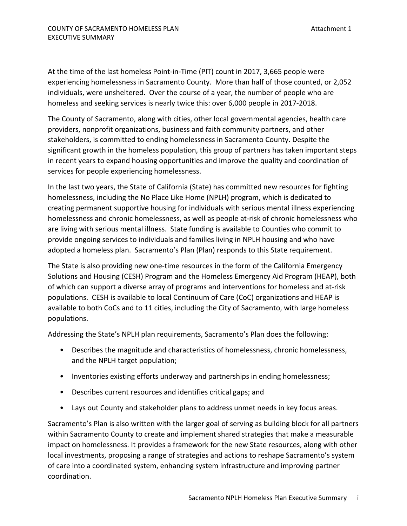At the time of the last homeless Point‐in‐Time (PIT) count in 2017, 3,665 people were experiencing homelessness in Sacramento County. More than half of those counted, or 2,052 individuals, were unsheltered. Over the course of a year, the number of people who are homeless and seeking services is nearly twice this: over 6,000 people in 2017‐2018.

The County of Sacramento, along with cities, other local governmental agencies, health care providers, nonprofit organizations, business and faith community partners, and other stakeholders, is committed to ending homelessness in Sacramento County. Despite the significant growth in the homeless population, this group of partners has taken important steps in recent years to expand housing opportunities and improve the quality and coordination of services for people experiencing homelessness.

In the last two years, the State of California (State) has committed new resources for fighting homelessness, including the No Place Like Home (NPLH) program, which is dedicated to creating permanent supportive housing for individuals with serious mental illness experiencing homelessness and chronic homelessness, as well as people at-risk of chronic homelessness who are living with serious mental illness. State funding is available to Counties who commit to provide ongoing services to individuals and families living in NPLH housing and who have adopted a homeless plan. Sacramento's Plan (Plan) responds to this State requirement.

The State is also providing new one‐time resources in the form of the California Emergency Solutions and Housing (CESH) Program and the Homeless Emergency Aid Program (HEAP), both of which can support a diverse array of programs and interventions for homeless and at‐risk populations. CESH is available to local Continuum of Care (CoC) organizations and HEAP is available to both CoCs and to 11 cities, including the City of Sacramento, with large homeless populations.

Addressing the State's NPLH plan requirements, Sacramento's Plan does the following:

- Describes the magnitude and characteristics of homelessness, chronic homelessness, and the NPLH target population;
- Inventories existing efforts underway and partnerships in ending homelessness;
- Describes current resources and identifies critical gaps; and
- Lays out County and stakeholder plans to address unmet needs in key focus areas.

Sacramento's Plan is also written with the larger goal of serving as building block for all partners within Sacramento County to create and implement shared strategies that make a measurable impact on homelessness. It provides a framework for the new State resources, along with other local investments, proposing a range of strategies and actions to reshape Sacramento's system of care into a coordinated system, enhancing system infrastructure and improving partner coordination.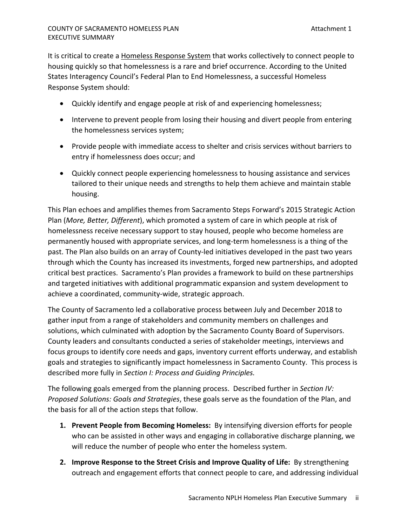It is critical to create a **Homeless Response System** that works collectively to connect people to housing quickly so that homelessness is a rare and brief occurrence. According to the United States Interagency Council's Federal Plan to End Homelessness, a successful Homeless Response System should:

- Quickly identify and engage people at risk of and experiencing homelessness;
- Intervene to prevent people from losing their housing and divert people from entering the homelessness services system;
- Provide people with immediate access to shelter and crisis services without barriers to entry if homelessness does occur; and
- Quickly connect people experiencing homelessness to housing assistance and services tailored to their unique needs and strengths to help them achieve and maintain stable housing.

This Plan echoes and amplifies themes from Sacramento Steps Forward's 2015 Strategic Action Plan (*More, Better, Different*), which promoted a system of care in which people at risk of homelessness receive necessary support to stay housed, people who become homeless are permanently housed with appropriate services, and long‐term homelessness is a thing of the past. The Plan also builds on an array of County-led initiatives developed in the past two years through which the County has increased its investments, forged new partnerships, and adopted critical best practices. Sacramento's Plan provides a framework to build on these partnerships and targeted initiatives with additional programmatic expansion and system development to achieve a coordinated, community‐wide, strategic approach.

The County of Sacramento led a collaborative process between July and December 2018 to gather input from a range of stakeholders and community members on challenges and solutions, which culminated with adoption by the Sacramento County Board of Supervisors. County leaders and consultants conducted a series of stakeholder meetings, interviews and focus groups to identify core needs and gaps, inventory current efforts underway, and establish goals and strategies to significantly impact homelessness in Sacramento County. This process is described more fully in *Section I: Process and Guiding Principles.*

The following goals emerged from the planning process. Described further in *Section IV: Proposed Solutions: Goals and Strategies*, these goals serve as the foundation of the Plan, and the basis for all of the action steps that follow.

- **1. Prevent People from Becoming Homeless:** By intensifying diversion efforts for people who can be assisted in other ways and engaging in collaborative discharge planning, we will reduce the number of people who enter the homeless system.
- **2. Improve Response to the Street Crisis and Improve Quality of Life:** By strengthening outreach and engagement efforts that connect people to care, and addressing individual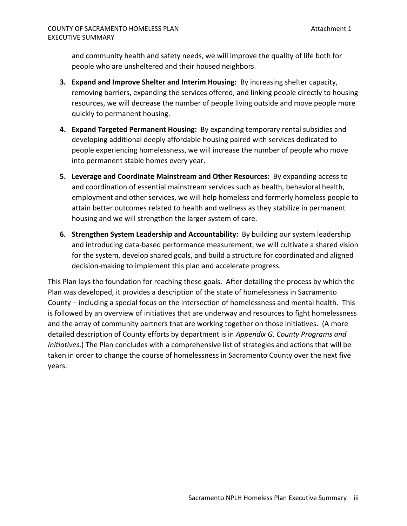and community health and safety needs, we will improve the quality of life both for people who are unsheltered and their housed neighbors.

- **3. Expand and Improve Shelter and Interim Housing:** By increasing shelter capacity, removing barriers, expanding the services offered, and linking people directly to housing resources, we will decrease the number of people living outside and move people more quickly to permanent housing.
- **4. Expand Targeted Permanent Housing:** By expanding temporary rental subsidies and developing additional deeply affordable housing paired with services dedicated to people experiencing homelessness, we will increase the number of people who move into permanent stable homes every year.
- **5. Leverage and Coordinate Mainstream and Other Resources:** By expanding access to and coordination of essential mainstream services such as health, behavioral health, employment and other services, we will help homeless and formerly homeless people to attain better outcomes related to health and wellness as they stabilize in permanent housing and we will strengthen the larger system of care.
- **6. Strengthen System Leadership and Accountability:** By building our system leadership and introducing data‐based performance measurement, we will cultivate a shared vision for the system, develop shared goals, and build a structure for coordinated and aligned decision‐making to implement this plan and accelerate progress.

This Plan lays the foundation for reaching these goals. After detailing the process by which the Plan was developed, it provides a description of the state of homelessness in Sacramento County – including a special focus on the intersection of homelessness and mental health. This is followed by an overview of initiatives that are underway and resources to fight homelessness and the array of community partners that are working together on those initiatives. (A more detailed description of County efforts by department is in *Appendix G. County Programs and Initiatives*.) The Plan concludes with a comprehensive list of strategies and actions that will be taken in order to change the course of homelessness in Sacramento County over the next five years.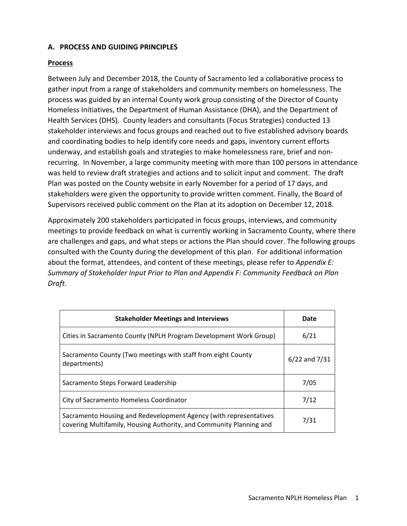### **A. PROCESS AND GUIDING PRINCIPLES**

#### **Process**

Between July and December 2018, the County of Sacramento led a collaborative process to gather input from a range of stakeholders and community members on homelessness. The process was guided by an internal County work group consisting of the Director of County Homeless Initiatives, the Department of Human Assistance (DHA), and the Department of Health Services (DHS). County leaders and consultants (Focus Strategies) conducted 13 stakeholder interviews and focus groups and reached out to five established advisory boards and coordinating bodies to help identify core needs and gaps, inventory current efforts underway, and establish goals and strategies to make homelessness rare, brief and non‐ recurring. In November, a large community meeting with more than 100 persons in attendance was held to review draft strategies and actions and to solicit input and comment. The draft Plan was posted on the County website in early November for a period of 17 days, and stakeholders were given the opportunity to provide written comment. Finally, the Board of Supervisors received public comment on the Plan at its adoption on December 12, 2018.

Approximately 200 stakeholders participated in focus groups, interviews, and community meetings to provide feedback on what is currently working in Sacramento County, where there are challenges and gaps, and what steps or actions the Plan should cover. The following groups consulted with the County during the development of this plan. For additional information about the format, attendees, and content of these meetings, please refer to *Appendix E: Summary of Stakeholder Input Prior to Plan and Appendix F: Community Feedback on Plan Draft*.

| <b>Stakeholder Meetings and Interviews</b>                                                                                               | Date              |
|------------------------------------------------------------------------------------------------------------------------------------------|-------------------|
| Cities in Sacramento County (NPLH Program Development Work Group)                                                                        | 6/21              |
| Sacramento County (Two meetings with staff from eight County<br>departments)                                                             | $6/22$ and $7/31$ |
| Sacramento Steps Forward Leadership                                                                                                      | 7/05              |
| City of Sacramento Homeless Coordinator                                                                                                  | 7/12              |
| Sacramento Housing and Redevelopment Agency (with representatives<br>covering Multifamily, Housing Authority, and Community Planning and | 7/31              |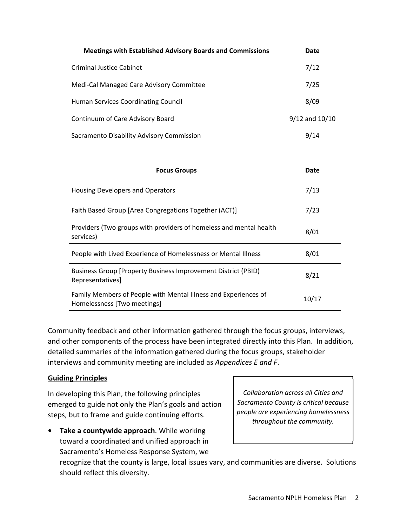| <b>Meetings with Established Advisory Boards and Commissions</b> | Date               |
|------------------------------------------------------------------|--------------------|
| Criminal Justice Cabinet                                         | 7/12               |
| Medi-Cal Managed Care Advisory Committee                         | 7/25               |
| Human Services Coordinating Council                              | 8/09               |
| Continuum of Care Advisory Board                                 | $9/12$ and $10/10$ |
| Sacramento Disability Advisory Commission                        | 9/14               |

| <b>Focus Groups</b>                                                                            | Date  |
|------------------------------------------------------------------------------------------------|-------|
| Housing Developers and Operators                                                               | 7/13  |
| Faith Based Group [Area Congregations Together (ACT)]                                          | 7/23  |
| Providers (Two groups with providers of homeless and mental health<br>services)                | 8/01  |
| People with Lived Experience of Homelessness or Mental Illness                                 | 8/01  |
| Business Group [Property Business Improvement District (PBID)<br>Representatives]              | 8/21  |
| Family Members of People with Mental Illness and Experiences of<br>Homelessness [Two meetings] | 10/17 |

Community feedback and other information gathered through the focus groups, interviews, and other components of the process have been integrated directly into this Plan. In addition, detailed summaries of the information gathered during the focus groups, stakeholder interviews and community meeting are included as *Appendices E and F*.

#### **Guiding Principles**

In developing this Plan, the following principles emerged to guide not only the Plan's goals and action steps, but to frame and guide continuing efforts.

**• Take a countywide approach**. While working toward a coordinated and unified approach in Sacramento's Homeless Response System, we

*Collaboration across all Cities and Sacramento County is critical because people are experiencing homelessness throughout the community.*

recognize that the county is large, local issues vary, and communities are diverse. Solutions should reflect this diversity.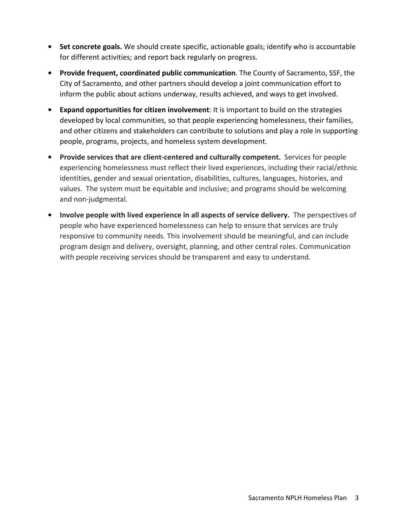- **• Set concrete goals.** We should create specific, actionable goals; identify who is accountable for different activities; and report back regularly on progress.
- **• Provide frequent, coordinated public communication**. The County of Sacramento, SSF, the City of Sacramento, and other partners should develop a joint communication effort to inform the public about actions underway, results achieved, and ways to get involved.
- **• Expand opportunities for citizen involvement**: It is important to build on the strategies developed by local communities, so that people experiencing homelessness, their families, and other citizens and stakeholders can contribute to solutions and play a role in supporting people, programs, projects, and homeless system development.
- **• Provide services that are client-centered and culturally competent.** Services for people experiencing homelessness must reflect their lived experiences, including their racial/ethnic identities, gender and sexual orientation, disabilities, cultures, languages, histories, and values. The system must be equitable and inclusive; and programs should be welcoming and non‐judgmental.
- **• Involve people with lived experience in all aspects of service delivery.**  The perspectives of people who have experienced homelessness can help to ensure that services are truly responsive to community needs. This involvement should be meaningful, and can include program design and delivery, oversight, planning, and other central roles. Communication with people receiving services should be transparent and easy to understand.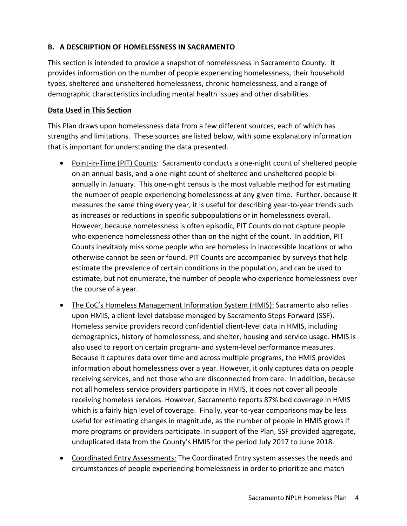## **B. A DESCRIPTION OF HOMELESSNESS IN SACRAMENTO**

This section is intended to provide a snapshot of homelessness in Sacramento County. It provides information on the number of people experiencing homelessness, their household types, sheltered and unsheltered homelessness, chronic homelessness, and a range of demographic characteristics including mental health issues and other disabilities.

### **Data Used in This Section**

This Plan draws upon homelessness data from a few different sources, each of which has strengths and limitations. These sources are listed below, with some explanatory information that is important for understanding the data presented.

- Point-in-Time (PIT) Counts: Sacramento conducts a one-night count of sheltered people on an annual basis, and a one‐night count of sheltered and unsheltered people bi‐ annually in January. This one‐night census is the most valuable method for estimating the number of people experiencing homelessness at any given time. Further, because it measures the same thing every year, it is useful for describing year-to-year trends such as increases or reductions in specific subpopulations or in homelessness overall. However, because homelessness is often episodic, PIT Counts do not capture people who experience homelessness other than on the night of the count. In addition, PIT Counts inevitably miss some people who are homeless in inaccessible locations or who otherwise cannot be seen or found. PIT Counts are accompanied by surveys that help estimate the prevalence of certain conditions in the population, and can be used to estimate, but not enumerate, the number of people who experience homelessness over the course of a year.
- The CoC's Homeless Management Information System (HMIS): Sacramento also relies upon HMIS, a client‐level database managed by Sacramento Steps Forward (SSF). Homeless service providers record confidential client‐level data in HMIS, including demographics, history of homelessness, and shelter, housing and service usage. HMIS is also used to report on certain program‐ and system‐level performance measures. Because it captures data over time and across multiple programs, the HMIS provides information about homelessness over a year. However, it only captures data on people receiving services, and not those who are disconnected from care. In addition, because not all homeless service providers participate in HMIS, it does not cover all people receiving homeless services. However, Sacramento reports 87% bed coverage in HMIS which is a fairly high level of coverage. Finally, year-to-year comparisons may be less useful for estimating changes in magnitude, as the number of people in HMIS grows if more programs or providers participate. In support of the Plan, SSF provided aggregate, unduplicated data from the County's HMIS for the period July 2017 to June 2018.
- Coordinated Entry Assessments: The Coordinated Entry system assesses the needs and circumstances of people experiencing homelessness in order to prioritize and match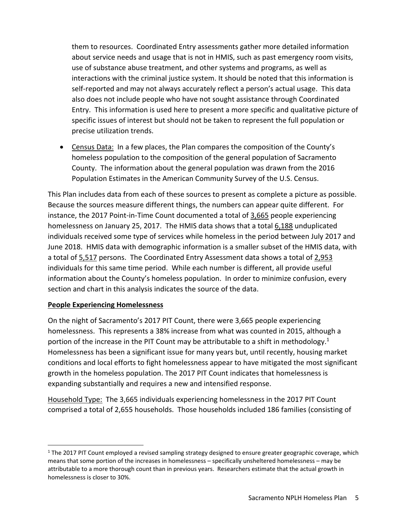them to resources. Coordinated Entry assessments gather more detailed information about service needs and usage that is not in HMIS, such as past emergency room visits, use of substance abuse treatment, and other systems and programs, as well as interactions with the criminal justice system. It should be noted that this information is self‐reported and may not always accurately reflect a person's actual usage. This data also does not include people who have not sought assistance through Coordinated Entry. This information is used here to present a more specific and qualitative picture of specific issues of interest but should not be taken to represent the full population or precise utilization trends.

 Census Data: In a few places, the Plan compares the composition of the County's homeless population to the composition of the general population of Sacramento County. The information about the general population was drawn from the 2016 Population Estimates in the American Community Survey of the U.S. Census.

This Plan includes data from each of these sources to present as complete a picture as possible. Because the sources measure different things, the numbers can appear quite different. For instance, the 2017 Point-in-Time Count documented a total of 3,665 people experiencing homelessness on January 25, 2017. The HMIS data shows that a total 6,188 unduplicated individuals received some type of services while homeless in the period between July 2017 and June 2018. HMIS data with demographic information is a smaller subset of the HMIS data, with a total of 5,517 persons. The Coordinated Entry Assessment data shows a total of 2,953 individuals for this same time period. While each number is different, all provide useful information about the County's homeless population. In order to minimize confusion, every section and chart in this analysis indicates the source of the data.

## **People Experiencing Homelessness**

On the night of Sacramento's 2017 PIT Count, there were 3,665 people experiencing homelessness. This represents a 38% increase from what was counted in 2015, although a portion of the increase in the PIT Count may be attributable to a shift in methodology.<sup>1</sup> Homelessness has been a significant issue for many years but, until recently, housing market conditions and local efforts to fight homelessness appear to have mitigated the most significant growth in the homeless population. The 2017 PIT Count indicates that homelessness is expanding substantially and requires a new and intensified response.

Household Type: The 3,665 individuals experiencing homelessness in the 2017 PIT Count comprised a total of 2,655 households. Those households included 186 families (consisting of

 $1$  The 2017 PIT Count employed a revised sampling strategy designed to ensure greater geographic coverage, which means that some portion of the increases in homelessness – specifically unsheltered homelessness – may be attributable to a more thorough count than in previous years. Researchers estimate that the actual growth in homelessness is closer to 30%.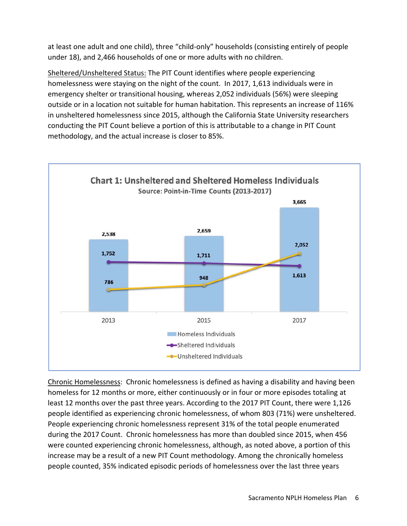at least one adult and one child), three "child‐only" households (consisting entirely of people under 18), and 2,466 households of one or more adults with no children.

Sheltered/Unsheltered Status: The PIT Count identifies where people experiencing homelessness were staying on the night of the count. In 2017, 1,613 individuals were in emergency shelter or transitional housing, whereas 2,052 individuals (56%) were sleeping outside or in a location not suitable for human habitation. This represents an increase of 116% in unsheltered homelessness since 2015, although the California State University researchers conducting the PIT Count believe a portion of this is attributable to a change in PIT Count methodology, and the actual increase is closer to 85%.



Chronic Homelessness: Chronic homelessness is defined as having a disability and having been homeless for 12 months or more, either continuously or in four or more episodes totaling at least 12 months over the past three years. According to the 2017 PIT Count, there were 1,126 people identified as experiencing chronic homelessness, of whom 803 (71%) were unsheltered. People experiencing chronic homelessness represent 31% of the total people enumerated during the 2017 Count. Chronic homelessness has more than doubled since 2015, when 456 were counted experiencing chronic homelessness, although, as noted above, a portion of this increase may be a result of a new PIT Count methodology. Among the chronically homeless people counted, 35% indicated episodic periods of homelessness over the last three years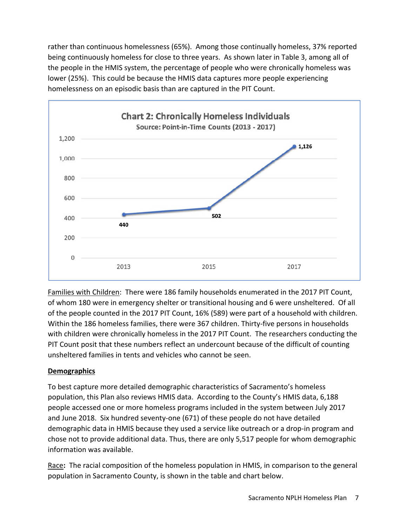rather than continuous homelessness (65%). Among those continually homeless, 37% reported being continuously homeless for close to three years. As shown later in Table 3, among all of the people in the HMIS system, the percentage of people who were chronically homeless was lower (25%). This could be because the HMIS data captures more people experiencing homelessness on an episodic basis than are captured in the PIT Count.



Families with Children: There were 186 family households enumerated in the 2017 PIT Count, of whom 180 were in emergency shelter or transitional housing and 6 were unsheltered. Of all of the people counted in the 2017 PIT Count, 16% (589) were part of a household with children. Within the 186 homeless families, there were 367 children. Thirty-five persons in households with children were chronically homeless in the 2017 PIT Count. The researchers conducting the PIT Count posit that these numbers reflect an undercount because of the difficult of counting unsheltered families in tents and vehicles who cannot be seen.

## **Demographics**

To best capture more detailed demographic characteristics of Sacramento's homeless population, this Plan also reviews HMIS data. According to the County's HMIS data, 6,188 people accessed one or more homeless programs included in the system between July 2017 and June 2018. Six hundred seventy‐one (671) of these people do not have detailed demographic data in HMIS because they used a service like outreach or a drop‐in program and chose not to provide additional data. Thus, there are only 5,517 people for whom demographic information was available.

Race**:**  The racial composition of the homeless population in HMIS, in comparison to the general population in Sacramento County, is shown in the table and chart below.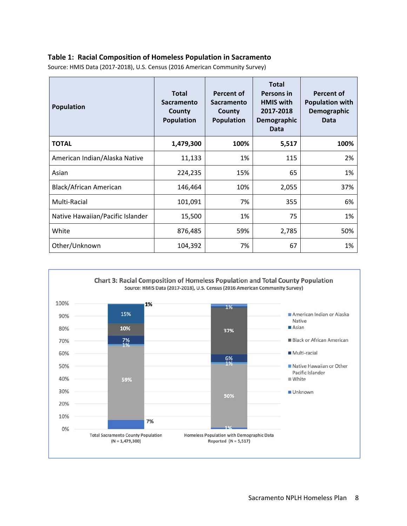### **Table 1: Racial Composition of Homeless Population in Sacramento**

| <b>Population</b>                | <b>Total</b><br><b>Sacramento</b><br>County<br><b>Population</b> | Percent of<br><b>Sacramento</b><br>County<br><b>Population</b> | <b>Total</b><br>Persons in<br><b>HMIS with</b><br>2017-2018<br>Demographic<br><b>Data</b> | Percent of<br><b>Population with</b><br>Demographic<br><b>Data</b> |
|----------------------------------|------------------------------------------------------------------|----------------------------------------------------------------|-------------------------------------------------------------------------------------------|--------------------------------------------------------------------|
| <b>TOTAL</b>                     | 1,479,300                                                        | 100%                                                           | 5,517                                                                                     | 100%                                                               |
| American Indian/Alaska Native    | 11,133                                                           | 1%                                                             | 115                                                                                       | 2%                                                                 |
| Asian                            | 224,235                                                          | 15%                                                            | 65                                                                                        | 1%                                                                 |
| Black/African American           | 146,464                                                          | 10%                                                            | 2,055                                                                                     | 37%                                                                |
| Multi-Racial                     | 101,091                                                          | 7%                                                             | 355                                                                                       | 6%                                                                 |
| Native Hawaiian/Pacific Islander | 15,500                                                           | 1%                                                             | 75                                                                                        | 1%                                                                 |
| White                            | 876,485                                                          | 59%                                                            | 2,785                                                                                     | 50%                                                                |
| Other/Unknown                    | 104,392                                                          | 7%                                                             | 67                                                                                        | 1%                                                                 |

Source: HMIS Data (2017‐2018), U.S. Census (2016 American Community Survey)

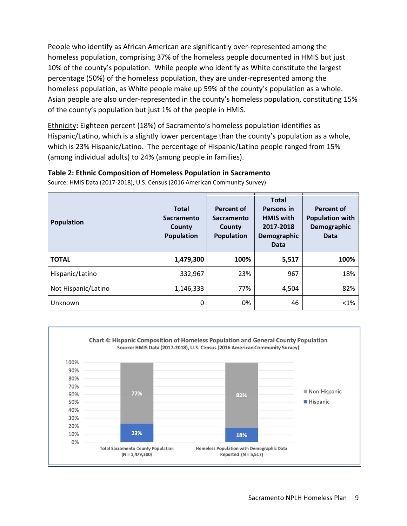People who identify as African American are significantly over‐represented among the homeless population, comprising 37% of the homeless people documented in HMIS but just 10% of the county's population. While people who identify as White constitute the largest percentage (50%) of the homeless population, they are under‐represented among the homeless population, as White people make up 59% of the county's population as a whole. Asian people are also under-represented in the county's homeless population, constituting 15% of the county's population but just 1% of the people in HMIS.

Ethnicity**:** Eighteen percent (18%) of Sacramento's homeless population identifies as Hispanic/Latino, which is a slightly lower percentage than the county's population as a whole, which is 23% Hispanic/Latino. The percentage of Hispanic/Latino people ranged from 15% (among individual adults) to 24% (among people in families).

### **Table 2: Ethnic Composition of Homeless Population in Sacramento**

Source: HMIS Data (2017‐2018), U.S. Census (2016 American Community Survey)

| <b>Population</b>   | <b>Total</b><br><b>Sacramento</b><br>County<br><b>Population</b> | <b>Percent of</b><br><b>Sacramento</b><br>County<br>Population | <b>Total</b><br><b>Persons in</b><br><b>HMIS with</b><br>2017-2018<br>Demographic<br>Data | <b>Percent of</b><br><b>Population with</b><br>Demographic<br>Data |
|---------------------|------------------------------------------------------------------|----------------------------------------------------------------|-------------------------------------------------------------------------------------------|--------------------------------------------------------------------|
| <b>TOTAL</b>        | 1,479,300                                                        | 100%                                                           | 5,517                                                                                     | 100%                                                               |
| Hispanic/Latino     | 332,967                                                          | 23%                                                            | 967                                                                                       | 18%                                                                |
| Not Hispanic/Latino | 1,146,333                                                        | 77%                                                            | 4,504                                                                                     | 82%                                                                |
| Unknown             | 0                                                                | 0%                                                             | 46                                                                                        | $< 1\%$                                                            |

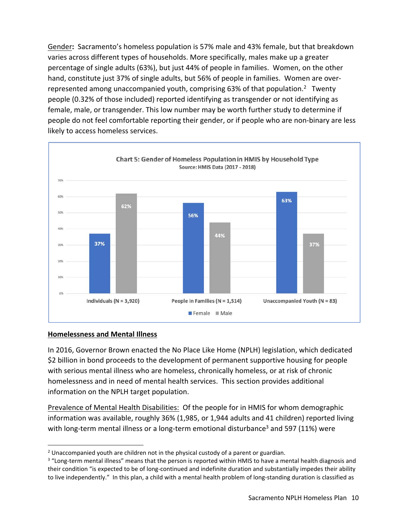Gender**:** Sacramento's homeless population is 57% male and 43% female, but that breakdown varies across different types of households. More specifically, males make up a greater percentage of single adults (63%), but just 44% of people in families. Women, on the other hand, constitute just 37% of single adults, but 56% of people in families. Women are over‐ represented among unaccompanied youth, comprising 63% of that population.<sup>2</sup> Twenty people (0.32% of those included) reported identifying as transgender or not identifying as female, male, or transgender. This low number may be worth further study to determine if people do not feel comfortable reporting their gender, or if people who are non‐binary are less likely to access homeless services.



#### **Homelessness and Mental Illness**

In 2016, Governor Brown enacted the No Place Like Home (NPLH) legislation, which dedicated \$2 billion in bond proceeds to the development of permanent supportive housing for people with serious mental illness who are homeless, chronically homeless, or at risk of chronic homelessness and in need of mental health services. This section provides additional information on the NPLH target population.

Prevalence of Mental Health Disabilities: Of the people for in HMIS for whom demographic information was available, roughly 36% (1,985, or 1,944 adults and 41 children) reported living with long-term mental illness or a long-term emotional disturbance<sup>3</sup> and 597 (11%) were

 2 Unaccompanied youth are children not in the physical custody of a parent or guardian.

<sup>&</sup>lt;sup>3</sup> "Long-term mental illness" means that the person is reported within HMIS to have a mental health diagnosis and their condition "is expected to be of long-continued and indefinite duration and substantially impedes their ability to live independently." In this plan, a child with a mental health problem of long-standing duration is classified as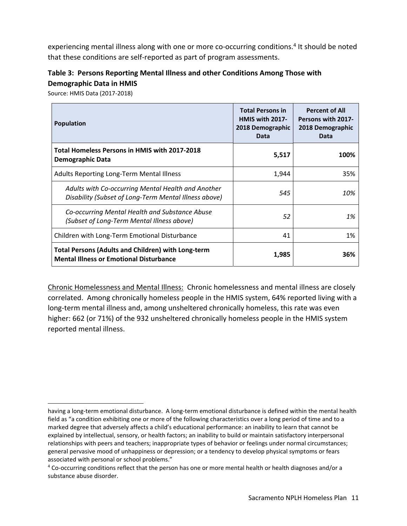experiencing mental illness along with one or more co-occurring conditions.<sup>4</sup> It should be noted that these conditions are self‐reported as part of program assessments.

# **Table 3: Persons Reporting Mental Illness and other Conditions Among Those with Demographic Data in HMIS**

Source: HMIS Data (2017‐2018)

| <b>Population</b>                                                                                           | <b>Total Persons in</b><br>HMIS with 2017-<br>2018 Demographic<br>Data | <b>Percent of All</b><br><b>Persons with 2017-</b><br>2018 Demographic<br><b>Data</b> |
|-------------------------------------------------------------------------------------------------------------|------------------------------------------------------------------------|---------------------------------------------------------------------------------------|
| <b>Total Homeless Persons in HMIS with 2017-2018</b><br><b>Demographic Data</b>                             | 5,517                                                                  | 100%                                                                                  |
| <b>Adults Reporting Long-Term Mental Illness</b>                                                            | 1,944                                                                  | 35%                                                                                   |
| Adults with Co-occurring Mental Health and Another<br>Disability (Subset of Long-Term Mental Illness above) | 545                                                                    | 10%                                                                                   |
| Co-occurring Mental Health and Substance Abuse<br>(Subset of Long-Term Mental Illness above)                | 52                                                                     | 1%                                                                                    |
| Children with Long-Term Emotional Disturbance                                                               | 41                                                                     | 1%                                                                                    |
| <b>Total Persons (Adults and Children) with Long-term</b><br><b>Mental Illness or Emotional Disturbance</b> | 1,985                                                                  | 36%                                                                                   |

Chronic Homelessness and Mental Illness: Chronic homelessness and mental illness are closely correlated. Among chronically homeless people in the HMIS system, 64% reported living with a long-term mental illness and, among unsheltered chronically homeless, this rate was even higher: 662 (or 71%) of the 932 unsheltered chronically homeless people in the HMIS system reported mental illness.

having a long‐term emotional disturbance. A long‐term emotional disturbance is defined within the mental health field as "a condition exhibiting one or more of the following characteristics over a long period of time and to a marked degree that adversely affects a child's educational performance: an inability to learn that cannot be explained by intellectual, sensory, or health factors; an inability to build or maintain satisfactory interpersonal relationships with peers and teachers; inappropriate types of behavior or feelings under normal circumstances; general pervasive mood of unhappiness or depression; or a tendency to develop physical symptoms or fears associated with personal or school problems."

<sup>&</sup>lt;sup>4</sup> Co-occurring conditions reflect that the person has one or more mental health or health diagnoses and/or a substance abuse disorder.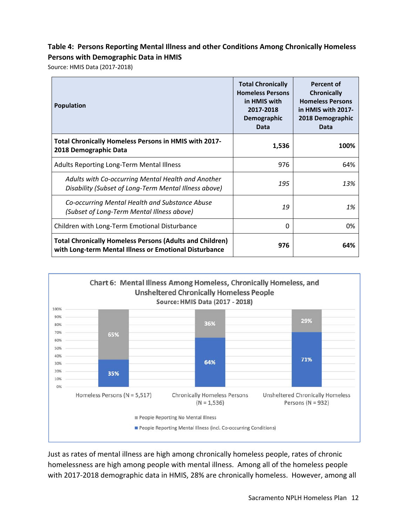## **Table 4: Persons Reporting Mental Illness and other Conditions Among Chronically Homeless Persons with Demographic Data in HMIS**

Source: HMIS Data (2017‐2018)

| <b>Population</b>                                                                                                         | <b>Total Chronically</b><br><b>Homeless Persons</b><br>in HMIS with<br>2017-2018<br>Demographic<br>Data | <b>Percent of</b><br><b>Chronically</b><br><b>Homeless Persons</b><br>in HMIS with 2017-<br>2018 Demographic<br>Data |
|---------------------------------------------------------------------------------------------------------------------------|---------------------------------------------------------------------------------------------------------|----------------------------------------------------------------------------------------------------------------------|
| Total Chronically Homeless Persons in HMIS with 2017-<br>2018 Demographic Data                                            | 1,536                                                                                                   | 100%                                                                                                                 |
| <b>Adults Reporting Long-Term Mental Illness</b>                                                                          | 976                                                                                                     | 64%                                                                                                                  |
| Adults with Co-occurring Mental Health and Another<br>Disability (Subset of Long-Term Mental Illness above)               | 195                                                                                                     | 13%                                                                                                                  |
| Co-occurring Mental Health and Substance Abuse<br>(Subset of Long-Term Mental Illness above)                              | 19                                                                                                      | 1%                                                                                                                   |
| Children with Long-Term Emotional Disturbance                                                                             | 0                                                                                                       | 0%                                                                                                                   |
| <b>Total Chronically Homeless Persons (Adults and Children)</b><br>with Long-term Mental Illness or Emotional Disturbance | 976                                                                                                     | 64%                                                                                                                  |



Just as rates of mental illness are high among chronically homeless people, rates of chronic homelessness are high among people with mental illness. Among all of the homeless people with 2017-2018 demographic data in HMIS, 28% are chronically homeless. However, among all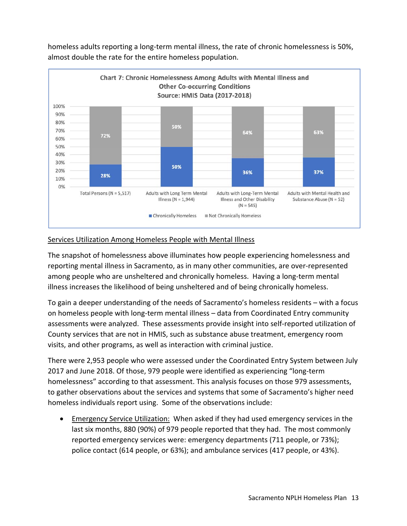

homeless adults reporting a long-term mental illness, the rate of chronic homelessness is 50%, almost double the rate for the entire homeless population.

### Services Utilization Among Homeless People with Mental Illness

The snapshot of homelessness above illuminates how people experiencing homelessness and reporting mental illness in Sacramento, as in many other communities, are over‐represented among people who are unsheltered and chronically homeless. Having a long-term mental illness increases the likelihood of being unsheltered and of being chronically homeless.

To gain a deeper understanding of the needs of Sacramento's homeless residents – with a focus on homeless people with long‐term mental illness – data from Coordinated Entry community assessments were analyzed. These assessments provide insight into self‐reported utilization of County services that are not in HMIS, such as substance abuse treatment, emergency room visits, and other programs, as well as interaction with criminal justice.

There were 2,953 people who were assessed under the Coordinated Entry System between July 2017 and June 2018. Of those, 979 people were identified as experiencing "long‐term homelessness" according to that assessment. This analysis focuses on those 979 assessments, to gather observations about the services and systems that some of Sacramento's higher need homeless individuals report using. Some of the observations include:

 Emergency Service Utilization: When asked if they had used emergency services in the last six months, 880 (90%) of 979 people reported that they had. The most commonly reported emergency services were: emergency departments (711 people, or 73%); police contact (614 people, or 63%); and ambulance services (417 people, or 43%).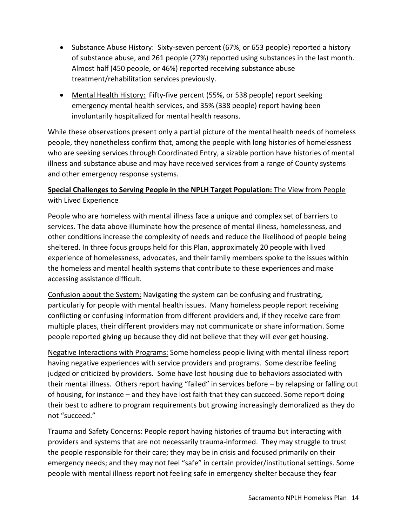- Substance Abuse History: Sixty-seven percent (67%, or 653 people) reported a history of substance abuse, and 261 people (27%) reported using substances in the last month. Almost half (450 people, or 46%) reported receiving substance abuse treatment/rehabilitation services previously.
- Mental Health History: Fifty-five percent (55%, or 538 people) report seeking emergency mental health services, and 35% (338 people) report having been involuntarily hospitalized for mental health reasons.

While these observations present only a partial picture of the mental health needs of homeless people, they nonetheless confirm that, among the people with long histories of homelessness who are seeking services through Coordinated Entry, a sizable portion have histories of mental illness and substance abuse and may have received services from a range of County systems and other emergency response systems.

# **Special Challenges to Serving People in the NPLH Target Population:** The View from People with Lived Experience

People who are homeless with mental illness face a unique and complex set of barriers to services. The data above illuminate how the presence of mental illness, homelessness, and other conditions increase the complexity of needs and reduce the likelihood of people being sheltered. In three focus groups held for this Plan, approximately 20 people with lived experience of homelessness, advocates, and their family members spoke to the issues within the homeless and mental health systems that contribute to these experiences and make accessing assistance difficult.

Confusion about the System: Navigating the system can be confusing and frustrating, particularly for people with mental health issues. Many homeless people report receiving conflicting or confusing information from different providers and, if they receive care from multiple places, their different providers may not communicate or share information. Some people reported giving up because they did not believe that they will ever get housing.

Negative Interactions with Programs: Some homeless people living with mental illness report having negative experiences with service providers and programs. Some describe feeling judged or criticized by providers. Some have lost housing due to behaviors associated with their mental illness. Others report having "failed" in services before – by relapsing or falling out of housing, for instance – and they have lost faith that they can succeed. Some report doing their best to adhere to program requirements but growing increasingly demoralized as they do not "succeed."

Trauma and Safety Concerns: People report having histories of trauma but interacting with providers and systems that are not necessarily trauma‐informed. They may struggle to trust the people responsible for their care; they may be in crisis and focused primarily on their emergency needs; and they may not feel "safe" in certain provider/institutional settings. Some people with mental illness report not feeling safe in emergency shelter because they fear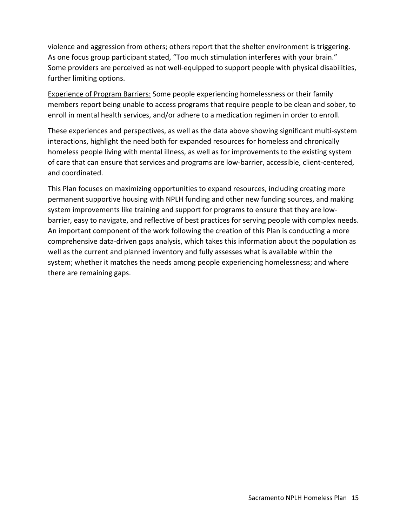violence and aggression from others; others report that the shelter environment is triggering. As one focus group participant stated, "Too much stimulation interferes with your brain." Some providers are perceived as not well‐equipped to support people with physical disabilities, further limiting options.

Experience of Program Barriers: Some people experiencing homelessness or their family members report being unable to access programs that require people to be clean and sober, to enroll in mental health services, and/or adhere to a medication regimen in order to enroll.

These experiences and perspectives, as well as the data above showing significant multi‐system interactions, highlight the need both for expanded resources for homeless and chronically homeless people living with mental illness, as well as for improvements to the existing system of care that can ensure that services and programs are low‐barrier, accessible, client‐centered, and coordinated.

This Plan focuses on maximizing opportunities to expand resources, including creating more permanent supportive housing with NPLH funding and other new funding sources, and making system improvements like training and support for programs to ensure that they are low‐ barrier, easy to navigate, and reflective of best practices for serving people with complex needs. An important component of the work following the creation of this Plan is conducting a more comprehensive data‐driven gaps analysis, which takes this information about the population as well as the current and planned inventory and fully assesses what is available within the system; whether it matches the needs among people experiencing homelessness; and where there are remaining gaps.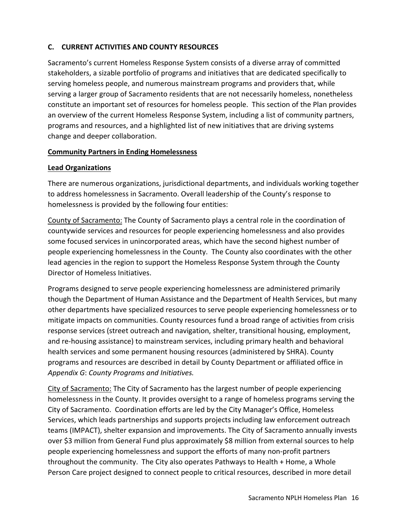## **C. CURRENT ACTIVITIES AND COUNTY RESOURCES**

Sacramento's current Homeless Response System consists of a diverse array of committed stakeholders, a sizable portfolio of programs and initiatives that are dedicated specifically to serving homeless people, and numerous mainstream programs and providers that, while serving a larger group of Sacramento residents that are not necessarily homeless, nonetheless constitute an important set of resources for homeless people. This section of the Plan provides an overview of the current Homeless Response System, including a list of community partners, programs and resources, and a highlighted list of new initiatives that are driving systems change and deeper collaboration.

## **Community Partners in Ending Homelessness**

### **Lead Organizations**

There are numerous organizations, jurisdictional departments, and individuals working together to address homelessness in Sacramento. Overall leadership of the County's response to homelessness is provided by the following four entities:

County of Sacramento: The County of Sacramento plays a central role in the coordination of countywide services and resources for people experiencing homelessness and also provides some focused services in unincorporated areas, which have the second highest number of people experiencing homelessness in the County. The County also coordinates with the other lead agencies in the region to support the Homeless Response System through the County Director of Homeless Initiatives.

Programs designed to serve people experiencing homelessness are administered primarily though the Department of Human Assistance and the Department of Health Services, but many other departments have specialized resources to serve people experiencing homelessness or to mitigate impacts on communities. County resources fund a broad range of activities from crisis response services (street outreach and navigation, shelter, transitional housing, employment, and re‐housing assistance) to mainstream services, including primary health and behavioral health services and some permanent housing resources (administered by SHRA). County programs and resources are described in detail by County Department or affiliated office in *Appendix G*: *County Programs and Initiatives.* 

City of Sacramento: The City of Sacramento has the largest number of people experiencing homelessness in the County. It provides oversight to a range of homeless programs serving the City of Sacramento. Coordination efforts are led by the City Manager's Office, Homeless Services, which leads partnerships and supports projects including law enforcement outreach teams (IMPACT), shelter expansion and improvements. The City of Sacramento annually invests over \$3 million from General Fund plus approximately \$8 million from external sources to help people experiencing homelessness and support the efforts of many non‐profit partners throughout the community. The City also operates Pathways to Health + Home, a Whole Person Care project designed to connect people to critical resources, described in more detail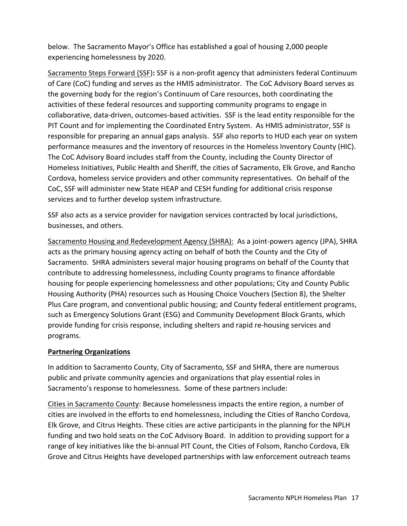below. The Sacramento Mayor's Office has established a goal of housing 2,000 people experiencing homelessness by 2020.

Sacramento Steps Forward (SSF)**:** SSF is a non‐profit agency that administers federal Continuum of Care (CoC) funding and serves as the HMIS administrator. The CoC Advisory Board serves as the governing body for the region's Continuum of Care resources, both coordinating the activities of these federal resources and supporting community programs to engage in collaborative, data‐driven, outcomes‐based activities. SSF is the lead entity responsible for the PIT Count and for implementing the Coordinated Entry System. As HMIS administrator, SSF is responsible for preparing an annual gaps analysis. SSF also reports to HUD each year on system performance measures and the inventory of resources in the Homeless Inventory County (HIC). The CoC Advisory Board includes staff from the County, including the County Director of Homeless Initiatives, Public Health and Sheriff, the cities of Sacramento, Elk Grove, and Rancho Cordova, homeless service providers and other community representatives. On behalf of the CoC, SSF will administer new State HEAP and CESH funding for additional crisis response services and to further develop system infrastructure.

SSF also acts as a service provider for navigation services contracted by local jurisdictions, businesses, and others.

Sacramento Housing and Redevelopment Agency (SHRA): As a joint-powers agency (JPA), SHRA acts as the primary housing agency acting on behalf of both the County and the City of Sacramento. SHRA administers several major housing programs on behalf of the County that contribute to addressing homelessness, including County programs to finance affordable housing for people experiencing homelessness and other populations; City and County Public Housing Authority (PHA) resources such as Housing Choice Vouchers (Section 8), the Shelter Plus Care program, and conventional public housing; and County federal entitlement programs, such as Emergency Solutions Grant (ESG) and Community Development Block Grants, which provide funding for crisis response, including shelters and rapid re‐housing services and programs.

## **Partnering Organizations**

In addition to Sacramento County, City of Sacramento, SSF and SHRA, there are numerous public and private community agencies and organizations that play essential roles in Sacramento's response to homelessness. Some of these partners include:

Cities in Sacramento County: Because homelessness impacts the entire region, a number of cities are involved in the efforts to end homelessness, including the Cities of Rancho Cordova, Elk Grove, and Citrus Heights. These cities are active participants in the planning for the NPLH funding and two hold seats on the CoC Advisory Board. In addition to providing support for a range of key initiatives like the bi‐annual PIT Count, the Cities of Folsom, Rancho Cordova, Elk Grove and Citrus Heights have developed partnerships with law enforcement outreach teams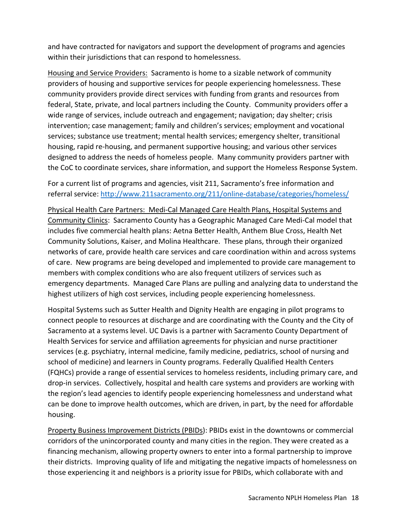and have contracted for navigators and support the development of programs and agencies within their jurisdictions that can respond to homelessness.

Housing and Service Providers: Sacramento is home to a sizable network of community providers of housing and supportive services for people experiencing homelessness. These community providers provide direct services with funding from grants and resources from federal, State, private, and local partners including the County. Community providers offer a wide range of services, include outreach and engagement; navigation; day shelter; crisis intervention; case management; family and children's services; employment and vocational services; substance use treatment; mental health services; emergency shelter, transitional housing, rapid re‐housing, and permanent supportive housing; and various other services designed to address the needs of homeless people. Many community providers partner with the CoC to coordinate services, share information, and support the Homeless Response System.

For a current list of programs and agencies, visit 211, Sacramento's free information and referral service: http://www.211sacramento.org/211/online‐database/categories/homeless/

Physical Health Care Partners: Medi‐Cal Managed Care Health Plans, Hospital Systems and Community Clinics: Sacramento County has a Geographic Managed Care Medi‐Cal model that includes five commercial health plans: Aetna Better Health, Anthem Blue Cross, Health Net Community Solutions, Kaiser, and Molina Healthcare. These plans, through their organized networks of care, provide health care services and care coordination within and across systems of care. New programs are being developed and implemented to provide care management to members with complex conditions who are also frequent utilizers of services such as emergency departments. Managed Care Plans are pulling and analyzing data to understand the highest utilizers of high cost services, including people experiencing homelessness.

Hospital Systems such as Sutter Health and Dignity Health are engaging in pilot programs to connect people to resources at discharge and are coordinating with the County and the City of Sacramento at a systems level. UC Davis is a partner with Sacramento County Department of Health Services for service and affiliation agreements for physician and nurse practitioner services (e.g. psychiatry, internal medicine, family medicine, pediatrics, school of nursing and school of medicine) and learners in County programs. Federally Qualified Health Centers (FQHCs) provide a range of essential services to homeless residents, including primary care, and drop-in services. Collectively, hospital and health care systems and providers are working with the region's lead agencies to identify people experiencing homelessness and understand what can be done to improve health outcomes, which are driven, in part, by the need for affordable housing.

Property Business Improvement Districts (PBIDs): PBIDs exist in the downtowns or commercial corridors of the unincorporated county and many cities in the region. They were created as a financing mechanism, allowing property owners to enter into a formal partnership to improve their districts. Improving quality of life and mitigating the negative impacts of homelessness on those experiencing it and neighbors is a priority issue for PBIDs, which collaborate with and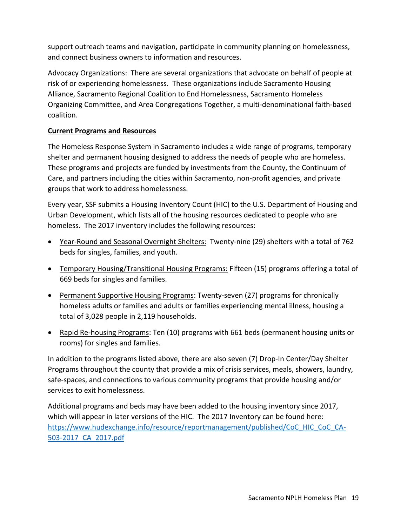support outreach teams and navigation, participate in community planning on homelessness, and connect business owners to information and resources.

Advocacy Organizations: There are several organizations that advocate on behalf of people at risk of or experiencing homelessness. These organizations include Sacramento Housing Alliance, Sacramento Regional Coalition to End Homelessness, Sacramento Homeless Organizing Committee, and Area Congregations Together, a multi‐denominational faith‐based coalition.

## **Current Programs and Resources**

The Homeless Response System in Sacramento includes a wide range of programs, temporary shelter and permanent housing designed to address the needs of people who are homeless. These programs and projects are funded by investments from the County, the Continuum of Care, and partners including the cities within Sacramento, non‐profit agencies, and private groups that work to address homelessness.

Every year, SSF submits a Housing Inventory Count (HIC) to the U.S. Department of Housing and Urban Development, which lists all of the housing resources dedicated to people who are homeless. The 2017 inventory includes the following resources:

- Year-Round and Seasonal Overnight Shelters: Twenty-nine (29) shelters with a total of 762 beds for singles, families, and youth.
- Temporary Housing/Transitional Housing Programs: Fifteen (15) programs offering a total of 669 beds for singles and families.
- Permanent Supportive Housing Programs: Twenty-seven (27) programs for chronically homeless adults or families and adults or families experiencing mental illness, housing a total of 3,028 people in 2,119 households.
- Rapid Re-housing Programs: Ten (10) programs with 661 beds (permanent housing units or rooms) for singles and families.

In addition to the programs listed above, there are also seven (7) Drop-In Center/Day Shelter Programs throughout the county that provide a mix of crisis services, meals, showers, laundry, safe-spaces, and connections to various community programs that provide housing and/or services to exit homelessness.

Additional programs and beds may have been added to the housing inventory since 2017, which will appear in later versions of the HIC. The 2017 Inventory can be found here: https://www.hudexchange.info/resource/reportmanagement/published/CoC\_HIC\_CoC\_CA-503‐2017\_CA\_2017.pdf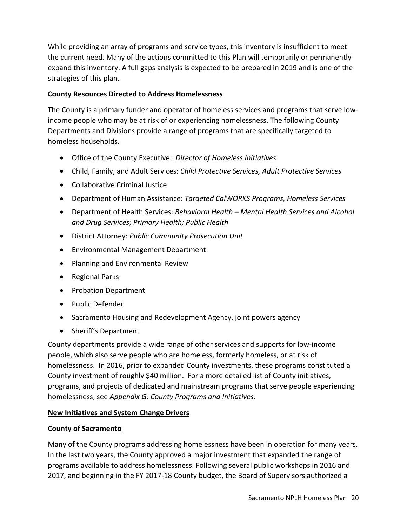While providing an array of programs and service types, this inventory is insufficient to meet the current need. Many of the actions committed to this Plan will temporarily or permanently expand this inventory. A full gaps analysis is expected to be prepared in 2019 and is one of the strategies of this plan.

## **County Resources Directed to Address Homelessness**

The County is a primary funder and operator of homeless services and programs that serve low‐ income people who may be at risk of or experiencing homelessness. The following County Departments and Divisions provide a range of programs that are specifically targeted to homeless households.

- Office of the County Executive: *Director of Homeless Initiatives*
- Child, Family, and Adult Services: *Child Protective Services, Adult Protective Services*
- Collaborative Criminal Justice
- Department of Human Assistance: *Targeted CalWORKS Programs, Homeless Services*
- Department of Health Services: *Behavioral Health Mental Health Services and Alcohol and Drug Services; Primary Health; Public Health*
- District Attorney: *Public Community Prosecution Unit*
- Environmental Management Department
- Planning and Environmental Review
- Regional Parks
- Probation Department
- Public Defender
- Sacramento Housing and Redevelopment Agency, joint powers agency
- Sheriff's Department

County departments provide a wide range of other services and supports for low‐income people, which also serve people who are homeless, formerly homeless, or at risk of homelessness. In 2016, prior to expanded County investments, these programs constituted a County investment of roughly \$40 million. For a more detailed list of County initiatives, programs, and projects of dedicated and mainstream programs that serve people experiencing homelessness, see *Appendix G: County Programs and Initiatives.*

## **New Initiatives and System Change Drivers**

## **County of Sacramento**

Many of the County programs addressing homelessness have been in operation for many years. In the last two years, the County approved a major investment that expanded the range of programs available to address homelessness. Following several public workshops in 2016 and 2017, and beginning in the FY 2017‐18 County budget, the Board of Supervisors authorized a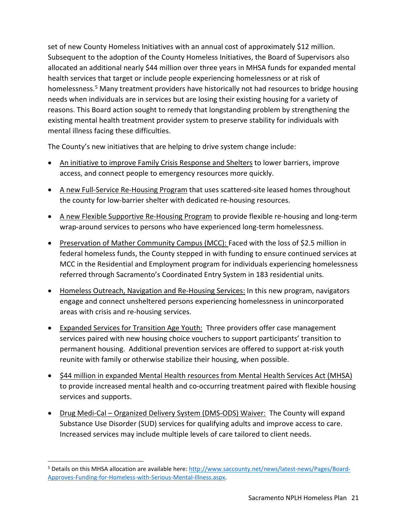set of new County Homeless Initiatives with an annual cost of approximately \$12 million. Subsequent to the adoption of the County Homeless Initiatives, the Board of Supervisors also allocated an additional nearly \$44 million over three years in MHSA funds for expanded mental health services that target or include people experiencing homelessness or at risk of homelessness.<sup>5</sup> Many treatment providers have historically not had resources to bridge housing needs when individuals are in services but are losing their existing housing for a variety of reasons. This Board action sought to remedy that longstanding problem by strengthening the existing mental health treatment provider system to preserve stability for individuals with mental illness facing these difficulties.

The County's new initiatives that are helping to drive system change include:

- An initiative to improve Family Crisis Response and Shelters to lower barriers, improve access, and connect people to emergency resources more quickly.
- A new Full-Service Re-Housing Program that uses scattered-site leased homes throughout the county for low‐barrier shelter with dedicated re‐housing resources.
- A new Flexible Supportive Re‐Housing Program to provide flexible re‐housing and long‐term wrap-around services to persons who have experienced long-term homelessness.
- Preservation of Mather Community Campus (MCC): Faced with the loss of \$2.5 million in federal homeless funds, the County stepped in with funding to ensure continued services at MCC in the Residential and Employment program for individuals experiencing homelessness referred through Sacramento's Coordinated Entry System in 183 residential units.
- Homeless Outreach, Navigation and Re-Housing Services: In this new program, navigators engage and connect unsheltered persons experiencing homelessness in unincorporated areas with crisis and re‐housing services.
- Expanded Services for Transition Age Youth: Three providers offer case management services paired with new housing choice vouchers to support participants' transition to permanent housing. Additional prevention services are offered to support at‐risk youth reunite with family or otherwise stabilize their housing, when possible.
- \$44 million in expanded Mental Health resources from Mental Health Services Act (MHSA) to provide increased mental health and co-occurring treatment paired with flexible housing services and supports.
- Drug Medi‐Cal Organized Delivery System (DMS‐ODS) Waiver:The County will expand Substance Use Disorder (SUD) services for qualifying adults and improve access to care. Increased services may include multiple levels of care tailored to client needs.

 <sup>5</sup> Details on this MHSA allocation are available here: http://www.saccounty.net/news/latest-news/Pages/Board-Approves-Funding-for-Homeless-with-Serious-Mental-Illness.aspx.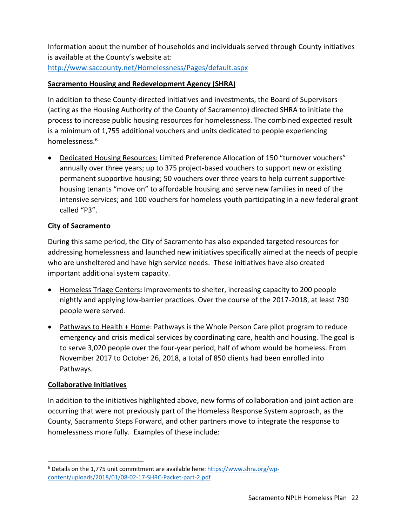Information about the number of households and individuals served through County initiatives is available at the County's website at:

http://www.saccounty.net/Homelessness/Pages/default.aspx

## **Sacramento Housing and Redevelopment Agency (SHRA)**

In addition to these County‐directed initiatives and investments, the Board of Supervisors (acting as the Housing Authority of the County of Sacramento) directed SHRA to initiate the process to increase public housing resources for homelessness. The combined expected result is a minimum of 1,755 additional vouchers and units dedicated to people experiencing homelessness.6

 Dedicated Housing Resources: Limited Preference Allocation of 150 "turnover vouchers" annually over three years; up to 375 project‐based vouchers to support new or existing permanent supportive housing; 50 vouchers over three years to help current supportive housing tenants "move on" to affordable housing and serve new families in need of the intensive services; and 100 vouchers for homeless youth participating in a new federal grant called "P3".

## **City of Sacramento**

During this same period, the City of Sacramento has also expanded targeted resources for addressing homelessness and launched new initiatives specifically aimed at the needs of people who are unsheltered and have high service needs. These initiatives have also created important additional system capacity.

- Homeless Triage Centers**:** Improvements to shelter, increasing capacity to 200 people nightly and applying low‐barrier practices. Over the course of the 2017‐2018, at least 730 people were served.
- Pathways to Health + Home: Pathways is the Whole Person Care pilot program to reduce emergency and crisis medical services by coordinating care, health and housing. The goal is to serve 3,020 people over the four‐year period, half of whom would be homeless. From November 2017 to October 26, 2018, a total of 850 clients had been enrolled into Pathways.

## **Collaborative Initiatives**

In addition to the initiatives highlighted above, new forms of collaboration and joint action are occurring that were not previously part of the Homeless Response System approach, as the County, Sacramento Steps Forward, and other partners move to integrate the response to homelessness more fully. Examples of these include:

 <sup>6</sup> Details on the 1,775 unit commitment are available here: https://www.shra.org/wpcontent/uploads/2018/01/08‐02‐17‐SHRC‐Packet‐part‐2.pdf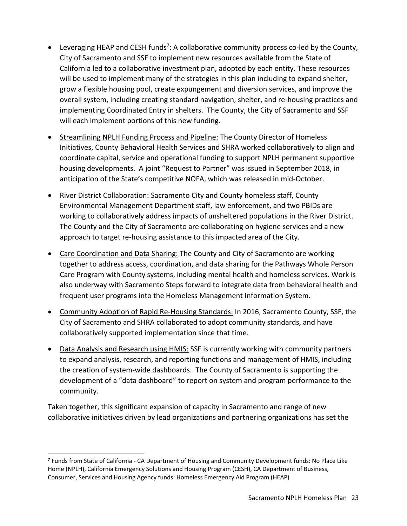- Leveraging HEAP and CESH funds<sup>7</sup>: A collaborative community process co-led by the County, City of Sacramento and SSF to implement new resources available from the State of California led to a collaborative investment plan, adopted by each entity. These resources will be used to implement many of the strategies in this plan including to expand shelter, grow a flexible housing pool, create expungement and diversion services, and improve the overall system, including creating standard navigation, shelter, and re‐housing practices and implementing Coordinated Entry in shelters. The County, the City of Sacramento and SSF will each implement portions of this new funding.
- Streamlining NPLH Funding Process and Pipeline: The County Director of Homeless Initiatives, County Behavioral Health Services and SHRA worked collaboratively to align and coordinate capital, service and operational funding to support NPLH permanent supportive housing developments. A joint "Request to Partner" was issued in September 2018, in anticipation of the State's competitive NOFA, which was released in mid‐October.
- River District Collaboration: Sacramento City and County homeless staff, County Environmental Management Department staff, law enforcement, and two PBIDs are working to collaboratively address impacts of unsheltered populations in the River District. The County and the City of Sacramento are collaborating on hygiene services and a new approach to target re‐housing assistance to this impacted area of the City.
- Care Coordination and Data Sharing: The County and City of Sacramento are working together to address access, coordination, and data sharing for the Pathways Whole Person Care Program with County systems, including mental health and homeless services. Work is also underway with Sacramento Steps forward to integrate data from behavioral health and frequent user programs into the Homeless Management Information System.
- Community Adoption of Rapid Re‐Housing Standards: In 2016, Sacramento County, SSF, the City of Sacramento and SHRA collaborated to adopt community standards, and have collaboratively supported implementation since that time.
- Data Analysis and Research using HMIS: SSF is currently working with community partners to expand analysis, research, and reporting functions and management of HMIS, including the creation of system‐wide dashboards. The County of Sacramento is supporting the development of a "data dashboard" to report on system and program performance to the community.

Taken together, this significant expansion of capacity in Sacramento and range of new collaborative initiatives driven by lead organizations and partnering organizations has set the

**<sup>7</sup>** Funds from State of California ‐ CA Department of Housing and Community Development funds: No Place Like Home (NPLH), California Emergency Solutions and Housing Program (CESH), CA Department of Business, Consumer, Services and Housing Agency funds: Homeless Emergency Aid Program (HEAP)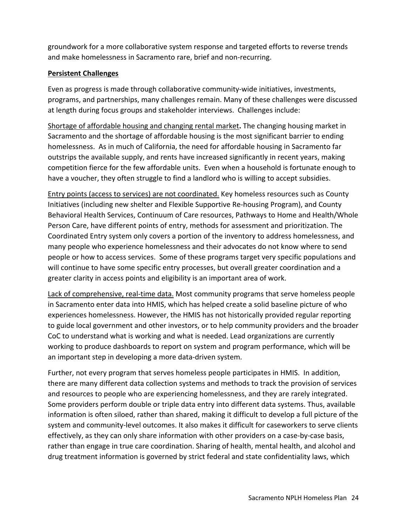groundwork for a more collaborative system response and targeted efforts to reverse trends and make homelessness in Sacramento rare, brief and non‐recurring.

## **Persistent Challenges**

Even as progress is made through collaborative community‐wide initiatives, investments, programs, and partnerships, many challenges remain. Many of these challenges were discussed at length during focus groups and stakeholder interviews. Challenges include:

Shortage of affordable housing and changing rental market**.** The changing housing market in Sacramento and the shortage of affordable housing is the most significant barrier to ending homelessness. As in much of California, the need for affordable housing in Sacramento far outstrips the available supply, and rents have increased significantly in recent years, making competition fierce for the few affordable units. Even when a household is fortunate enough to have a voucher, they often struggle to find a landlord who is willing to accept subsidies.

Entry points (access to services) are not coordinated. Key homeless resources such as County Initiatives (including new shelter and Flexible Supportive Re‐housing Program), and County Behavioral Health Services, Continuum of Care resources, Pathways to Home and Health/Whole Person Care, have different points of entry, methods for assessment and prioritization. The Coordinated Entry system only covers a portion of the inventory to address homelessness, and many people who experience homelessness and their advocates do not know where to send people or how to access services. Some of these programs target very specific populations and will continue to have some specific entry processes, but overall greater coordination and a greater clarity in access points and eligibility is an important area of work.

Lack of comprehensive, real-time data. Most community programs that serve homeless people in Sacramento enter data into HMIS, which has helped create a solid baseline picture of who experiences homelessness. However, the HMIS has not historically provided regular reporting to guide local government and other investors, or to help community providers and the broader CoC to understand what is working and what is needed. Lead organizations are currently working to produce dashboards to report on system and program performance, which will be an important step in developing a more data‐driven system.

Further, not every program that serves homeless people participates in HMIS. In addition, there are many different data collection systems and methods to track the provision of services and resources to people who are experiencing homelessness, and they are rarely integrated. Some providers perform double or triple data entry into different data systems. Thus, available information is often siloed, rather than shared, making it difficult to develop a full picture of the system and community-level outcomes. It also makes it difficult for caseworkers to serve clients effectively, as they can only share information with other providers on a case-by-case basis, rather than engage in true care coordination. Sharing of health, mental health, and alcohol and drug treatment information is governed by strict federal and state confidentiality laws, which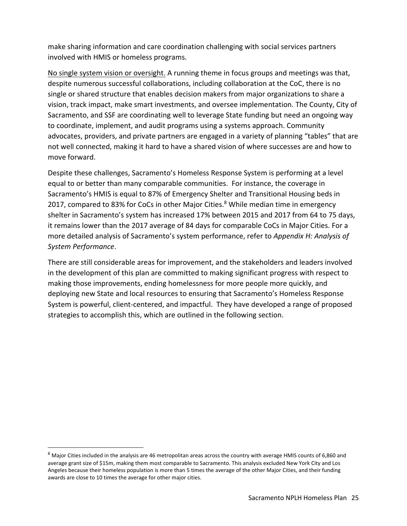make sharing information and care coordination challenging with social services partners involved with HMIS or homeless programs.

No single system vision or oversight. A running theme in focus groups and meetings was that, despite numerous successful collaborations, including collaboration at the CoC, there is no single or shared structure that enables decision makers from major organizations to share a vision, track impact, make smart investments, and oversee implementation. The County, City of Sacramento, and SSF are coordinating well to leverage State funding but need an ongoing way to coordinate, implement, and audit programs using a systems approach. Community advocates, providers, and private partners are engaged in a variety of planning "tables" that are not well connected, making it hard to have a shared vision of where successes are and how to move forward.

Despite these challenges, Sacramento's Homeless Response System is performing at a level equal to or better than many comparable communities. For instance, the coverage in Sacramento's HMIS is equal to 87% of Emergency Shelter and Transitional Housing beds in 2017, compared to 83% for CoCs in other Major Cities.<sup>8</sup> While median time in emergency shelter in Sacramento's system has increased 17% between 2015 and 2017 from 64 to 75 days, it remains lower than the 2017 average of 84 days for comparable CoCs in Major Cities. For a more detailed analysis of Sacramento's system performance, refer to *Appendix H: Analysis of System Performance*.

There are still considerable areas for improvement, and the stakeholders and leaders involved in the development of this plan are committed to making significant progress with respect to making those improvements, ending homelessness for more people more quickly, and deploying new State and local resources to ensuring that Sacramento's Homeless Response System is powerful, client‐centered, and impactful. They have developed a range of proposed strategies to accomplish this, which are outlined in the following section.

<sup>8</sup> Major Cities included in the analysis are 46 metropolitan areas across the country with average HMIS counts of 6,860 and average grant size of \$15m, making them most comparable to Sacramento. This analysis excluded New York City and Los Angeles because their homeless population is more than 5 times the average of the other Major Cities, and their funding awards are close to 10 times the average for other major cities.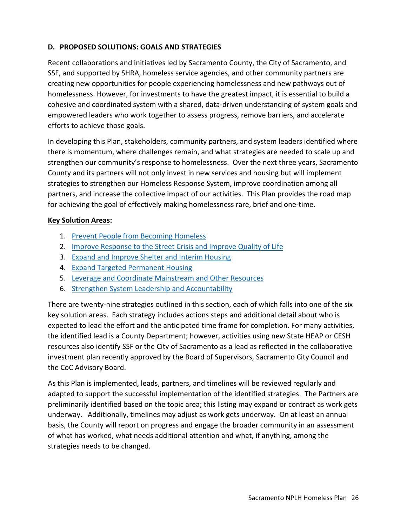## **D. PROPOSED SOLUTIONS: GOALS AND STRATEGIES**

Recent collaborations and initiatives led by Sacramento County, the City of Sacramento, and SSF, and supported by SHRA, homeless service agencies, and other community partners are creating new opportunities for people experiencing homelessness and new pathways out of homelessness. However, for investments to have the greatest impact, it is essential to build a cohesive and coordinated system with a shared, data‐driven understanding of system goals and empowered leaders who work together to assess progress, remove barriers, and accelerate efforts to achieve those goals.

In developing this Plan, stakeholders, community partners, and system leaders identified where there is momentum, where challenges remain, and what strategies are needed to scale up and strengthen our community's response to homelessness. Over the next three years, Sacramento County and its partners will not only invest in new services and housing but will implement strategies to strengthen our Homeless Response System, improve coordination among all partners, and increase the collective impact of our activities. This Plan provides the road map for achieving the goal of effectively making homelessness rare, brief and one-time.

## **Key Solution Areas:**

- 1. Prevent People from Becoming Homeless
- 2. Improve Response to the Street Crisis and Improve Quality of Life
- 3. Expand and Improve Shelter and Interim Housing
- 4. Expand Targeted Permanent Housing
- 5. Leverage and Coordinate Mainstream and Other Resources
- 6. Strengthen System Leadership and Accountability

There are twenty-nine strategies outlined in this section, each of which falls into one of the six key solution areas. Each strategy includes actions steps and additional detail about who is expected to lead the effort and the anticipated time frame for completion. For many activities, the identified lead is a County Department; however, activities using new State HEAP or CESH resources also identify SSF or the City of Sacramento as a lead as reflected in the collaborative investment plan recently approved by the Board of Supervisors, Sacramento City Council and the CoC Advisory Board.

As this Plan is implemented, leads, partners, and timelines will be reviewed regularly and adapted to support the successful implementation of the identified strategies. The Partners are preliminarily identified based on the topic area; this listing may expand or contract as work gets underway. Additionally, timelines may adjust as work gets underway. On at least an annual basis, the County will report on progress and engage the broader community in an assessment of what has worked, what needs additional attention and what, if anything, among the strategies needs to be changed.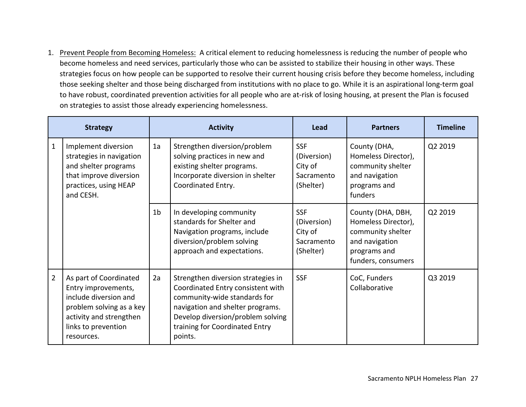1. Prevent People from Becoming Homeless: A critical element to reducing homelessness is reducing the number of people who become homeless and need services, particularly those who can be assisted to stabilize their housing in other ways. These strategies focus on how people can be supported to resolve their current housing crisis before they become homeless, including those seeking shelter and those being discharged from institutions with no place to go. While it is an aspirational long‐term goal to have robust, coordinated prevention activities for all people who are at‐risk of losing housing, at present the Plan is focused on strategies to assist those already experiencing homelessness.

|                | <b>Strategy</b>                                                                                                                                                    |                | <b>Activity</b>                                                                                                                                                                                                               | Lead                                                            | <b>Partners</b>                                                                                                       | <b>Timeline</b> |
|----------------|--------------------------------------------------------------------------------------------------------------------------------------------------------------------|----------------|-------------------------------------------------------------------------------------------------------------------------------------------------------------------------------------------------------------------------------|-----------------------------------------------------------------|-----------------------------------------------------------------------------------------------------------------------|-----------------|
| $\mathbf{1}$   | Implement diversion<br>strategies in navigation<br>and shelter programs<br>that improve diversion<br>practices, using HEAP<br>and CESH.                            | 1a             | Strengthen diversion/problem<br>solving practices in new and<br>existing shelter programs.<br>Incorporate diversion in shelter<br>Coordinated Entry.                                                                          | <b>SSF</b><br>(Diversion)<br>City of<br>Sacramento<br>(Shelter) | County (DHA,<br>Homeless Director),<br>community shelter<br>and navigation<br>programs and<br>funders                 | Q2 2019         |
|                |                                                                                                                                                                    | 1 <sub>b</sub> | In developing community<br>standards for Shelter and<br>Navigation programs, include<br>diversion/problem solving<br>approach and expectations.                                                                               | <b>SSF</b><br>(Diversion)<br>City of<br>Sacramento<br>(Shelter) | County (DHA, DBH,<br>Homeless Director),<br>community shelter<br>and navigation<br>programs and<br>funders, consumers | Q2 2019         |
| $\overline{2}$ | As part of Coordinated<br>Entry improvements,<br>include diversion and<br>problem solving as a key<br>activity and strengthen<br>links to prevention<br>resources. | 2a             | Strengthen diversion strategies in<br>Coordinated Entry consistent with<br>community-wide standards for<br>navigation and shelter programs.<br>Develop diversion/problem solving<br>training for Coordinated Entry<br>points. | <b>SSF</b>                                                      | CoC, Funders<br>Collaborative                                                                                         | Q3 2019         |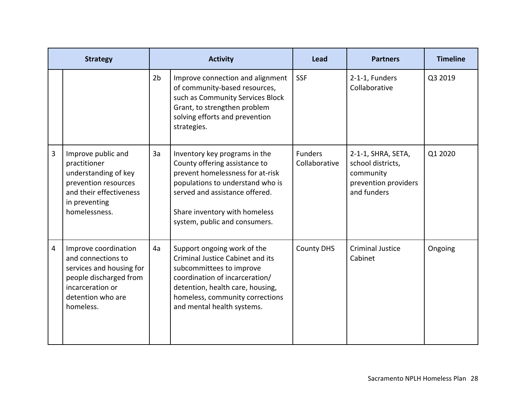|   | <b>Strategy</b>                                                                                                                                        |                | <b>Activity</b>                                                                                                                                                                                                                            | Lead                            | <b>Partners</b>                                                                             | <b>Timeline</b> |
|---|--------------------------------------------------------------------------------------------------------------------------------------------------------|----------------|--------------------------------------------------------------------------------------------------------------------------------------------------------------------------------------------------------------------------------------------|---------------------------------|---------------------------------------------------------------------------------------------|-----------------|
|   |                                                                                                                                                        | 2 <sub>b</sub> | Improve connection and alignment<br>of community-based resources,<br>such as Community Services Block<br>Grant, to strengthen problem<br>solving efforts and prevention<br>strategies.                                                     | <b>SSF</b>                      | 2-1-1, Funders<br>Collaborative                                                             | Q3 2019         |
| 3 | Improve public and<br>practitioner<br>understanding of key<br>prevention resources<br>and their effectiveness<br>in preventing<br>homelessness.        | 3a             | Inventory key programs in the<br>County offering assistance to<br>prevent homelessness for at-risk<br>populations to understand who is<br>served and assistance offered.<br>Share inventory with homeless<br>system, public and consumers. | <b>Funders</b><br>Collaborative | 2-1-1, SHRA, SETA,<br>school districts,<br>community<br>prevention providers<br>and funders | Q1 2020         |
| 4 | Improve coordination<br>and connections to<br>services and housing for<br>people discharged from<br>incarceration or<br>detention who are<br>homeless. | 4a             | Support ongoing work of the<br><b>Criminal Justice Cabinet and its</b><br>subcommittees to improve<br>coordination of incarceration/<br>detention, health care, housing,<br>homeless, community corrections<br>and mental health systems.  | <b>County DHS</b>               | <b>Criminal Justice</b><br>Cabinet                                                          | Ongoing         |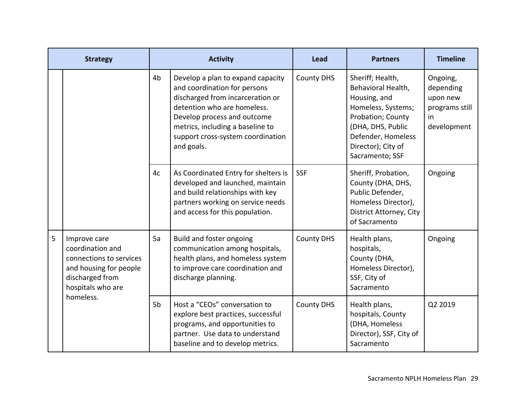|   | <b>Strategy</b>                                                                                                               |                | <b>Activity</b>                                                                                                                                                                                                                                            | <b>Lead</b>       | <b>Partners</b>                                                                                                                                                                       | <b>Timeline</b>                                                          |
|---|-------------------------------------------------------------------------------------------------------------------------------|----------------|------------------------------------------------------------------------------------------------------------------------------------------------------------------------------------------------------------------------------------------------------------|-------------------|---------------------------------------------------------------------------------------------------------------------------------------------------------------------------------------|--------------------------------------------------------------------------|
|   |                                                                                                                               | 4 <sub>b</sub> | Develop a plan to expand capacity<br>and coordination for persons<br>discharged from incarceration or<br>detention who are homeless.<br>Develop process and outcome<br>metrics, including a baseline to<br>support cross-system coordination<br>and goals. | <b>County DHS</b> | Sheriff; Health,<br>Behavioral Health,<br>Housing, and<br>Homeless, Systems;<br>Probation; County<br>(DHA, DHS, Public<br>Defender, Homeless<br>Director); City of<br>Sacramento; SSF | Ongoing,<br>depending<br>upon new<br>programs still<br>in<br>development |
|   |                                                                                                                               | 4c             | As Coordinated Entry for shelters is<br>developed and launched, maintain<br>and build relationships with key<br>partners working on service needs<br>and access for this population.                                                                       | <b>SSF</b>        | Sheriff, Probation,<br>County (DHA, DHS,<br>Public Defender,<br>Homeless Director),<br>District Attorney, City<br>of Sacramento                                                       | Ongoing                                                                  |
| 5 | Improve care<br>coordination and<br>connections to services<br>and housing for people<br>discharged from<br>hospitals who are | 5a             | Build and foster ongoing<br>communication among hospitals,<br>health plans, and homeless system<br>to improve care coordination and<br>discharge planning.                                                                                                 | <b>County DHS</b> | Health plans,<br>hospitals,<br>County (DHA,<br>Homeless Director),<br>SSF, City of<br>Sacramento                                                                                      | Ongoing                                                                  |
|   | homeless.                                                                                                                     | 5 <sub>b</sub> | Host a "CEOs" conversation to<br>explore best practices, successful<br>programs, and opportunities to<br>partner. Use data to understand<br>baseline and to develop metrics.                                                                               | <b>County DHS</b> | Health plans,<br>hospitals, County<br>(DHA, Homeless<br>Director), SSF, City of<br>Sacramento                                                                                         | Q2 2019                                                                  |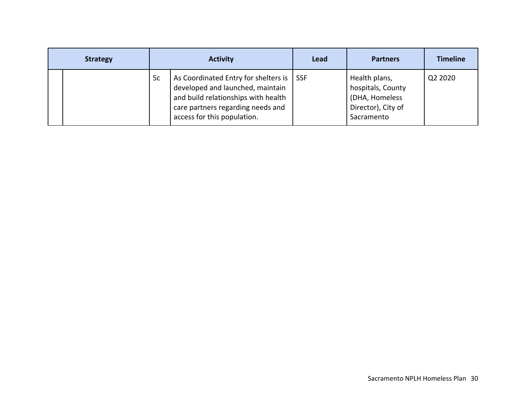| <b>Strategy</b> | <b>Activity</b> |                                                                                                                                                                                     | Lead       | <b>Partners</b>                                                                          | <b>Timeline</b> |
|-----------------|-----------------|-------------------------------------------------------------------------------------------------------------------------------------------------------------------------------------|------------|------------------------------------------------------------------------------------------|-----------------|
|                 | 5c              | As Coordinated Entry for shelters is<br>developed and launched, maintain<br>and build relationships with health<br>care partners regarding needs and<br>access for this population. | <b>SSF</b> | Health plans,<br>hospitals, County<br>(DHA, Homeless<br>Director), City of<br>Sacramento | Q2 2020         |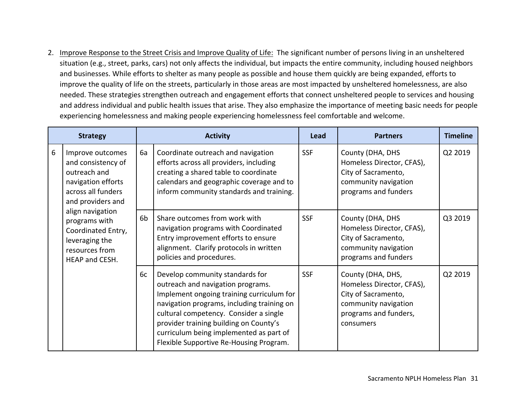2. Improve Response to the Street Crisis and Improve Quality of Life: The significant number of persons living in an unsheltered situation (e.g., street, parks, cars) not only affects the individual, but impacts the entire community, including housed neighbors and businesses. While efforts to shelter as many people as possible and house them quickly are being expanded, efforts to improve the quality of life on the streets, particularly in those areas are most impacted by unsheltered homelessness, are also needed. These strategies strengthen outreach and engagement efforts that connect unsheltered people to services and housing and address individual and public health issues that arise. They also emphasize the importance of meeting basic needs for people experiencing homelessness and making people experiencing homelessness feel comfortable and welcome.

| <b>Strategy</b> |                                                                                                                                                                                                                                          | <b>Activity</b> |                                                                                                                                                                                                                                                                                                                                           | Lead       | <b>Partners</b>                                                                                                                     | <b>Timeline</b> |
|-----------------|------------------------------------------------------------------------------------------------------------------------------------------------------------------------------------------------------------------------------------------|-----------------|-------------------------------------------------------------------------------------------------------------------------------------------------------------------------------------------------------------------------------------------------------------------------------------------------------------------------------------------|------------|-------------------------------------------------------------------------------------------------------------------------------------|-----------------|
| 6               | Improve outcomes<br>and consistency of<br>outreach and<br>navigation efforts<br>across all funders<br>and providers and<br>align navigation<br>programs with<br>Coordinated Entry,<br>leveraging the<br>resources from<br>HEAP and CESH. | 6a              | Coordinate outreach and navigation<br>efforts across all providers, including<br>creating a shared table to coordinate<br>calendars and geographic coverage and to<br>inform community standards and training.                                                                                                                            | <b>SSF</b> | County (DHA, DHS<br>Homeless Director, CFAS),<br>City of Sacramento,<br>community navigation<br>programs and funders                | Q2 2019         |
|                 |                                                                                                                                                                                                                                          | 6 <sub>b</sub>  | Share outcomes from work with<br>navigation programs with Coordinated<br>Entry improvement efforts to ensure<br>alignment. Clarify protocols in written<br>policies and procedures.                                                                                                                                                       | <b>SSF</b> | County (DHA, DHS<br>Homeless Director, CFAS),<br>City of Sacramento,<br>community navigation<br>programs and funders                | Q3 2019         |
|                 |                                                                                                                                                                                                                                          | 6c              | Develop community standards for<br>outreach and navigation programs.<br>Implement ongoing training curriculum for<br>navigation programs, including training on<br>cultural competency. Consider a single<br>provider training building on County's<br>curriculum being implemented as part of<br>Flexible Supportive Re-Housing Program. | <b>SSF</b> | County (DHA, DHS,<br>Homeless Director, CFAS),<br>City of Sacramento,<br>community navigation<br>programs and funders,<br>consumers | Q2 2019         |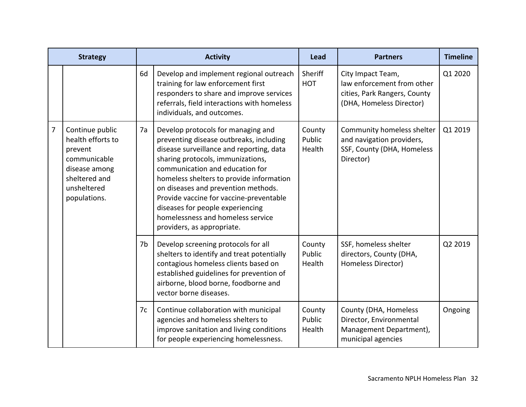| <b>Strategy</b> |                                                                                                                                  | <b>Activity</b> |                                                                                                                                                                                                                                                                                                                                                                                                                                        | Lead                       | <b>Partners</b>                                                                                             | <b>Timeline</b> |
|-----------------|----------------------------------------------------------------------------------------------------------------------------------|-----------------|----------------------------------------------------------------------------------------------------------------------------------------------------------------------------------------------------------------------------------------------------------------------------------------------------------------------------------------------------------------------------------------------------------------------------------------|----------------------------|-------------------------------------------------------------------------------------------------------------|-----------------|
|                 |                                                                                                                                  | 6d              | Develop and implement regional outreach<br>training for law enforcement first<br>responders to share and improve services<br>referrals, field interactions with homeless<br>individuals, and outcomes.                                                                                                                                                                                                                                 | Sheriff<br><b>HOT</b>      | City Impact Team,<br>law enforcement from other<br>cities, Park Rangers, County<br>(DHA, Homeless Director) | Q1 2020         |
| $\overline{7}$  | Continue public<br>health efforts to<br>prevent<br>communicable<br>disease among<br>sheltered and<br>unsheltered<br>populations. | 7a              | Develop protocols for managing and<br>preventing disease outbreaks, including<br>disease surveillance and reporting, data<br>sharing protocols, immunizations,<br>communication and education for<br>homeless shelters to provide information<br>on diseases and prevention methods.<br>Provide vaccine for vaccine-preventable<br>diseases for people experiencing<br>homelessness and homeless service<br>providers, as appropriate. | County<br>Public<br>Health | Community homeless shelter<br>and navigation providers,<br>SSF, County (DHA, Homeless<br>Director)          | Q1 2019         |
|                 |                                                                                                                                  | 7b              | Develop screening protocols for all<br>shelters to identify and treat potentially<br>contagious homeless clients based on<br>established guidelines for prevention of<br>airborne, blood borne, foodborne and<br>vector borne diseases.                                                                                                                                                                                                | County<br>Public<br>Health | SSF, homeless shelter<br>directors, County (DHA,<br>Homeless Director)                                      | Q2 2019         |
|                 |                                                                                                                                  | 7c              | Continue collaboration with municipal<br>agencies and homeless shelters to<br>improve sanitation and living conditions<br>for people experiencing homelessness.                                                                                                                                                                                                                                                                        | County<br>Public<br>Health | County (DHA, Homeless<br>Director, Environmental<br>Management Department),<br>municipal agencies           | Ongoing         |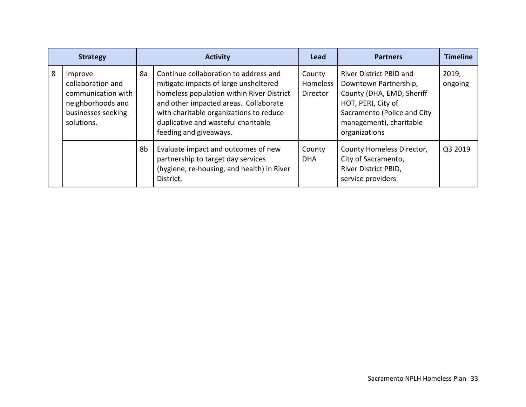| <b>Strategy</b> |                                                                                                             | <b>Activity</b> |                                                                                                                                                                                                                                                                                  | Lead                           | <b>Partners</b>                                                                                                                                                                       | <b>Timeline</b>  |
|-----------------|-------------------------------------------------------------------------------------------------------------|-----------------|----------------------------------------------------------------------------------------------------------------------------------------------------------------------------------------------------------------------------------------------------------------------------------|--------------------------------|---------------------------------------------------------------------------------------------------------------------------------------------------------------------------------------|------------------|
| 8               | Improve<br>collaboration and<br>communication with<br>neighborhoods and<br>businesses seeking<br>solutions. | 8a              | Continue collaboration to address and<br>mitigate impacts of large unsheltered<br>homeless population within River District<br>and other impacted areas. Collaborate<br>with charitable organizations to reduce<br>duplicative and wasteful charitable<br>feeding and giveaways. | County<br>Homeless<br>Director | <b>River District PBID and</b><br>Downtown Partnership,<br>County (DHA, EMD, Sheriff<br>HOT, PER), City of<br>Sacramento (Police and City<br>management), charitable<br>organizations | 2019,<br>ongoing |
|                 |                                                                                                             | 8b              | Evaluate impact and outcomes of new<br>partnership to target day services<br>(hygiene, re-housing, and health) in River<br>District.                                                                                                                                             | County<br><b>DHA</b>           | County Homeless Director,<br>City of Sacramento,<br>River District PBID,<br>service providers                                                                                         | Q3 2019          |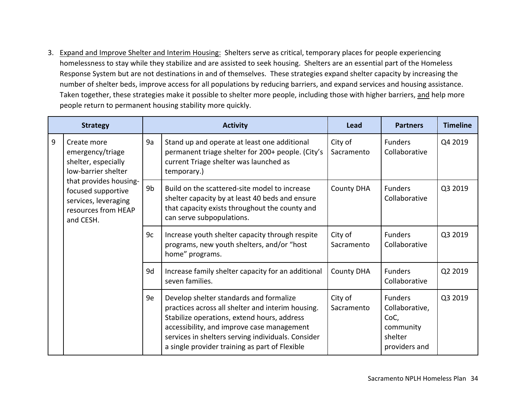3. Expand and Improve Shelter and Interim Housing: Shelters serve as critical, temporary places for people experiencing homelessness to stay while they stabilize and are assisted to seek housing. Shelters are an essential part of the Homeless Response System but are not destinations in and of themselves. These strategies expand shelter capacity by increasing the number of shelter beds, improve access for all populations by reducing barriers, and expand services and housing assistance. Taken together, these strategies make it possible to shelter more people, including those with higher barriers, and help more people return to permanent housing stability more quickly.

|   | <b>Strategy</b>                                                                                          |    | <b>Activity</b>                                                                                                                                                                                                                                                                                   | Lead                  | <b>Partners</b>                                                                   | <b>Timeline</b> |
|---|----------------------------------------------------------------------------------------------------------|----|---------------------------------------------------------------------------------------------------------------------------------------------------------------------------------------------------------------------------------------------------------------------------------------------------|-----------------------|-----------------------------------------------------------------------------------|-----------------|
| 9 | Create more<br>emergency/triage<br>shelter, especially<br>low-barrier shelter                            | 9a | Stand up and operate at least one additional<br>permanent triage shelter for 200+ people. (City's<br>current Triage shelter was launched as<br>temporary.)                                                                                                                                        | City of<br>Sacramento | Funders<br>Collaborative                                                          | Q4 2019         |
|   | that provides housing-<br>focused supportive<br>services, leveraging<br>resources from HEAP<br>and CESH. | 9b | Build on the scattered-site model to increase<br>shelter capacity by at least 40 beds and ensure<br>that capacity exists throughout the county and<br>can serve subpopulations.                                                                                                                   | <b>County DHA</b>     | <b>Funders</b><br>Collaborative                                                   | Q3 2019         |
|   |                                                                                                          | 9c | Increase youth shelter capacity through respite<br>programs, new youth shelters, and/or "host<br>home" programs.                                                                                                                                                                                  | City of<br>Sacramento | <b>Funders</b><br>Collaborative                                                   | Q3 2019         |
|   |                                                                                                          | 9d | Increase family shelter capacity for an additional<br>seven families.                                                                                                                                                                                                                             | <b>County DHA</b>     | <b>Funders</b><br>Collaborative                                                   | Q2 2019         |
|   |                                                                                                          | 9e | Develop shelter standards and formalize<br>practices across all shelter and interim housing.<br>Stabilize operations, extend hours, address<br>accessibility, and improve case management<br>services in shelters serving individuals. Consider<br>a single provider training as part of Flexible | City of<br>Sacramento | <b>Funders</b><br>Collaborative,<br>CoC,<br>community<br>shelter<br>providers and | Q3 2019         |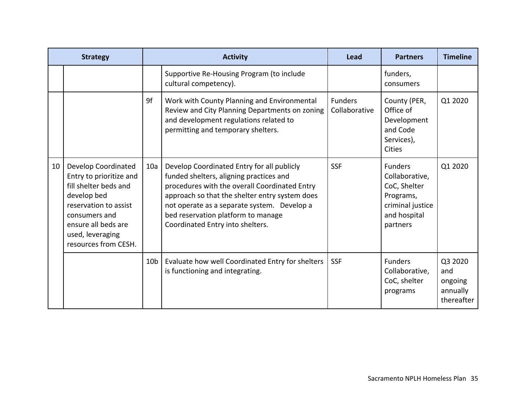|    | <b>Strategy</b>                                                                                                                                                                                            | <b>Activity</b> |                                                                                                                                                                                                                                                                                                                   | Lead                            | <b>Partners</b>                                                                                               | <b>Timeline</b>                                     |
|----|------------------------------------------------------------------------------------------------------------------------------------------------------------------------------------------------------------|-----------------|-------------------------------------------------------------------------------------------------------------------------------------------------------------------------------------------------------------------------------------------------------------------------------------------------------------------|---------------------------------|---------------------------------------------------------------------------------------------------------------|-----------------------------------------------------|
|    |                                                                                                                                                                                                            |                 | Supportive Re-Housing Program (to include<br>cultural competency).                                                                                                                                                                                                                                                |                                 | funders,<br>consumers                                                                                         |                                                     |
|    |                                                                                                                                                                                                            | 9f              | Work with County Planning and Environmental<br>Review and City Planning Departments on zoning<br>and development regulations related to<br>permitting and temporary shelters.                                                                                                                                     | <b>Funders</b><br>Collaborative | County (PER,<br>Office of<br>Development<br>and Code<br>Services),<br><b>Cities</b>                           | Q1 2020                                             |
| 10 | <b>Develop Coordinated</b><br>Entry to prioritize and<br>fill shelter beds and<br>develop bed<br>reservation to assist<br>consumers and<br>ensure all beds are<br>used, leveraging<br>resources from CESH. | 10a             | Develop Coordinated Entry for all publicly<br>funded shelters, aligning practices and<br>procedures with the overall Coordinated Entry<br>approach so that the shelter entry system does<br>not operate as a separate system. Develop a<br>bed reservation platform to manage<br>Coordinated Entry into shelters. | <b>SSF</b>                      | <b>Funders</b><br>Collaborative,<br>CoC, Shelter<br>Programs,<br>criminal justice<br>and hospital<br>partners | Q1 2020                                             |
|    |                                                                                                                                                                                                            | 10 <sub>b</sub> | Evaluate how well Coordinated Entry for shelters<br>is functioning and integrating.                                                                                                                                                                                                                               | <b>SSF</b>                      | <b>Funders</b><br>Collaborative,<br>CoC, shelter<br>programs                                                  | Q3 2020<br>and<br>ongoing<br>annually<br>thereafter |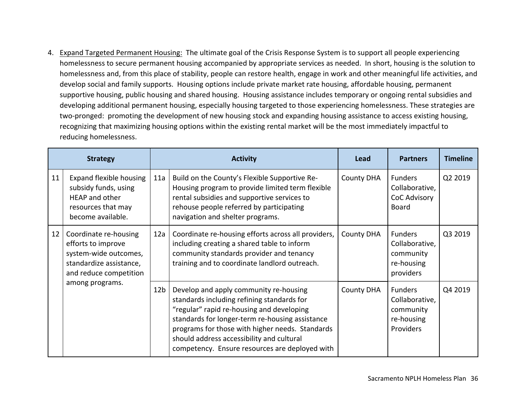4. Expand Targeted Permanent Housing: The ultimate goal of the Crisis Response System is to support all people experiencing homelessness to secure permanent housing accompanied by appropriate services as needed. In short, housing is the solution to homelessness and, from this place of stability, people can restore health, engage in work and other meaningful life activities, and develop social and family supports. Housing options include private market rate housing, affordable housing, permanent supportive housing, public housing and shared housing. Housing assistance includes temporary or ongoing rental subsidies and developing additional permanent housing, especially housing targeted to those experiencing homelessness. These strategies are two-pronged: promoting the development of new housing stock and expanding housing assistance to access existing housing, recognizing that maximizing housing options within the existing rental market will be the most immediately impactful to reducing homelessness.

|    | <b>Strategy</b>                                                                                                                                                 | <b>Activity</b> |                                                                                                                                                                                                                                                                                                                                        | Lead              | <b>Partners</b>                                                          | <b>Timeline</b> |
|----|-----------------------------------------------------------------------------------------------------------------------------------------------------------------|-----------------|----------------------------------------------------------------------------------------------------------------------------------------------------------------------------------------------------------------------------------------------------------------------------------------------------------------------------------------|-------------------|--------------------------------------------------------------------------|-----------------|
| 11 | <b>Expand flexible housing</b><br>subsidy funds, using<br>HEAP and other<br>resources that may<br>become available.                                             | 11a             | Build on the County's Flexible Supportive Re-<br>Housing program to provide limited term flexible<br>rental subsidies and supportive services to<br>rehouse people referred by participating<br>navigation and shelter programs.                                                                                                       | <b>County DHA</b> | <b>Funders</b><br>Collaborative,<br><b>CoC Advisory</b><br><b>Board</b>  | Q2 2019         |
|    | 12 <sub>1</sub><br>Coordinate re-housing<br>efforts to improve<br>system-wide outcomes,<br>standardize assistance,<br>and reduce competition<br>among programs. | 12a             | Coordinate re-housing efforts across all providers,<br>including creating a shared table to inform<br>community standards provider and tenancy<br>training and to coordinate landlord outreach.                                                                                                                                        | <b>County DHA</b> | <b>Funders</b><br>Collaborative,<br>community<br>re-housing<br>providers | Q3 2019         |
|    |                                                                                                                                                                 | 12 <sub>b</sub> | Develop and apply community re-housing<br>standards including refining standards for<br>"regular" rapid re-housing and developing<br>standards for longer-term re-housing assistance<br>programs for those with higher needs. Standards<br>should address accessibility and cultural<br>competency. Ensure resources are deployed with | <b>County DHA</b> | <b>Funders</b><br>Collaborative,<br>community<br>re-housing<br>Providers | Q4 2019         |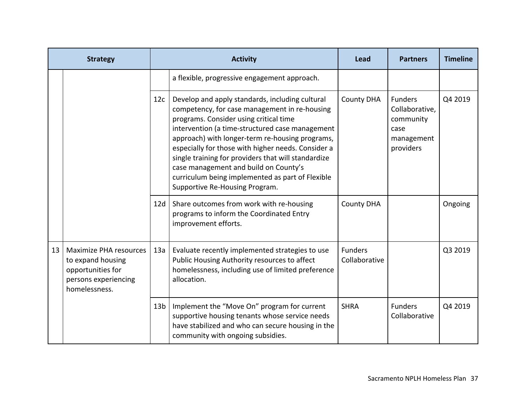|    | <b>Strategy</b>                                                                                                  |                 | <b>Activity</b>                                                                                                                                                                                                                                                                                                                                                                                                                                                                              | Lead                            | <b>Partners</b>                                                                  | <b>Timeline</b> |
|----|------------------------------------------------------------------------------------------------------------------|-----------------|----------------------------------------------------------------------------------------------------------------------------------------------------------------------------------------------------------------------------------------------------------------------------------------------------------------------------------------------------------------------------------------------------------------------------------------------------------------------------------------------|---------------------------------|----------------------------------------------------------------------------------|-----------------|
|    |                                                                                                                  |                 | a flexible, progressive engagement approach.                                                                                                                                                                                                                                                                                                                                                                                                                                                 |                                 |                                                                                  |                 |
|    |                                                                                                                  | 12c             | Develop and apply standards, including cultural<br>competency, for case management in re-housing<br>programs. Consider using critical time<br>intervention (a time-structured case management<br>approach) with longer-term re-housing programs,<br>especially for those with higher needs. Consider a<br>single training for providers that will standardize<br>case management and build on County's<br>curriculum being implemented as part of Flexible<br>Supportive Re-Housing Program. | <b>County DHA</b>               | <b>Funders</b><br>Collaborative,<br>community<br>case<br>management<br>providers | Q4 2019         |
|    |                                                                                                                  | 12d             | Share outcomes from work with re-housing<br>programs to inform the Coordinated Entry<br>improvement efforts.                                                                                                                                                                                                                                                                                                                                                                                 | <b>County DHA</b>               |                                                                                  | Ongoing         |
| 13 | <b>Maximize PHA resources</b><br>to expand housing<br>opportunities for<br>persons experiencing<br>homelessness. |                 | Evaluate recently implemented strategies to use<br>Public Housing Authority resources to affect<br>homelessness, including use of limited preference<br>allocation.                                                                                                                                                                                                                                                                                                                          | <b>Funders</b><br>Collaborative |                                                                                  | Q3 2019         |
|    |                                                                                                                  | 13 <sub>b</sub> | Implement the "Move On" program for current<br>supportive housing tenants whose service needs<br>have stabilized and who can secure housing in the<br>community with ongoing subsidies.                                                                                                                                                                                                                                                                                                      | <b>SHRA</b>                     | <b>Funders</b><br>Collaborative                                                  | Q4 2019         |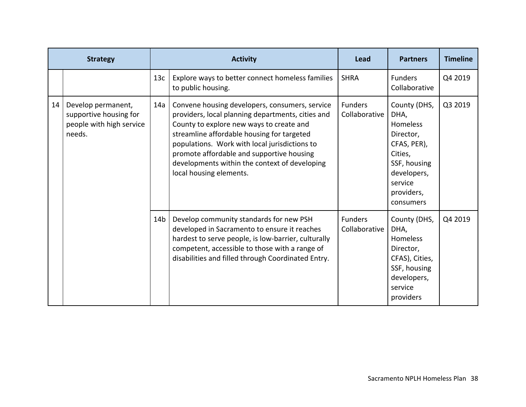|    | <b>Strategy</b>                                                                    | <b>Activity</b> |                                                                                                                                                                                                                                                                                                                                                                         | Lead                            | <b>Partners</b>                                                                                                                                     | <b>Timeline</b> |
|----|------------------------------------------------------------------------------------|-----------------|-------------------------------------------------------------------------------------------------------------------------------------------------------------------------------------------------------------------------------------------------------------------------------------------------------------------------------------------------------------------------|---------------------------------|-----------------------------------------------------------------------------------------------------------------------------------------------------|-----------------|
|    |                                                                                    | 13 <sub>c</sub> | Explore ways to better connect homeless families<br>to public housing.                                                                                                                                                                                                                                                                                                  | <b>SHRA</b>                     | <b>Funders</b><br>Collaborative                                                                                                                     | Q4 2019         |
| 14 | Develop permanent,<br>supportive housing for<br>people with high service<br>needs. | 14a             | Convene housing developers, consumers, service<br>providers, local planning departments, cities and<br>County to explore new ways to create and<br>streamline affordable housing for targeted<br>populations. Work with local jurisdictions to<br>promote affordable and supportive housing<br>developments within the context of developing<br>local housing elements. | <b>Funders</b><br>Collaborative | County (DHS,<br>DHA,<br><b>Homeless</b><br>Director,<br>CFAS, PER),<br>Cities,<br>SSF, housing<br>developers,<br>service<br>providers,<br>consumers | Q3 2019         |
|    |                                                                                    | 14 <sub>b</sub> | Develop community standards for new PSH<br>developed in Sacramento to ensure it reaches<br>hardest to serve people, is low-barrier, culturally<br>competent, accessible to those with a range of<br>disabilities and filled through Coordinated Entry.                                                                                                                  | <b>Funders</b><br>Collaborative | County (DHS,<br>DHA,<br><b>Homeless</b><br>Director,<br>CFAS), Cities,<br>SSF, housing<br>developers,<br>service<br>providers                       | Q4 2019         |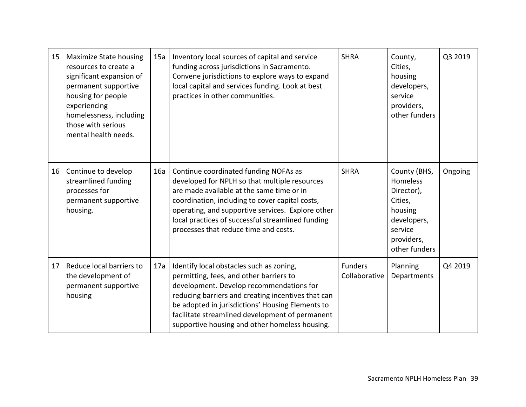| 15 <sub>1</sub> | <b>Maximize State housing</b><br>resources to create a<br>significant expansion of<br>permanent supportive<br>housing for people<br>experiencing<br>homelessness, including<br>those with serious<br>mental health needs. | 15a | Inventory local sources of capital and service<br>funding across jurisdictions in Sacramento.<br>Convene jurisdictions to explore ways to expand<br>local capital and services funding. Look at best<br>practices in other communities.                                                                                                        | <b>SHRA</b>                     | County,<br>Cities,<br>housing<br>developers,<br>service<br>providers,<br>other funders                                | Q3 2019 |
|-----------------|---------------------------------------------------------------------------------------------------------------------------------------------------------------------------------------------------------------------------|-----|------------------------------------------------------------------------------------------------------------------------------------------------------------------------------------------------------------------------------------------------------------------------------------------------------------------------------------------------|---------------------------------|-----------------------------------------------------------------------------------------------------------------------|---------|
| 16 <sup>1</sup> | Continue to develop<br>streamlined funding<br>processes for<br>permanent supportive<br>housing.                                                                                                                           | 16a | Continue coordinated funding NOFAs as<br>developed for NPLH so that multiple resources<br>are made available at the same time or in<br>coordination, including to cover capital costs,<br>operating, and supportive services. Explore other<br>local practices of successful streamlined funding<br>processes that reduce time and costs.      | <b>SHRA</b>                     | County (BHS,<br>Homeless<br>Director),<br>Cities,<br>housing<br>developers,<br>service<br>providers,<br>other funders | Ongoing |
| 17              | Reduce local barriers to<br>the development of<br>permanent supportive<br>housing                                                                                                                                         | 17a | Identify local obstacles such as zoning,<br>permitting, fees, and other barriers to<br>development. Develop recommendations for<br>reducing barriers and creating incentives that can<br>be adopted in jurisdictions' Housing Elements to<br>facilitate streamlined development of permanent<br>supportive housing and other homeless housing. | <b>Funders</b><br>Collaborative | Planning<br>Departments                                                                                               | Q4 2019 |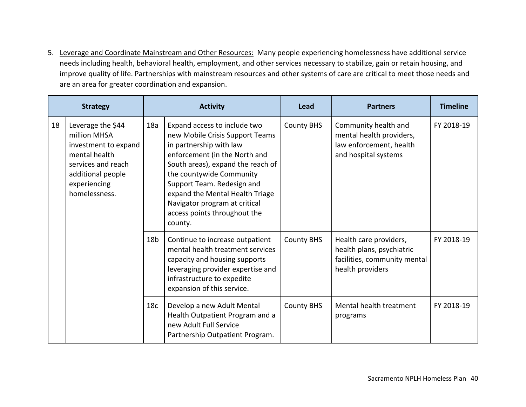5. Leverage and Coordinate Mainstream and Other Resources: Many people experiencing homelessness have additional service needs including health, behavioral health, employment, and other services necessary to stabilize, gain or retain housing, and improve quality of life. Partnerships with mainstream resources and other systems of care are critical to meet those needs and are an area for greater coordination and expansion.

|    | <b>Strategy</b>                                                                                                                                        |                 | <b>Activity</b>                                                                                                                                                                                                                                                                                                                           |                   | <b>Partners</b>                                                                                         | <b>Timeline</b> |
|----|--------------------------------------------------------------------------------------------------------------------------------------------------------|-----------------|-------------------------------------------------------------------------------------------------------------------------------------------------------------------------------------------------------------------------------------------------------------------------------------------------------------------------------------------|-------------------|---------------------------------------------------------------------------------------------------------|-----------------|
| 18 | Leverage the \$44<br>million MHSA<br>investment to expand<br>mental health<br>services and reach<br>additional people<br>experiencing<br>homelessness. | 18a             | Expand access to include two<br>new Mobile Crisis Support Teams<br>in partnership with law<br>enforcement (in the North and<br>South areas), expand the reach of<br>the countywide Community<br>Support Team. Redesign and<br>expand the Mental Health Triage<br>Navigator program at critical<br>access points throughout the<br>county. | <b>County BHS</b> | Community health and<br>mental health providers,<br>law enforcement, health<br>and hospital systems     | FY 2018-19      |
|    |                                                                                                                                                        | 18 <sub>b</sub> | Continue to increase outpatient<br>mental health treatment services<br>capacity and housing supports<br>leveraging provider expertise and<br>infrastructure to expedite<br>expansion of this service.                                                                                                                                     | <b>County BHS</b> | Health care providers,<br>health plans, psychiatric<br>facilities, community mental<br>health providers | FY 2018-19      |
|    |                                                                                                                                                        | 18 <sub>c</sub> | Develop a new Adult Mental<br>Health Outpatient Program and a<br>new Adult Full Service<br>Partnership Outpatient Program.                                                                                                                                                                                                                | <b>County BHS</b> | Mental health treatment<br>programs                                                                     | FY 2018-19      |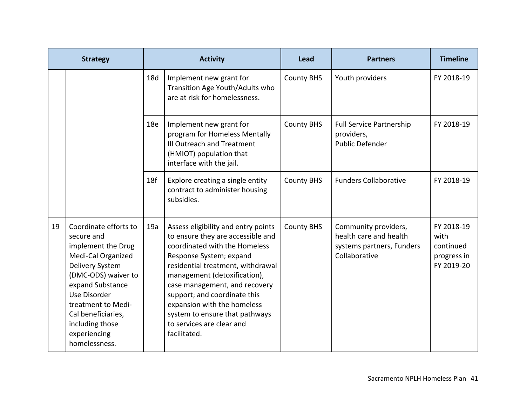|    | <b>Strategy</b>                                                                                                                                                                                                                                               |     | <b>Activity</b>                                                                                                                                                                                                                                                                                                                                                                          | Lead              | <b>Partners</b>                                                                              | <b>Timeline</b>                                              |
|----|---------------------------------------------------------------------------------------------------------------------------------------------------------------------------------------------------------------------------------------------------------------|-----|------------------------------------------------------------------------------------------------------------------------------------------------------------------------------------------------------------------------------------------------------------------------------------------------------------------------------------------------------------------------------------------|-------------------|----------------------------------------------------------------------------------------------|--------------------------------------------------------------|
|    |                                                                                                                                                                                                                                                               | 18d | Implement new grant for<br>Transition Age Youth/Adults who<br>are at risk for homelessness.                                                                                                                                                                                                                                                                                              | <b>County BHS</b> | Youth providers                                                                              | FY 2018-19                                                   |
|    |                                                                                                                                                                                                                                                               | 18e | Implement new grant for<br>program for Homeless Mentally<br>Ill Outreach and Treatment<br>(HMIOT) population that<br>interface with the jail.                                                                                                                                                                                                                                            | <b>County BHS</b> | <b>Full Service Partnership</b><br>providers,<br><b>Public Defender</b>                      | FY 2018-19                                                   |
|    |                                                                                                                                                                                                                                                               | 18f | Explore creating a single entity<br>contract to administer housing<br>subsidies.                                                                                                                                                                                                                                                                                                         | <b>County BHS</b> | <b>Funders Collaborative</b>                                                                 | FY 2018-19                                                   |
| 19 | Coordinate efforts to<br>secure and<br>implement the Drug<br>Medi-Cal Organized<br>Delivery System<br>(DMC-ODS) waiver to<br>expand Substance<br>Use Disorder<br>treatment to Medi-<br>Cal beneficiaries,<br>including those<br>experiencing<br>homelessness. | 19a | Assess eligibility and entry points<br>to ensure they are accessible and<br>coordinated with the Homeless<br>Response System; expand<br>residential treatment, withdrawal<br>management (detoxification),<br>case management, and recovery<br>support; and coordinate this<br>expansion with the homeless<br>system to ensure that pathways<br>to services are clear and<br>facilitated. | <b>County BHS</b> | Community providers,<br>health care and health<br>systems partners, Funders<br>Collaborative | FY 2018-19<br>with<br>continued<br>progress in<br>FY 2019-20 |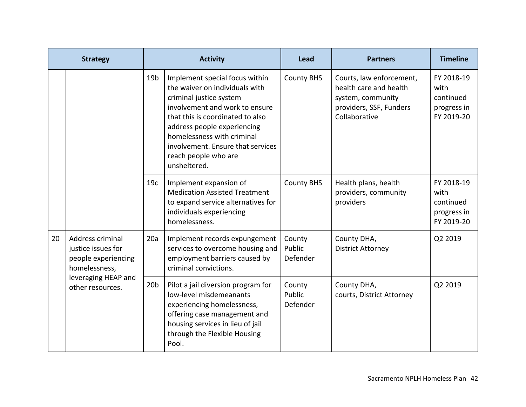|    | <b>Strategy</b>                                                                                                           |                 | <b>Activity</b>                                                                                                                                                                                                                                                                                             | <b>Lead</b>                  | <b>Partners</b>                                                                                                     | <b>Timeline</b>                                              |
|----|---------------------------------------------------------------------------------------------------------------------------|-----------------|-------------------------------------------------------------------------------------------------------------------------------------------------------------------------------------------------------------------------------------------------------------------------------------------------------------|------------------------------|---------------------------------------------------------------------------------------------------------------------|--------------------------------------------------------------|
|    |                                                                                                                           | 19 <sub>b</sub> | Implement special focus within<br>the waiver on individuals with<br>criminal justice system<br>involvement and work to ensure<br>that this is coordinated to also<br>address people experiencing<br>homelessness with criminal<br>involvement. Ensure that services<br>reach people who are<br>unsheltered. | <b>County BHS</b>            | Courts, law enforcement,<br>health care and health<br>system, community<br>providers, SSF, Funders<br>Collaborative | FY 2018-19<br>with<br>continued<br>progress in<br>FY 2019-20 |
|    |                                                                                                                           | 19 <sub>c</sub> | Implement expansion of<br><b>Medication Assisted Treatment</b><br>to expand service alternatives for<br>individuals experiencing<br>homelessness.                                                                                                                                                           | <b>County BHS</b>            | Health plans, health<br>providers, community<br>providers                                                           | FY 2018-19<br>with<br>continued<br>progress in<br>FY 2019-20 |
| 20 | Address criminal<br>justice issues for<br>people experiencing<br>homelessness,<br>leveraging HEAP and<br>other resources. | 20a             | Implement records expungement<br>services to overcome housing and<br>employment barriers caused by<br>criminal convictions.                                                                                                                                                                                 | County<br>Public<br>Defender | County DHA,<br><b>District Attorney</b>                                                                             | Q2 2019                                                      |
|    |                                                                                                                           | 20 <sub>b</sub> | Pilot a jail diversion program for<br>low-level misdemeanants<br>experiencing homelessness,<br>offering case management and<br>housing services in lieu of jail<br>through the Flexible Housing<br>Pool.                                                                                                    | County<br>Public<br>Defender | County DHA,<br>courts, District Attorney                                                                            | Q2 2019                                                      |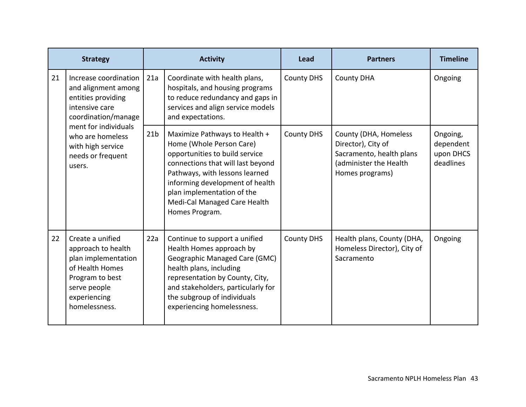|    | <b>Strategy</b>                                                                                                                                                                                             |                 | <b>Activity</b>                                                                                                                                                                                                                                                                       | Lead              | <b>Partners</b>                                                                                                      | <b>Timeline</b>                                 |
|----|-------------------------------------------------------------------------------------------------------------------------------------------------------------------------------------------------------------|-----------------|---------------------------------------------------------------------------------------------------------------------------------------------------------------------------------------------------------------------------------------------------------------------------------------|-------------------|----------------------------------------------------------------------------------------------------------------------|-------------------------------------------------|
| 21 | Increase coordination<br>and alignment among<br>entities providing<br>intensive care<br>coordination/manage<br>ment for individuals<br>who are homeless<br>with high service<br>needs or frequent<br>users. | 21a             | Coordinate with health plans,<br>hospitals, and housing programs<br>to reduce redundancy and gaps in<br>services and align service models<br>and expectations.                                                                                                                        | <b>County DHS</b> | <b>County DHA</b>                                                                                                    | Ongoing                                         |
|    |                                                                                                                                                                                                             | 21 <sub>b</sub> | Maximize Pathways to Health +<br>Home (Whole Person Care)<br>opportunities to build service<br>connections that will last beyond<br>Pathways, with lessons learned<br>informing development of health<br>plan implementation of the<br>Medi-Cal Managed Care Health<br>Homes Program. | <b>County DHS</b> | County (DHA, Homeless<br>Director), City of<br>Sacramento, health plans<br>(administer the Health<br>Homes programs) | Ongoing,<br>dependent<br>upon DHCS<br>deadlines |
| 22 | Create a unified<br>approach to health<br>plan implementation<br>of Health Homes<br>Program to best<br>serve people<br>experiencing<br>homelessness.                                                        | 22a             | Continue to support a unified<br>Health Homes approach by<br>Geographic Managed Care (GMC)<br>health plans, including<br>representation by County, City,<br>and stakeholders, particularly for<br>the subgroup of individuals<br>experiencing homelessness.                           | <b>County DHS</b> | Health plans, County (DHA,<br>Homeless Director), City of<br>Sacramento                                              | Ongoing                                         |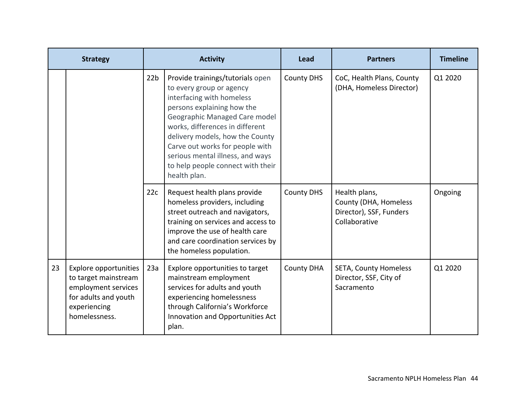|    | <b>Strategy</b>                                                                                                                      |                 | <b>Activity</b>                                                                                                                                                                                                                                                                                                                                            | Lead              | <b>Partners</b>                                                                    | <b>Timeline</b> |
|----|--------------------------------------------------------------------------------------------------------------------------------------|-----------------|------------------------------------------------------------------------------------------------------------------------------------------------------------------------------------------------------------------------------------------------------------------------------------------------------------------------------------------------------------|-------------------|------------------------------------------------------------------------------------|-----------------|
|    |                                                                                                                                      | 22 <sub>b</sub> | Provide trainings/tutorials open<br>to every group or agency<br>interfacing with homeless<br>persons explaining how the<br>Geographic Managed Care model<br>works, differences in different<br>delivery models, how the County<br>Carve out works for people with<br>serious mental illness, and ways<br>to help people connect with their<br>health plan. | <b>County DHS</b> | CoC, Health Plans, County<br>(DHA, Homeless Director)                              | Q1 2020         |
|    |                                                                                                                                      | 22c             | Request health plans provide<br>homeless providers, including<br>street outreach and navigators,<br>training on services and access to<br>improve the use of health care<br>and care coordination services by<br>the homeless population.                                                                                                                  | <b>County DHS</b> | Health plans,<br>County (DHA, Homeless<br>Director), SSF, Funders<br>Collaborative | Ongoing         |
| 23 | <b>Explore opportunities</b><br>to target mainstream<br>employment services<br>for adults and youth<br>experiencing<br>homelessness. | 23a             | Explore opportunities to target<br>mainstream employment<br>services for adults and youth<br>experiencing homelessness<br>through California's Workforce<br>Innovation and Opportunities Act<br>plan.                                                                                                                                                      | <b>County DHA</b> | SETA, County Homeless<br>Director, SSF, City of<br>Sacramento                      | Q1 2020         |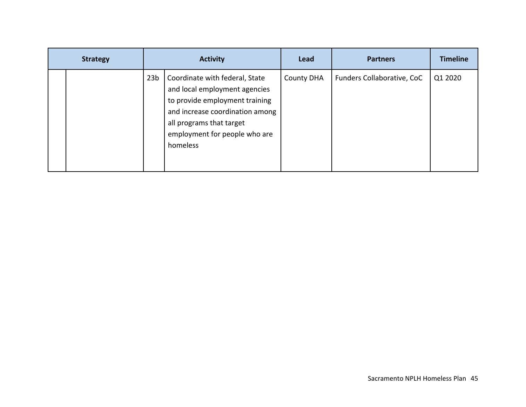| <b>Strategy</b> |  |                 | <b>Activity</b>                                                                                                                                                                                               | Lead              | <b>Partners</b>            | <b>Timeline</b> |
|-----------------|--|-----------------|---------------------------------------------------------------------------------------------------------------------------------------------------------------------------------------------------------------|-------------------|----------------------------|-----------------|
|                 |  | 23 <sub>b</sub> | Coordinate with federal, State<br>and local employment agencies<br>to provide employment training<br>and increase coordination among<br>all programs that target<br>employment for people who are<br>homeless | <b>County DHA</b> | Funders Collaborative, CoC | Q1 2020         |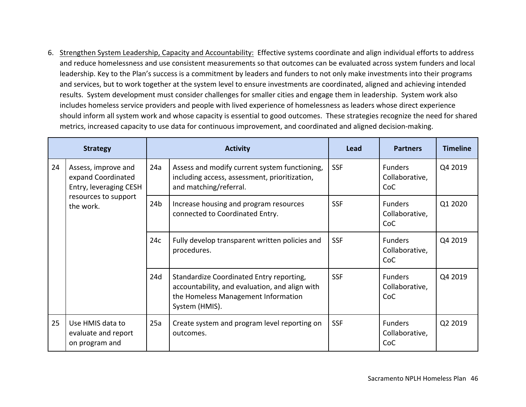6. Strengthen System Leadership, Capacity and Accountability: Effective systems coordinate and align individual efforts to address and reduce homelessness and use consistent measurements so that outcomes can be evaluated across system funders and local leadership. Key to the Plan's success is a commitment by leaders and funders to not only make investments into their programs and services, but to work together at the system level to ensure investments are coordinated, aligned and achieving intended results. System development must consider challenges for smaller cities and engage them in leadership. System work also includes homeless service providers and people with lived experience of homelessness as leaders whose direct experience should inform all system work and whose capacity is essential to good outcomes. These strategies recognize the need for shared metrics, increased capacity to use data for continuous improvement, and coordinated and aligned decision‐making.

|    | <b>Strategy</b>                                                                                          |                 | <b>Activity</b>                                                                                                                                     |            | <b>Partners</b>                         | <b>Timeline</b> |
|----|----------------------------------------------------------------------------------------------------------|-----------------|-----------------------------------------------------------------------------------------------------------------------------------------------------|------------|-----------------------------------------|-----------------|
| 24 | Assess, improve and<br>expand Coordinated<br>Entry, leveraging CESH<br>resources to support<br>the work. | 24a             | Assess and modify current system functioning,<br>including access, assessment, prioritization,<br>and matching/referral.                            | <b>SSF</b> | <b>Funders</b><br>Collaborative,<br>CoC | Q4 2019         |
|    |                                                                                                          | 24 <sub>b</sub> | Increase housing and program resources<br>connected to Coordinated Entry.                                                                           | <b>SSF</b> | <b>Funders</b><br>Collaborative,<br>CoC | Q1 2020         |
|    |                                                                                                          | 24c             | Fully develop transparent written policies and<br>procedures.                                                                                       | <b>SSF</b> | <b>Funders</b><br>Collaborative,<br>CoC | Q4 2019         |
|    |                                                                                                          | 24d             | Standardize Coordinated Entry reporting,<br>accountability, and evaluation, and align with<br>the Homeless Management Information<br>System (HMIS). | <b>SSF</b> | <b>Funders</b><br>Collaborative,<br>CoC | Q4 2019         |
| 25 | Use HMIS data to<br>evaluate and report<br>on program and                                                | 25a             | Create system and program level reporting on<br>outcomes.                                                                                           | <b>SSF</b> | <b>Funders</b><br>Collaborative,<br>CoC | Q2 2019         |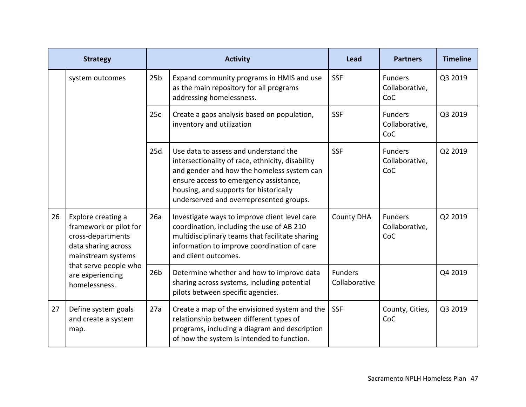|    | <b>Strategy</b>                                                                                                                                                              |                 | <b>Activity</b>                                                                                                                                                                                                                                                        | Lead                            | <b>Partners</b>                         | <b>Timeline</b> |
|----|------------------------------------------------------------------------------------------------------------------------------------------------------------------------------|-----------------|------------------------------------------------------------------------------------------------------------------------------------------------------------------------------------------------------------------------------------------------------------------------|---------------------------------|-----------------------------------------|-----------------|
|    | system outcomes                                                                                                                                                              | 25 <sub>b</sub> | Expand community programs in HMIS and use<br>as the main repository for all programs<br>addressing homelessness.                                                                                                                                                       | <b>SSF</b>                      | <b>Funders</b><br>Collaborative,<br>CoC | Q3 2019         |
|    |                                                                                                                                                                              | 25c             | Create a gaps analysis based on population,<br>inventory and utilization                                                                                                                                                                                               | <b>SSF</b>                      | <b>Funders</b><br>Collaborative,<br>CoC | Q3 2019         |
|    |                                                                                                                                                                              | 25d             | Use data to assess and understand the<br>intersectionality of race, ethnicity, disability<br>and gender and how the homeless system can<br>ensure access to emergency assistance,<br>housing, and supports for historically<br>underserved and overrepresented groups. | <b>SSF</b>                      | <b>Funders</b><br>Collaborative,<br>CoC | Q2 2019         |
| 26 | Explore creating a<br>framework or pilot for<br>cross-departments<br>data sharing across<br>mainstream systems<br>that serve people who<br>are experiencing<br>homelessness. | 26a             | Investigate ways to improve client level care<br>coordination, including the use of AB 210<br>multidisciplinary teams that facilitate sharing<br>information to improve coordination of care<br>and client outcomes.                                                   | <b>County DHA</b>               | <b>Funders</b><br>Collaborative,<br>CoC | Q2 2019         |
|    |                                                                                                                                                                              | 26 <sub>b</sub> | Determine whether and how to improve data<br>sharing across systems, including potential<br>pilots between specific agencies.                                                                                                                                          | <b>Funders</b><br>Collaborative |                                         | Q4 2019         |
| 27 | Define system goals<br>and create a system<br>map.                                                                                                                           | 27a             | Create a map of the envisioned system and the<br>relationship between different types of<br>programs, including a diagram and description<br>of how the system is intended to function.                                                                                | <b>SSF</b>                      | County, Cities,<br>CoC                  | Q3 2019         |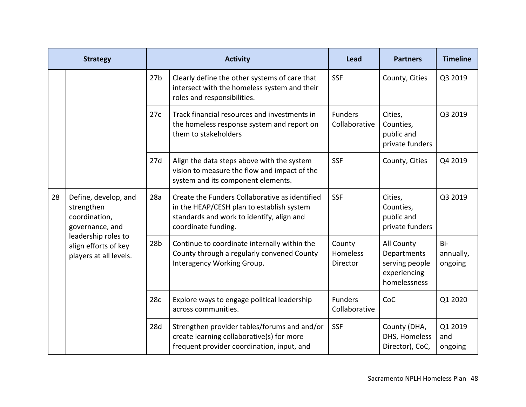|    | <b>Strategy</b>                                                                                                                                 |                 | <b>Activity</b>                                                                                                                                                 | Lead                            | <b>Partners</b>                                                             | <b>Timeline</b>             |
|----|-------------------------------------------------------------------------------------------------------------------------------------------------|-----------------|-----------------------------------------------------------------------------------------------------------------------------------------------------------------|---------------------------------|-----------------------------------------------------------------------------|-----------------------------|
|    |                                                                                                                                                 | 27 <sub>b</sub> | Clearly define the other systems of care that<br>intersect with the homeless system and their<br>roles and responsibilities.                                    | <b>SSF</b>                      | County, Cities                                                              | Q3 2019                     |
|    |                                                                                                                                                 | 27c             | Track financial resources and investments in<br>the homeless response system and report on<br>them to stakeholders                                              | <b>Funders</b><br>Collaborative | Cities,<br>Counties,<br>public and<br>private funders                       | Q3 2019                     |
|    |                                                                                                                                                 | 27d             | Align the data steps above with the system<br>vision to measure the flow and impact of the<br>system and its component elements.                                | <b>SSF</b>                      | County, Cities                                                              | Q4 2019                     |
| 28 | Define, develop, and<br>strengthen<br>coordination,<br>governance, and<br>leadership roles to<br>align efforts of key<br>players at all levels. | 28a             | Create the Funders Collaborative as identified<br>in the HEAP/CESH plan to establish system<br>standards and work to identify, align and<br>coordinate funding. | <b>SSF</b>                      | Cities,<br>Counties,<br>public and<br>private funders                       | Q3 2019                     |
|    |                                                                                                                                                 | 28 <sub>b</sub> | Continue to coordinate internally within the<br>County through a regularly convened County<br>Interagency Working Group.                                        | County<br>Homeless<br>Director  | All County<br>Departments<br>serving people<br>experiencing<br>homelessness | Bi-<br>annually,<br>ongoing |
|    |                                                                                                                                                 | 28c             | Explore ways to engage political leadership<br>across communities.                                                                                              | <b>Funders</b><br>Collaborative | CoC                                                                         | Q1 2020                     |
|    |                                                                                                                                                 | 28d             | Strengthen provider tables/forums and and/or<br>create learning collaborative(s) for more<br>frequent provider coordination, input, and                         | <b>SSF</b>                      | County (DHA,<br>DHS, Homeless<br>Director), CoC,                            | Q1 2019<br>and<br>ongoing   |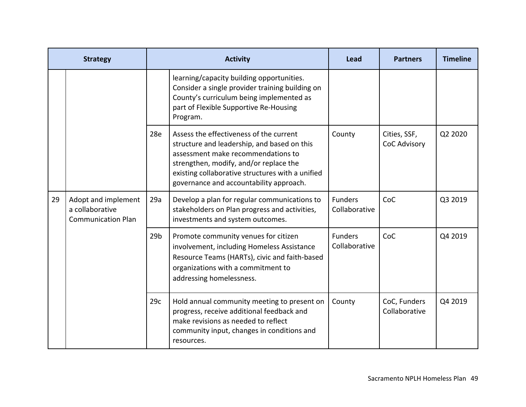|    | <b>Strategy</b>                                                     |                 | <b>Activity</b>                                                                                                                                                                                                                                                       | Lead                            | <b>Partners</b>                     | <b>Timeline</b> |
|----|---------------------------------------------------------------------|-----------------|-----------------------------------------------------------------------------------------------------------------------------------------------------------------------------------------------------------------------------------------------------------------------|---------------------------------|-------------------------------------|-----------------|
|    |                                                                     |                 | learning/capacity building opportunities.<br>Consider a single provider training building on<br>County's curriculum being implemented as<br>part of Flexible Supportive Re-Housing<br>Program.                                                                        |                                 |                                     |                 |
|    |                                                                     | 28e             | Assess the effectiveness of the current<br>structure and leadership, and based on this<br>assessment make recommendations to<br>strengthen, modify, and/or replace the<br>existing collaborative structures with a unified<br>governance and accountability approach. | County                          | Cities, SSF,<br><b>CoC Advisory</b> | Q2 2020         |
| 29 | Adopt and implement<br>a collaborative<br><b>Communication Plan</b> | 29a             | Develop a plan for regular communications to<br>stakeholders on Plan progress and activities,<br>investments and system outcomes.                                                                                                                                     | <b>Funders</b><br>Collaborative | CoC                                 | Q3 2019         |
|    |                                                                     | 29 <sub>b</sub> | Promote community venues for citizen<br>involvement, including Homeless Assistance<br>Resource Teams (HARTs), civic and faith-based<br>organizations with a commitment to<br>addressing homelessness.                                                                 | <b>Funders</b><br>Collaborative | CoC                                 | Q4 2019         |
|    |                                                                     | 29c             | Hold annual community meeting to present on<br>progress, receive additional feedback and<br>make revisions as needed to reflect<br>community input, changes in conditions and<br>resources.                                                                           | County                          | CoC, Funders<br>Collaborative       | Q4 2019         |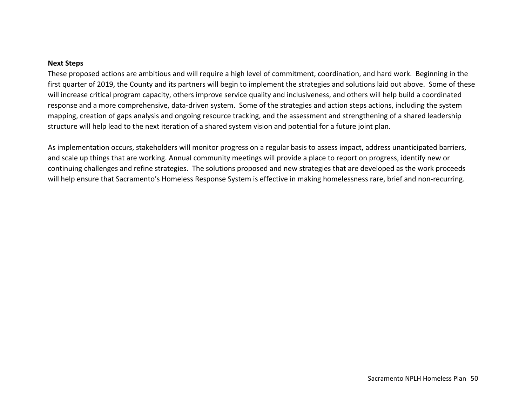#### **Next Steps**

These proposed actions are ambitious and will require a high level of commitment, coordination, and hard work. Beginning in the first quarter of 2019, the County and its partners will begin to implement the strategies and solutions laid out above. Some of these will increase critical program capacity, others improve service quality and inclusiveness, and others will help build a coordinated response and a more comprehensive, data‐driven system. Some of the strategies and action steps actions, including the system mapping, creation of gaps analysis and ongoing resource tracking, and the assessment and strengthening of a shared leadership structure will help lead to the next iteration of a shared system vision and potential for a future joint plan.

As implementation occurs, stakeholders will monitor progress on a regular basis to assess impact, address unanticipated barriers, and scale up things that are working. Annual community meetings will provide a place to report on progress, identify new or continuing challenges and refine strategies. The solutions proposed and new strategies that are developed as the work proceeds will help ensure that Sacramento's Homeless Response System is effective in making homelessness rare, brief and non-recurring.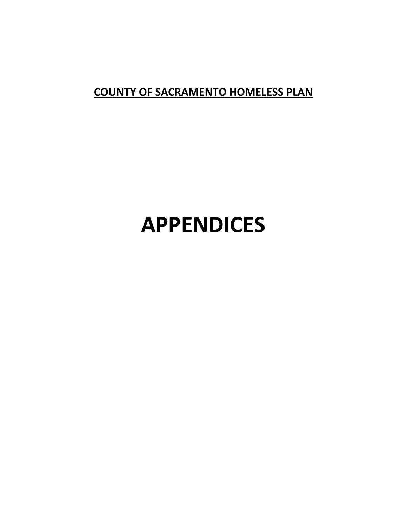# **COUNTY OF SACRAMENTO HOMELESS PLAN**

# **APPENDICES**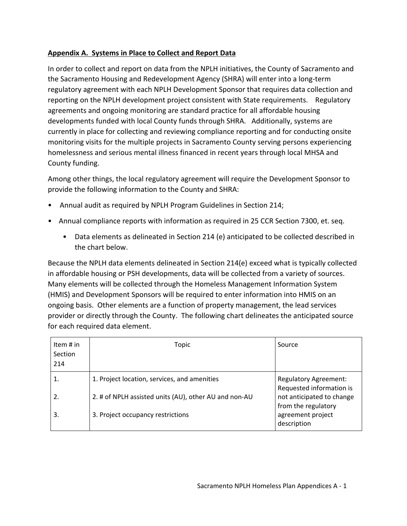#### **Appendix A. Systems in Place to Collect and Report Data**

In order to collect and report on data from the NPLH initiatives, the County of Sacramento and the Sacramento Housing and Redevelopment Agency (SHRA) will enter into a long‐term regulatory agreement with each NPLH Development Sponsor that requires data collection and reporting on the NPLH development project consistent with State requirements. Regulatory agreements and ongoing monitoring are standard practice for all affordable housing developments funded with local County funds through SHRA. Additionally, systems are currently in place for collecting and reviewing compliance reporting and for conducting onsite monitoring visits for the multiple projects in Sacramento County serving persons experiencing homelessness and serious mental illness financed in recent years through local MHSA and County funding.

Among other things, the local regulatory agreement will require the Development Sponsor to provide the following information to the County and SHRA:

- Annual audit as required by NPLH Program Guidelines in Section 214;
- Annual compliance reports with information as required in 25 CCR Section 7300, et. seq.
	- Data elements as delineated in Section 214 (e) anticipated to be collected described in the chart below.

Because the NPLH data elements delineated in Section 214(e) exceed what is typically collected in affordable housing or PSH developments, data will be collected from a variety of sources. Many elements will be collected through the Homeless Management Information System (HMIS) and Development Sponsors will be required to enter information into HMIS on an ongoing basis. Other elements are a function of property management, the lead services provider or directly through the County. The following chart delineates the anticipated source for each required data element.

| Item $#$ in<br>Section<br>214 | Topic                                                 | Source                                                   |
|-------------------------------|-------------------------------------------------------|----------------------------------------------------------|
|                               | 1. Project location, services, and amenities          | <b>Regulatory Agreement:</b><br>Requested information is |
|                               | 2. # of NPLH assisted units (AU), other AU and non-AU | not anticipated to change<br>from the regulatory         |
| 3.                            | 3. Project occupancy restrictions                     | agreement project<br>description                         |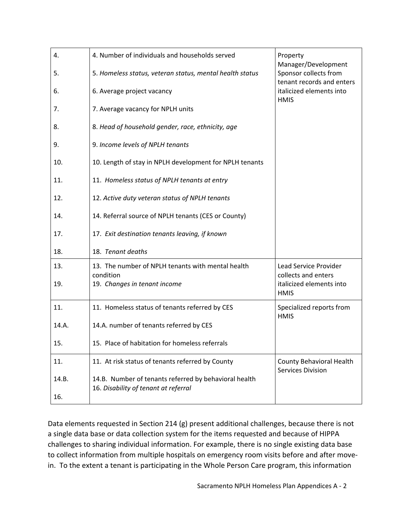| 4.    | 4. Number of individuals and households served                                                | Property<br>Manager/Development                      |
|-------|-----------------------------------------------------------------------------------------------|------------------------------------------------------|
| 5.    | 5. Homeless status, veteran status, mental health status                                      | Sponsor collects from<br>tenant records and enters   |
| 6.    | 6. Average project vacancy                                                                    | italicized elements into<br><b>HMIS</b>              |
| 7.    | 7. Average vacancy for NPLH units                                                             |                                                      |
| 8.    | 8. Head of household gender, race, ethnicity, age                                             |                                                      |
| 9.    | 9. Income levels of NPLH tenants                                                              |                                                      |
| 10.   | 10. Length of stay in NPLH development for NPLH tenants                                       |                                                      |
| 11.   | 11. Homeless status of NPLH tenants at entry                                                  |                                                      |
| 12.   | 12. Active duty veteran status of NPLH tenants                                                |                                                      |
| 14.   | 14. Referral source of NPLH tenants (CES or County)                                           |                                                      |
| 17.   | 17. Exit destination tenants leaving, if known                                                |                                                      |
| 18.   | 18. Tenant deaths                                                                             |                                                      |
| 13.   | 13. The number of NPLH tenants with mental health<br>condition                                | Lead Service Provider<br>collects and enters         |
| 19.   | 19. Changes in tenant income                                                                  | italicized elements into<br><b>HMIS</b>              |
| 11.   | 11. Homeless status of tenants referred by CES                                                | Specialized reports from<br><b>HMIS</b>              |
| 14.A. | 14.A. number of tenants referred by CES                                                       |                                                      |
| 15.   | 15. Place of habitation for homeless referrals                                                |                                                      |
| 11.   | 11. At risk status of tenants referred by County                                              | <b>County Behavioral Health</b><br>Services Division |
| 14.B. | 14.B. Number of tenants referred by behavioral health<br>16. Disability of tenant at referral |                                                      |
| 16.   |                                                                                               |                                                      |

Data elements requested in Section 214 (g) present additional challenges, because there is not a single data base or data collection system for the items requested and because of HIPPA challenges to sharing individual information. For example, there is no single existing data base to collect information from multiple hospitals on emergency room visits before and after move‐ in. To the extent a tenant is participating in the Whole Person Care program, this information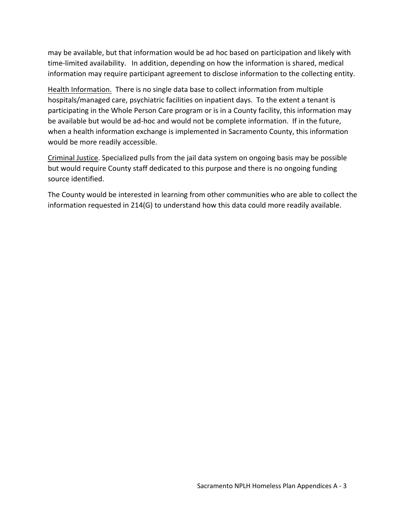may be available, but that information would be ad hoc based on participation and likely with time‐limited availability. In addition, depending on how the information is shared, medical information may require participant agreement to disclose information to the collecting entity.

Health Information. There is no single data base to collect information from multiple hospitals/managed care, psychiatric facilities on inpatient days. To the extent a tenant is participating in the Whole Person Care program or is in a County facility, this information may be available but would be ad‐hoc and would not be complete information. If in the future, when a health information exchange is implemented in Sacramento County, this information would be more readily accessible.

Criminal Justice. Specialized pulls from the jail data system on ongoing basis may be possible but would require County staff dedicated to this purpose and there is no ongoing funding source identified.

The County would be interested in learning from other communities who are able to collect the information requested in 214(G) to understand how this data could more readily available.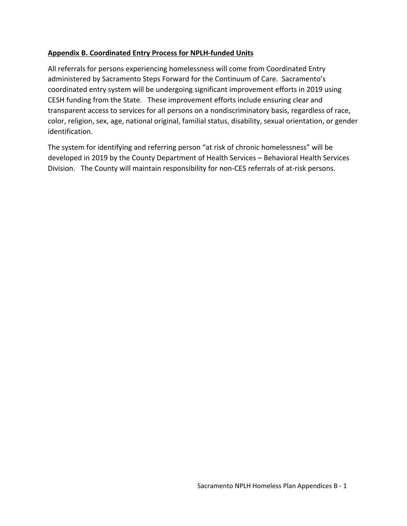#### **Appendix B. Coordinated Entry Process for NPLH‐funded Units**

All referrals for persons experiencing homelessness will come from Coordinated Entry administered by Sacramento Steps Forward for the Continuum of Care. Sacramento's coordinated entry system will be undergoing significant improvement efforts in 2019 using CESH funding from the State. These improvement efforts include ensuring clear and transparent access to services for all persons on a nondiscriminatory basis, regardless of race, color, religion, sex, age, national original, familial status, disability, sexual orientation, or gender identification.

The system for identifying and referring person "at risk of chronic homelessness" will be developed in 2019 by the County Department of Health Services – Behavioral Health Services Division. The County will maintain responsibility for non‐CES referrals of at‐risk persons.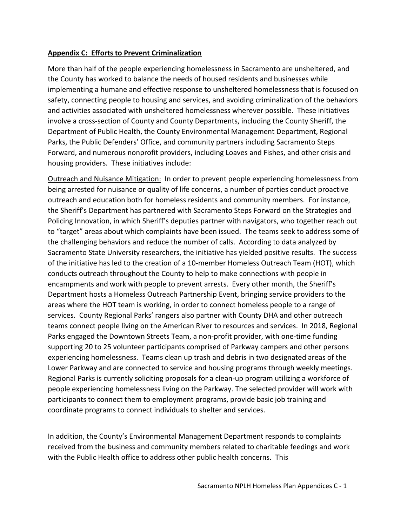#### **Appendix C: Efforts to Prevent Criminalization**

More than half of the people experiencing homelessness in Sacramento are unsheltered, and the County has worked to balance the needs of housed residents and businesses while implementing a humane and effective response to unsheltered homelessness that is focused on safety, connecting people to housing and services, and avoiding criminalization of the behaviors and activities associated with unsheltered homelessness wherever possible. These initiatives involve a cross‐section of County and County Departments, including the County Sheriff, the Department of Public Health, the County Environmental Management Department, Regional Parks, the Public Defenders' Office, and community partners including Sacramento Steps Forward, and numerous nonprofit providers, including Loaves and Fishes, and other crisis and housing providers. These initiatives include:

Outreach and Nuisance Mitigation: In order to prevent people experiencing homelessness from being arrested for nuisance or quality of life concerns, a number of parties conduct proactive outreach and education both for homeless residents and community members. For instance, the Sheriff's Department has partnered with Sacramento Steps Forward on the Strategies and Policing Innovation, in which Sheriff's deputies partner with navigators, who together reach out to "target" areas about which complaints have been issued. The teams seek to address some of the challenging behaviors and reduce the number of calls. According to data analyzed by Sacramento State University researchers, the initiative has yielded positive results. The success of the initiative has led to the creation of a 10‐member Homeless Outreach Team (HOT), which conducts outreach throughout the County to help to make connections with people in encampments and work with people to prevent arrests. Every other month, the Sheriff's Department hosts a Homeless Outreach Partnership Event, bringing service providers to the areas where the HOT team is working, in order to connect homeless people to a range of services. County Regional Parks' rangers also partner with County DHA and other outreach teams connect people living on the American River to resources and services. In 2018, Regional Parks engaged the Downtown Streets Team, a non‐profit provider, with one‐time funding supporting 20 to 25 volunteer participants comprised of Parkway campers and other persons experiencing homelessness. Teams clean up trash and debris in two designated areas of the Lower Parkway and are connected to service and housing programs through weekly meetings. Regional Parks is currently soliciting proposals for a clean‐up program utilizing a workforce of people experiencing homelessness living on the Parkway. The selected provider will work with participants to connect them to employment programs, provide basic job training and coordinate programs to connect individuals to shelter and services.

In addition, the County's Environmental Management Department responds to complaints received from the business and community members related to charitable feedings and work with the Public Health office to address other public health concerns. This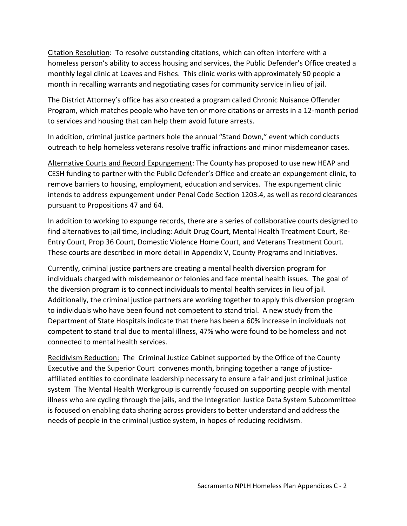Citation Resolution: To resolve outstanding citations, which can often interfere with a homeless person's ability to access housing and services, the Public Defender's Office created a monthly legal clinic at Loaves and Fishes. This clinic works with approximately 50 people a month in recalling warrants and negotiating cases for community service in lieu of jail.

The District Attorney's office has also created a program called Chronic Nuisance Offender Program, which matches people who have ten or more citations or arrests in a 12‐month period to services and housing that can help them avoid future arrests.

In addition, criminal justice partners hole the annual "Stand Down," event which conducts outreach to help homeless veterans resolve traffic infractions and minor misdemeanor cases.

Alternative Courts and Record Expungement: The County has proposed to use new HEAP and CESH funding to partner with the Public Defender's Office and create an expungement clinic, to remove barriers to housing, employment, education and services. The expungement clinic intends to address expungement under Penal Code Section 1203.4, as well as record clearances pursuant to Propositions 47 and 64.

In addition to working to expunge records, there are a series of collaborative courts designed to find alternatives to jail time, including: Adult Drug Court, Mental Health Treatment Court, Re‐ Entry Court, Prop 36 Court, Domestic Violence Home Court, and Veterans Treatment Court. These courts are described in more detail in Appendix V, County Programs and Initiatives.

Currently, criminal justice partners are creating a mental health diversion program for individuals charged with misdemeanor or felonies and face mental health issues. The goal of the diversion program is to connect individuals to mental health services in lieu of jail. Additionally, the criminal justice partners are working together to apply this diversion program to individuals who have been found not competent to stand trial. A new study from the Department of State Hospitals indicate that there has been a 60% increase in individuals not competent to stand trial due to mental illness, 47% who were found to be homeless and not connected to mental health services.

Recidivism Reduction: The Criminal Justice Cabinet supported by the Office of the County Executive and the Superior Court convenes month, bringing together a range of justice‐ affiliated entities to coordinate leadership necessary to ensure a fair and just criminal justice system The Mental Health Workgroup is currently focused on supporting people with mental illness who are cycling through the jails, and the Integration Justice Data System Subcommittee is focused on enabling data sharing across providers to better understand and address the needs of people in the criminal justice system, in hopes of reducing recidivism.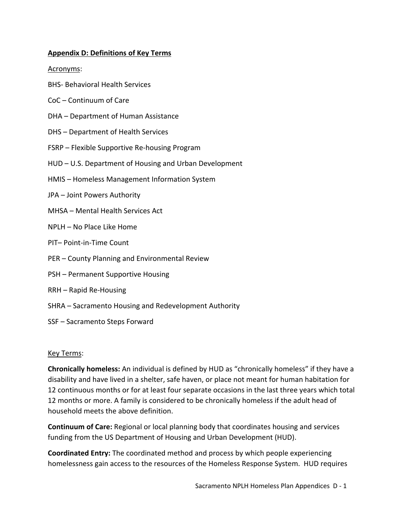#### **Appendix D: Definitions of Key Terms**

#### Acronyms:

- BHS‐ Behavioral Health Services
- CoC Continuum of Care
- DHA Department of Human Assistance
- DHS Department of Health Services
- FSRP Flexible Supportive Re‐housing Program
- HUD U.S. Department of Housing and Urban Development
- HMIS Homeless Management Information System
- JPA Joint Powers Authority
- MHSA Mental Health Services Act
- NPLH No Place Like Home
- PIT– Point‐in‐Time Count
- PER County Planning and Environmental Review
- PSH Permanent Supportive Housing
- RRH Rapid Re‐Housing
- SHRA Sacramento Housing and Redevelopment Authority
- SSF Sacramento Steps Forward

#### Key Terms:

**Chronically homeless:** An individual is defined by HUD as "chronically homeless" if they have a disability and have lived in a shelter, safe haven, or place not meant for human habitation for 12 continuous months or for at least four separate occasions in the last three years which total 12 months or more. A family is considered to be chronically homeless if the adult head of household meets the above definition.

**Continuum of Care:** Regional or local planning body that coordinates housing and services funding from the US Department of Housing and Urban Development (HUD).

**Coordinated Entry:** The coordinated method and process by which people experiencing homelessness gain access to the resources of the Homeless Response System. HUD requires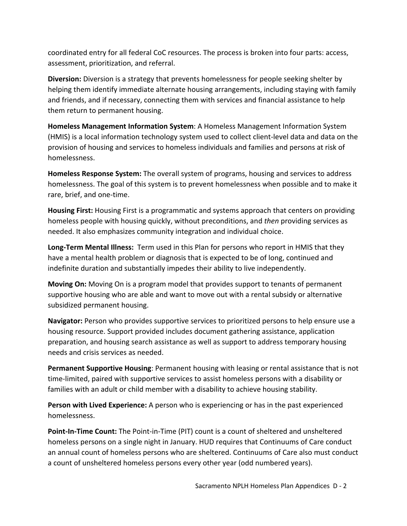coordinated entry for all federal CoC resources. The process is broken into four parts: access, assessment, prioritization, and referral.

**Diversion:** Diversion is a strategy that prevents homelessness for people seeking shelter by helping them identify immediate alternate housing arrangements, including staying with family and friends, and if necessary, connecting them with services and financial assistance to help them return to permanent housing.

**Homeless Management Information System**: A Homeless Management Information System (HMIS) is a local information technology system used to collect client‐level data and data on the provision of housing and services to homeless individuals and families and persons at risk of homelessness.

**Homeless Response System:** The overall system of programs, housing and services to address homelessness. The goal of this system is to prevent homelessness when possible and to make it rare, brief, and one‐time.

**Housing First:** Housing First is a programmatic and systems approach that centers on providing homeless people with housing quickly, without preconditions, and *then* providing services as needed. It also emphasizes community integration and individual choice.

**Long‐Term Mental Illness:** Term used in this Plan for persons who report in HMIS that they have a mental health problem or diagnosis that is expected to be of long, continued and indefinite duration and substantially impedes their ability to live independently.

**Moving On:** Moving On is a program model that provides support to tenants of permanent supportive housing who are able and want to move out with a rental subsidy or alternative subsidized permanent housing.

**Navigator:** Person who provides supportive services to prioritized persons to help ensure use a housing resource. Support provided includes document gathering assistance, application preparation, and housing search assistance as well as support to address temporary housing needs and crisis services as needed.

**Permanent Supportive Housing**: Permanent housing with leasing or rental assistance that is not time‐limited, paired with supportive services to assist homeless persons with a disability or families with an adult or child member with a disability to achieve housing stability.

**Person with Lived Experience:** A person who is experiencing or has in the past experienced homelessness.

**Point-In-Time Count:** The Point-in-Time (PIT) count is a count of sheltered and unsheltered homeless persons on a single night in January. HUD requires that Continuums of Care conduct an annual count of homeless persons who are sheltered. Continuums of Care also must conduct a count of unsheltered homeless persons every other year (odd numbered years).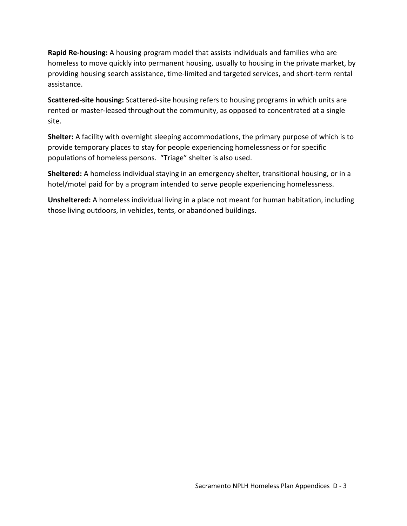**Rapid Re‐housing:** A housing program model that assists individuals and families who are homeless to move quickly into permanent housing, usually to housing in the private market, by providing housing search assistance, time‐limited and targeted services, and short‐term rental assistance.

**Scattered‐site housing:** Scattered‐site housing refers to housing programs in which units are rented or master-leased throughout the community, as opposed to concentrated at a single site.

**Shelter:** A facility with overnight sleeping accommodations, the primary purpose of which is to provide temporary places to stay for people experiencing homelessness or for specific populations of homeless persons. "Triage" shelter is also used.

**Sheltered:** A homeless individual staying in an emergency shelter, transitional housing, or in a hotel/motel paid for by a program intended to serve people experiencing homelessness.

**Unsheltered:** A homeless individual living in a place not meant for human habitation, including those living outdoors, in vehicles, tents, or abandoned buildings.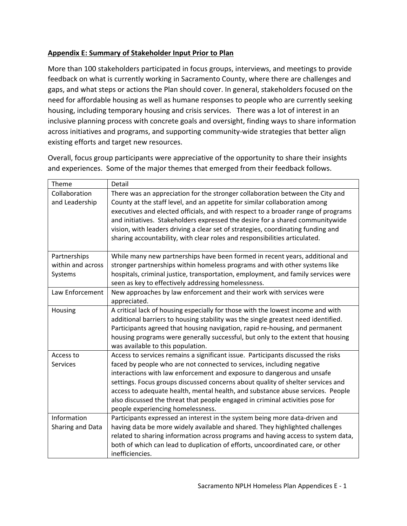# **Appendix E: Summary of Stakeholder Input Prior to Plan**

More than 100 stakeholders participated in focus groups, interviews, and meetings to provide feedback on what is currently working in Sacramento County, where there are challenges and gaps, and what steps or actions the Plan should cover. In general, stakeholders focused on the need for affordable housing as well as humane responses to people who are currently seeking housing, including temporary housing and crisis services. There was a lot of interest in an inclusive planning process with concrete goals and oversight, finding ways to share information across initiatives and programs, and supporting community-wide strategies that better align existing efforts and target new resources.

Overall, focus group participants were appreciative of the opportunity to share their insights and experiences. Some of the major themes that emerged from their feedback follows.

| Theme                                        | Detail                                                                                                                                                                                                                                                                                                                                                                                                                                                                                                                         |
|----------------------------------------------|--------------------------------------------------------------------------------------------------------------------------------------------------------------------------------------------------------------------------------------------------------------------------------------------------------------------------------------------------------------------------------------------------------------------------------------------------------------------------------------------------------------------------------|
| Collaboration<br>and Leadership              | There was an appreciation for the stronger collaboration between the City and<br>County at the staff level, and an appetite for similar collaboration among<br>executives and elected officials, and with respect to a broader range of programs<br>and initiatives. Stakeholders expressed the desire for a shared communitywide<br>vision, with leaders driving a clear set of strategies, coordinating funding and<br>sharing accountability, with clear roles and responsibilities articulated.                            |
| Partnerships<br>within and across<br>Systems | While many new partnerships have been formed in recent years, additional and<br>stronger partnerships within homeless programs and with other systems like<br>hospitals, criminal justice, transportation, employment, and family services were<br>seen as key to effectively addressing homelessness.                                                                                                                                                                                                                         |
| Law Enforcement                              | New approaches by law enforcement and their work with services were<br>appreciated.                                                                                                                                                                                                                                                                                                                                                                                                                                            |
| Housing                                      | A critical lack of housing especially for those with the lowest income and with<br>additional barriers to housing stability was the single greatest need identified.<br>Participants agreed that housing navigation, rapid re-housing, and permanent<br>housing programs were generally successful, but only to the extent that housing<br>was available to this population.                                                                                                                                                   |
| Access to<br><b>Services</b>                 | Access to services remains a significant issue. Participants discussed the risks<br>faced by people who are not connected to services, including negative<br>interactions with law enforcement and exposure to dangerous and unsafe<br>settings. Focus groups discussed concerns about quality of shelter services and<br>access to adequate health, mental health, and substance abuse services. People<br>also discussed the threat that people engaged in criminal activities pose for<br>people experiencing homelessness. |
| Information<br>Sharing and Data              | Participants expressed an interest in the system being more data-driven and<br>having data be more widely available and shared. They highlighted challenges<br>related to sharing information across programs and having access to system data,<br>both of which can lead to duplication of efforts, uncoordinated care, or other<br>inefficiencies.                                                                                                                                                                           |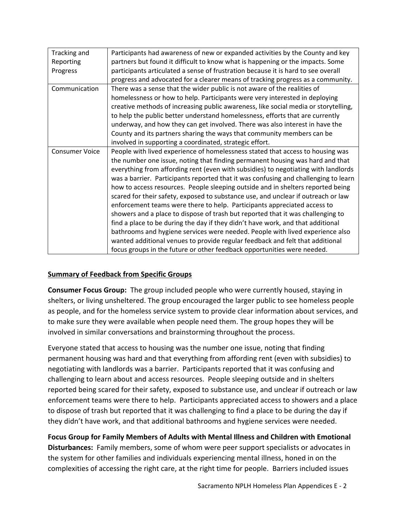| Participants had awareness of new or expanded activities by the County and key<br>Tracking and<br>partners but found it difficult to know what is happening or the impacts. Some<br>Reporting<br>participants articulated a sense of frustration because it is hard to see overall<br>Progress<br>progress and advocated for a clearer means of tracking progress as a community.<br>There was a sense that the wider public is not aware of the realities of<br>Communication<br>homelessness or how to help. Participants were very interested in deploying<br>creative methods of increasing public awareness, like social media or storytelling,<br>to help the public better understand homelessness, efforts that are currently<br>underway, and how they can get involved. There was also interest in have the<br>County and its partners sharing the ways that community members can be<br>involved in supporting a coordinated, strategic effort.<br>People with lived experience of homelessness stated that access to housing was<br><b>Consumer Voice</b><br>the number one issue, noting that finding permanent housing was hard and that<br>everything from affording rent (even with subsidies) to negotiating with landlords<br>was a barrier. Participants reported that it was confusing and challenging to learn<br>how to access resources. People sleeping outside and in shelters reported being<br>scared for their safety, exposed to substance use, and unclear if outreach or law<br>enforcement teams were there to help. Participants appreciated access to<br>showers and a place to dispose of trash but reported that it was challenging to<br>find a place to be during the day if they didn't have work, and that additional<br>bathrooms and hygiene services were needed. People with lived experience also<br>wanted additional venues to provide regular feedback and felt that additional<br>focus groups in the future or other feedback opportunities were needed. |  |
|------------------------------------------------------------------------------------------------------------------------------------------------------------------------------------------------------------------------------------------------------------------------------------------------------------------------------------------------------------------------------------------------------------------------------------------------------------------------------------------------------------------------------------------------------------------------------------------------------------------------------------------------------------------------------------------------------------------------------------------------------------------------------------------------------------------------------------------------------------------------------------------------------------------------------------------------------------------------------------------------------------------------------------------------------------------------------------------------------------------------------------------------------------------------------------------------------------------------------------------------------------------------------------------------------------------------------------------------------------------------------------------------------------------------------------------------------------------------------------------------------------------------------------------------------------------------------------------------------------------------------------------------------------------------------------------------------------------------------------------------------------------------------------------------------------------------------------------------------------------------------------------------------------------------------------------------------------------------------------------------------------|--|
|                                                                                                                                                                                                                                                                                                                                                                                                                                                                                                                                                                                                                                                                                                                                                                                                                                                                                                                                                                                                                                                                                                                                                                                                                                                                                                                                                                                                                                                                                                                                                                                                                                                                                                                                                                                                                                                                                                                                                                                                            |  |
|                                                                                                                                                                                                                                                                                                                                                                                                                                                                                                                                                                                                                                                                                                                                                                                                                                                                                                                                                                                                                                                                                                                                                                                                                                                                                                                                                                                                                                                                                                                                                                                                                                                                                                                                                                                                                                                                                                                                                                                                            |  |
|                                                                                                                                                                                                                                                                                                                                                                                                                                                                                                                                                                                                                                                                                                                                                                                                                                                                                                                                                                                                                                                                                                                                                                                                                                                                                                                                                                                                                                                                                                                                                                                                                                                                                                                                                                                                                                                                                                                                                                                                            |  |
|                                                                                                                                                                                                                                                                                                                                                                                                                                                                                                                                                                                                                                                                                                                                                                                                                                                                                                                                                                                                                                                                                                                                                                                                                                                                                                                                                                                                                                                                                                                                                                                                                                                                                                                                                                                                                                                                                                                                                                                                            |  |
|                                                                                                                                                                                                                                                                                                                                                                                                                                                                                                                                                                                                                                                                                                                                                                                                                                                                                                                                                                                                                                                                                                                                                                                                                                                                                                                                                                                                                                                                                                                                                                                                                                                                                                                                                                                                                                                                                                                                                                                                            |  |
|                                                                                                                                                                                                                                                                                                                                                                                                                                                                                                                                                                                                                                                                                                                                                                                                                                                                                                                                                                                                                                                                                                                                                                                                                                                                                                                                                                                                                                                                                                                                                                                                                                                                                                                                                                                                                                                                                                                                                                                                            |  |
|                                                                                                                                                                                                                                                                                                                                                                                                                                                                                                                                                                                                                                                                                                                                                                                                                                                                                                                                                                                                                                                                                                                                                                                                                                                                                                                                                                                                                                                                                                                                                                                                                                                                                                                                                                                                                                                                                                                                                                                                            |  |
|                                                                                                                                                                                                                                                                                                                                                                                                                                                                                                                                                                                                                                                                                                                                                                                                                                                                                                                                                                                                                                                                                                                                                                                                                                                                                                                                                                                                                                                                                                                                                                                                                                                                                                                                                                                                                                                                                                                                                                                                            |  |
|                                                                                                                                                                                                                                                                                                                                                                                                                                                                                                                                                                                                                                                                                                                                                                                                                                                                                                                                                                                                                                                                                                                                                                                                                                                                                                                                                                                                                                                                                                                                                                                                                                                                                                                                                                                                                                                                                                                                                                                                            |  |
|                                                                                                                                                                                                                                                                                                                                                                                                                                                                                                                                                                                                                                                                                                                                                                                                                                                                                                                                                                                                                                                                                                                                                                                                                                                                                                                                                                                                                                                                                                                                                                                                                                                                                                                                                                                                                                                                                                                                                                                                            |  |
|                                                                                                                                                                                                                                                                                                                                                                                                                                                                                                                                                                                                                                                                                                                                                                                                                                                                                                                                                                                                                                                                                                                                                                                                                                                                                                                                                                                                                                                                                                                                                                                                                                                                                                                                                                                                                                                                                                                                                                                                            |  |
|                                                                                                                                                                                                                                                                                                                                                                                                                                                                                                                                                                                                                                                                                                                                                                                                                                                                                                                                                                                                                                                                                                                                                                                                                                                                                                                                                                                                                                                                                                                                                                                                                                                                                                                                                                                                                                                                                                                                                                                                            |  |
|                                                                                                                                                                                                                                                                                                                                                                                                                                                                                                                                                                                                                                                                                                                                                                                                                                                                                                                                                                                                                                                                                                                                                                                                                                                                                                                                                                                                                                                                                                                                                                                                                                                                                                                                                                                                                                                                                                                                                                                                            |  |
|                                                                                                                                                                                                                                                                                                                                                                                                                                                                                                                                                                                                                                                                                                                                                                                                                                                                                                                                                                                                                                                                                                                                                                                                                                                                                                                                                                                                                                                                                                                                                                                                                                                                                                                                                                                                                                                                                                                                                                                                            |  |
|                                                                                                                                                                                                                                                                                                                                                                                                                                                                                                                                                                                                                                                                                                                                                                                                                                                                                                                                                                                                                                                                                                                                                                                                                                                                                                                                                                                                                                                                                                                                                                                                                                                                                                                                                                                                                                                                                                                                                                                                            |  |
|                                                                                                                                                                                                                                                                                                                                                                                                                                                                                                                                                                                                                                                                                                                                                                                                                                                                                                                                                                                                                                                                                                                                                                                                                                                                                                                                                                                                                                                                                                                                                                                                                                                                                                                                                                                                                                                                                                                                                                                                            |  |
|                                                                                                                                                                                                                                                                                                                                                                                                                                                                                                                                                                                                                                                                                                                                                                                                                                                                                                                                                                                                                                                                                                                                                                                                                                                                                                                                                                                                                                                                                                                                                                                                                                                                                                                                                                                                                                                                                                                                                                                                            |  |
|                                                                                                                                                                                                                                                                                                                                                                                                                                                                                                                                                                                                                                                                                                                                                                                                                                                                                                                                                                                                                                                                                                                                                                                                                                                                                                                                                                                                                                                                                                                                                                                                                                                                                                                                                                                                                                                                                                                                                                                                            |  |
|                                                                                                                                                                                                                                                                                                                                                                                                                                                                                                                                                                                                                                                                                                                                                                                                                                                                                                                                                                                                                                                                                                                                                                                                                                                                                                                                                                                                                                                                                                                                                                                                                                                                                                                                                                                                                                                                                                                                                                                                            |  |
|                                                                                                                                                                                                                                                                                                                                                                                                                                                                                                                                                                                                                                                                                                                                                                                                                                                                                                                                                                                                                                                                                                                                                                                                                                                                                                                                                                                                                                                                                                                                                                                                                                                                                                                                                                                                                                                                                                                                                                                                            |  |
|                                                                                                                                                                                                                                                                                                                                                                                                                                                                                                                                                                                                                                                                                                                                                                                                                                                                                                                                                                                                                                                                                                                                                                                                                                                                                                                                                                                                                                                                                                                                                                                                                                                                                                                                                                                                                                                                                                                                                                                                            |  |
|                                                                                                                                                                                                                                                                                                                                                                                                                                                                                                                                                                                                                                                                                                                                                                                                                                                                                                                                                                                                                                                                                                                                                                                                                                                                                                                                                                                                                                                                                                                                                                                                                                                                                                                                                                                                                                                                                                                                                                                                            |  |
|                                                                                                                                                                                                                                                                                                                                                                                                                                                                                                                                                                                                                                                                                                                                                                                                                                                                                                                                                                                                                                                                                                                                                                                                                                                                                                                                                                                                                                                                                                                                                                                                                                                                                                                                                                                                                                                                                                                                                                                                            |  |

#### **Summary of Feedback from Specific Groups**

**Consumer Focus Group:** The group included people who were currently housed, staying in shelters, or living unsheltered. The group encouraged the larger public to see homeless people as people, and for the homeless service system to provide clear information about services, and to make sure they were available when people need them. The group hopes they will be involved in similar conversations and brainstorming throughout the process.

Everyone stated that access to housing was the number one issue, noting that finding permanent housing was hard and that everything from affording rent (even with subsidies) to negotiating with landlords was a barrier. Participants reported that it was confusing and challenging to learn about and access resources. People sleeping outside and in shelters reported being scared for their safety, exposed to substance use, and unclear if outreach or law enforcement teams were there to help. Participants appreciated access to showers and a place to dispose of trash but reported that it was challenging to find a place to be during the day if they didn't have work, and that additional bathrooms and hygiene services were needed.

**Focus Group for Family Members of Adults with Mental Illness and Children with Emotional Disturbances:** Family members, some of whom were peer support specialists or advocates in the system for other families and individuals experiencing mental illness, honed in on the complexities of accessing the right care, at the right time for people. Barriers included issues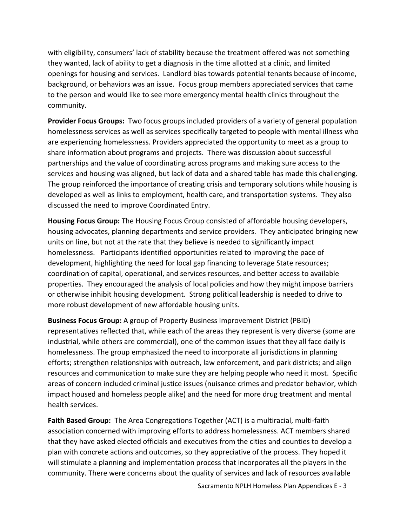with eligibility, consumers' lack of stability because the treatment offered was not something they wanted, lack of ability to get a diagnosis in the time allotted at a clinic, and limited openings for housing and services. Landlord bias towards potential tenants because of income, background, or behaviors was an issue. Focus group members appreciated services that came to the person and would like to see more emergency mental health clinics throughout the community.

**Provider Focus Groups:** Two focus groups included providers of a variety of general population homelessness services as well as services specifically targeted to people with mental illness who are experiencing homelessness. Providers appreciated the opportunity to meet as a group to share information about programs and projects. There was discussion about successful partnerships and the value of coordinating across programs and making sure access to the services and housing was aligned, but lack of data and a shared table has made this challenging. The group reinforced the importance of creating crisis and temporary solutions while housing is developed as well as links to employment, health care, and transportation systems. They also discussed the need to improve Coordinated Entry.

**Housing Focus Group:** The Housing Focus Group consisted of affordable housing developers, housing advocates, planning departments and service providers. They anticipated bringing new units on line, but not at the rate that they believe is needed to significantly impact homelessness. Participants identified opportunities related to improving the pace of development, highlighting the need for local gap financing to leverage State resources; coordination of capital, operational, and services resources, and better access to available properties. They encouraged the analysis of local policies and how they might impose barriers or otherwise inhibit housing development. Strong political leadership is needed to drive to more robust development of new affordable housing units.

**Business Focus Group:** A group of Property Business Improvement District (PBID) representatives reflected that, while each of the areas they represent is very diverse (some are industrial, while others are commercial), one of the common issues that they all face daily is homelessness. The group emphasized the need to incorporate all jurisdictions in planning efforts; strengthen relationships with outreach, law enforcement, and park districts; and align resources and communication to make sure they are helping people who need it most. Specific areas of concern included criminal justice issues (nuisance crimes and predator behavior, which impact housed and homeless people alike) and the need for more drug treatment and mental health services.

**Faith Based Group:** The Area Congregations Together (ACT) is a multiracial, multi‐faith association concerned with improving efforts to address homelessness. ACT members shared that they have asked elected officials and executives from the cities and counties to develop a plan with concrete actions and outcomes, so they appreciative of the process. They hoped it will stimulate a planning and implementation process that incorporates all the players in the community. There were concerns about the quality of services and lack of resources available

Sacramento NPLH Homeless Plan Appendices E ‐ 3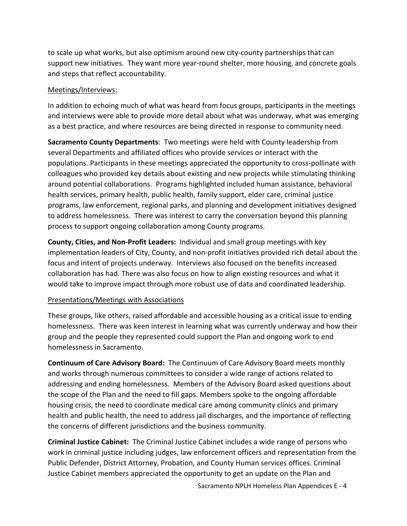to scale up what works, but also optimism around new city‐county partnerships that can support new initiatives. They want more year‐round shelter, more housing, and concrete goals and steps that reflect accountability.

#### Meetings/Interviews:

In addition to echoing much of what was heard from focus groups, participants in the meetings and interviews were able to provide more detail about what was underway, what was emerging as a best practice, and where resources are being directed in response to community need.

**Sacramento County Departments**: Two meetings were held with County leadership from several Departments and affiliated offices who provide services or interact with the populations. Participants in these meetings appreciated the opportunity to cross‐pollinate with colleagues who provided key details about existing and new projects while stimulating thinking around potential collaborations. Programs highlighted included human assistance, behavioral health services, primary health, public health, family support, elder care, criminal justice programs, law enforcement, regional parks, and planning and development initiatives designed to address homelessness. There was interest to carry the conversation beyond this planning process to support ongoing collaboration among County programs.

**County, Cities, and Non‐Profit Leaders:** Individual and small group meetings with key implementation leaders of City, County, and non‐profit initiatives provided rich detail about the focus and intent of projects underway. Interviews also focused on the benefits increased collaboration has had. There was also focus on how to align existing resources and what it would take to improve impact through more robust use of data and coordinated leadership.

#### Presentations/Meetings with Associations

These groups, like others, raised affordable and accessible housing as a critical issue to ending homelessness. There was keen interest in learning what was currently underway and how their group and the people they represented could support the Plan and ongoing work to end homelessness in Sacramento.

**Continuum of Care Advisory Board:**  The Continuum of Care Advisory Board meets monthly and works through numerous committees to consider a wide range of actions related to addressing and ending homelessness. Members of the Advisory Board asked questions about the scope of the Plan and the need to fill gaps. Members spoke to the ongoing affordable housing crisis, the need to coordinate medical care among community clinics and primary health and public health, the need to address jail discharges, and the importance of reflecting the concerns of different jurisdictions and the business community.

**Criminal Justice Cabinet:** The Criminal Justice Cabinet includes a wide range of persons who work in criminal justice including judges, law enforcement officers and representation from the Public Defender, District Attorney, Probation, and County Human services offices. Criminal Justice Cabinet members appreciated the opportunity to get an update on the Plan and

Sacramento NPLH Homeless Plan Appendices E ‐ 4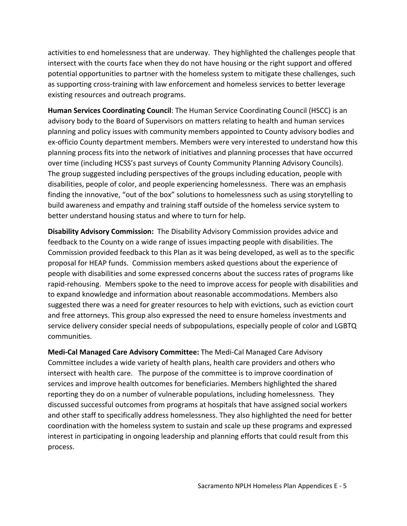activities to end homelessness that are underway. They highlighted the challenges people that intersect with the courts face when they do not have housing or the right support and offered potential opportunities to partner with the homeless system to mitigate these challenges, such as supporting cross‐training with law enforcement and homeless services to better leverage existing resources and outreach programs.

**Human Services Coordinating Council**: The Human Service Coordinating Council (HSCC) is an advisory body to the Board of Supervisors on matters relating to health and human services planning and policy issues with community members appointed to County advisory bodies and ex-officio County department members. Members were very interested to understand how this planning process fits into the network of initiatives and planning processes that have occurred over time (including HCSS's past surveys of County Community Planning Advisory Councils). The group suggested including perspectives of the groups including education, people with disabilities, people of color, and people experiencing homelessness. There was an emphasis finding the innovative, "out of the box" solutions to homelessness such as using storytelling to build awareness and empathy and training staff outside of the homeless service system to better understand housing status and where to turn for help.

**Disability Advisory Commission:** The Disability Advisory Commission provides advice and feedback to the County on a wide range of issues impacting people with disabilities. The Commission provided feedback to this Plan as it was being developed, as well as to the specific proposal for HEAP funds. Commission members asked questions about the experience of people with disabilities and some expressed concerns about the success rates of programs like rapid‐rehousing. Members spoke to the need to improve access for people with disabilities and to expand knowledge and information about reasonable accommodations. Members also suggested there was a need for greater resources to help with evictions, such as eviction court and free attorneys. This group also expressed the need to ensure homeless investments and service delivery consider special needs of subpopulations, especially people of color and LGBTQ communities.

**Medi‐Cal Managed Care Advisory Committee:** The Medi‐Cal Managed Care Advisory Committee includes a wide variety of health plans, health care providers and others who intersect with health care. The purpose of the committee is to improve coordination of services and improve health outcomes for beneficiaries. Members highlighted the shared reporting they do on a number of vulnerable populations, including homelessness. They discussed successful outcomes from programs at hospitals that have assigned social workers and other staff to specifically address homelessness. They also highlighted the need for better coordination with the homeless system to sustain and scale up these programs and expressed interest in participating in ongoing leadership and planning efforts that could result from this process.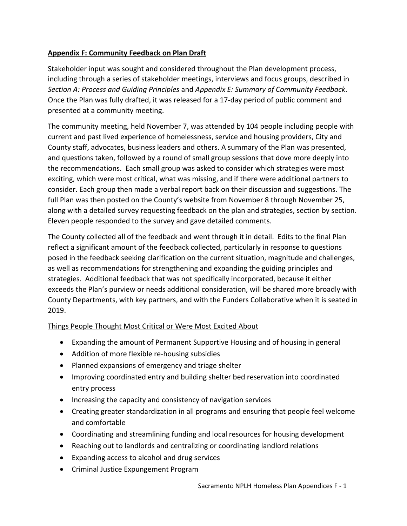## **Appendix F: Community Feedback on Plan Draft**

Stakeholder input was sought and considered throughout the Plan development process, including through a series of stakeholder meetings, interviews and focus groups, described in *Section A: Process and Guiding Principles* and *Appendix E: Summary of Community Feedback*. Once the Plan was fully drafted, it was released for a 17‐day period of public comment and presented at a community meeting.

The community meeting, held November 7, was attended by 104 people including people with current and past lived experience of homelessness, service and housing providers, City and County staff, advocates, business leaders and others. A summary of the Plan was presented, and questions taken, followed by a round of small group sessions that dove more deeply into the recommendations. Each small group was asked to consider which strategies were most exciting, which were most critical, what was missing, and if there were additional partners to consider. Each group then made a verbal report back on their discussion and suggestions. The full Plan was then posted on the County's website from November 8 through November 25, along with a detailed survey requesting feedback on the plan and strategies, section by section. Eleven people responded to the survey and gave detailed comments.

The County collected all of the feedback and went through it in detail. Edits to the final Plan reflect a significant amount of the feedback collected, particularly in response to questions posed in the feedback seeking clarification on the current situation, magnitude and challenges, as well as recommendations for strengthening and expanding the guiding principles and strategies. Additional feedback that was not specifically incorporated, because it either exceeds the Plan's purview or needs additional consideration, will be shared more broadly with County Departments, with key partners, and with the Funders Collaborative when it is seated in 2019.

#### Things People Thought Most Critical or Were Most Excited About

- Expanding the amount of Permanent Supportive Housing and of housing in general
- Addition of more flexible re-housing subsidies
- Planned expansions of emergency and triage shelter
- Improving coordinated entry and building shelter bed reservation into coordinated entry process
- Increasing the capacity and consistency of navigation services
- Creating greater standardization in all programs and ensuring that people feel welcome and comfortable
- Coordinating and streamlining funding and local resources for housing development
- Reaching out to landlords and centralizing or coordinating landlord relations
- Expanding access to alcohol and drug services
- Criminal Justice Expungement Program

Sacramento NPLH Homeless Plan Appendices F ‐ 1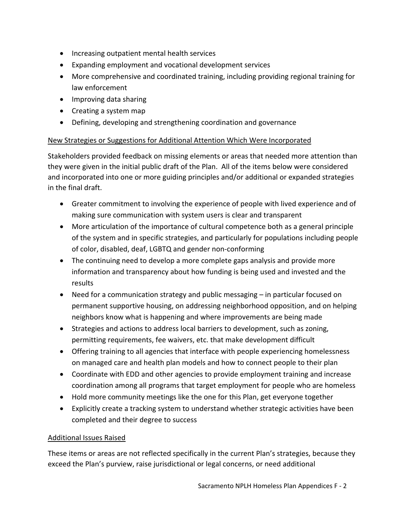- Increasing outpatient mental health services
- Expanding employment and vocational development services
- More comprehensive and coordinated training, including providing regional training for law enforcement
- Improving data sharing
- Creating a system map
- Defining, developing and strengthening coordination and governance

# New Strategies or Suggestions for Additional Attention Which Were Incorporated

Stakeholders provided feedback on missing elements or areas that needed more attention than they were given in the initial public draft of the Plan. All of the items below were considered and incorporated into one or more guiding principles and/or additional or expanded strategies in the final draft.

- Greater commitment to involving the experience of people with lived experience and of making sure communication with system users is clear and transparent
- More articulation of the importance of cultural competence both as a general principle of the system and in specific strategies, and particularly for populations including people of color, disabled, deaf, LGBTQ and gender non‐conforming
- The continuing need to develop a more complete gaps analysis and provide more information and transparency about how funding is being used and invested and the results
- Need for a communication strategy and public messaging in particular focused on permanent supportive housing, on addressing neighborhood opposition, and on helping neighbors know what is happening and where improvements are being made
- Strategies and actions to address local barriers to development, such as zoning, permitting requirements, fee waivers, etc. that make development difficult
- Offering training to all agencies that interface with people experiencing homelessness on managed care and health plan models and how to connect people to their plan
- Coordinate with EDD and other agencies to provide employment training and increase coordination among all programs that target employment for people who are homeless
- Hold more community meetings like the one for this Plan, get everyone together
- Explicitly create a tracking system to understand whether strategic activities have been completed and their degree to success

# Additional Issues Raised

These items or areas are not reflected specifically in the current Plan's strategies, because they exceed the Plan's purview, raise jurisdictional or legal concerns, or need additional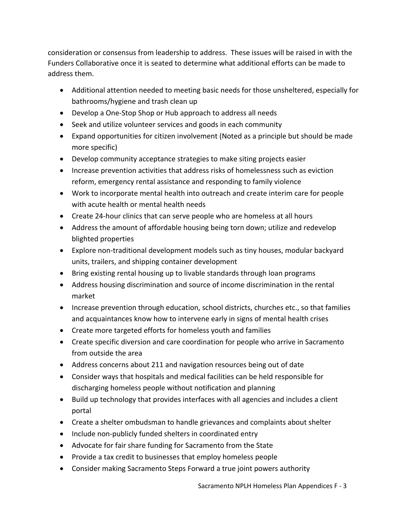consideration or consensus from leadership to address. These issues will be raised in with the Funders Collaborative once it is seated to determine what additional efforts can be made to address them.

- Additional attention needed to meeting basic needs for those unsheltered, especially for bathrooms/hygiene and trash clean up
- Develop a One-Stop Shop or Hub approach to address all needs
- Seek and utilize volunteer services and goods in each community
- Expand opportunities for citizen involvement (Noted as a principle but should be made more specific)
- Develop community acceptance strategies to make siting projects easier
- Increase prevention activities that address risks of homelessness such as eviction reform, emergency rental assistance and responding to family violence
- Work to incorporate mental health into outreach and create interim care for people with acute health or mental health needs
- Create 24-hour clinics that can serve people who are homeless at all hours
- Address the amount of affordable housing being torn down; utilize and redevelop blighted properties
- Explore non-traditional development models such as tiny houses, modular backyard units, trailers, and shipping container development
- Bring existing rental housing up to livable standards through loan programs
- Address housing discrimination and source of income discrimination in the rental market
- Increase prevention through education, school districts, churches etc., so that families and acquaintances know how to intervene early in signs of mental health crises
- Create more targeted efforts for homeless youth and families
- Create specific diversion and care coordination for people who arrive in Sacramento from outside the area
- Address concerns about 211 and navigation resources being out of date
- Consider ways that hospitals and medical facilities can be held responsible for discharging homeless people without notification and planning
- Build up technology that provides interfaces with all agencies and includes a client portal
- Create a shelter ombudsman to handle grievances and complaints about shelter
- Include non-publicly funded shelters in coordinated entry
- Advocate for fair share funding for Sacramento from the State
- Provide a tax credit to businesses that employ homeless people
- Consider making Sacramento Steps Forward a true joint powers authority

Sacramento NPLH Homeless Plan Appendices F ‐ 3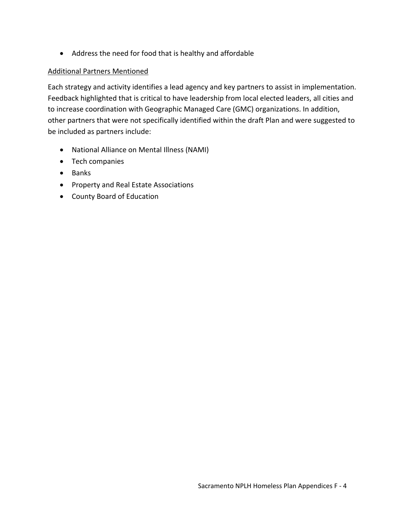Address the need for food that is healthy and affordable

#### Additional Partners Mentioned

Each strategy and activity identifies a lead agency and key partners to assist in implementation. Feedback highlighted that is critical to have leadership from local elected leaders, all cities and to increase coordination with Geographic Managed Care (GMC) organizations. In addition, other partners that were not specifically identified within the draft Plan and were suggested to be included as partners include:

- National Alliance on Mental Illness (NAMI)
- Tech companies
- Banks
- Property and Real Estate Associations
- County Board of Education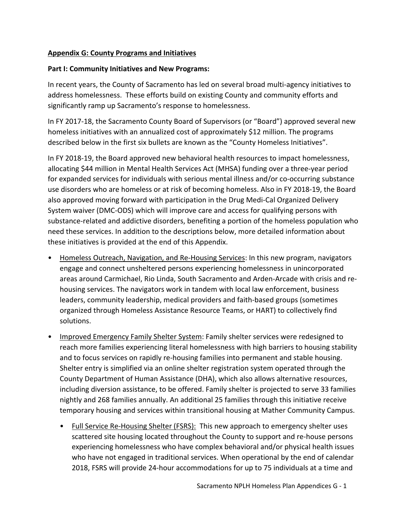### **Appendix G: County Programs and Initiatives**

#### **Part I: Community Initiatives and New Programs:**

In recent years, the County of Sacramento has led on several broad multi‐agency initiatives to address homelessness. These efforts build on existing County and community efforts and significantly ramp up Sacramento's response to homelessness.

In FY 2017‐18, the Sacramento County Board of Supervisors (or "Board") approved several new homeless initiatives with an annualized cost of approximately \$12 million. The programs described below in the first six bullets are known as the "County Homeless Initiatives".

In FY 2018‐19, the Board approved new behavioral health resources to impact homelessness, allocating \$44 million in Mental Health Services Act (MHSA) funding over a three‐year period for expanded services for individuals with serious mental illness and/or co-occurring substance use disorders who are homeless or at risk of becoming homeless. Also in FY 2018‐19, the Board also approved moving forward with participation in the Drug Medi‐Cal Organized Delivery System waiver (DMC‐ODS) which will improve care and access for qualifying persons with substance‐related and addictive disorders, benefiting a portion of the homeless population who need these services. In addition to the descriptions below, more detailed information about these initiatives is provided at the end of this Appendix.

- Homeless Outreach, Navigation, and Re‐Housing Services: In this new program, navigators engage and connect unsheltered persons experiencing homelessness in unincorporated areas around Carmichael, Rio Linda, South Sacramento and Arden‐Arcade with crisis and re‐ housing services. The navigators work in tandem with local law enforcement, business leaders, community leadership, medical providers and faith‐based groups (sometimes organized through Homeless Assistance Resource Teams, or HART) to collectively find solutions.
- Improved Emergency Family Shelter System: Family shelter services were redesigned to reach more families experiencing literal homelessness with high barriers to housing stability and to focus services on rapidly re-housing families into permanent and stable housing. Shelter entry is simplified via an online shelter registration system operated through the County Department of Human Assistance (DHA), which also allows alternative resources, including diversion assistance, to be offered. Family shelter is projected to serve 33 families nightly and 268 families annually. An additional 25 families through this initiative receive temporary housing and services within transitional housing at Mather Community Campus.
	- Full Service Re-Housing Shelter (FSRS): This new approach to emergency shelter uses scattered site housing located throughout the County to support and re‐house persons experiencing homelessness who have complex behavioral and/or physical health issues who have not engaged in traditional services. When operational by the end of calendar 2018, FSRS will provide 24‐hour accommodations for up to 75 individuals at a time and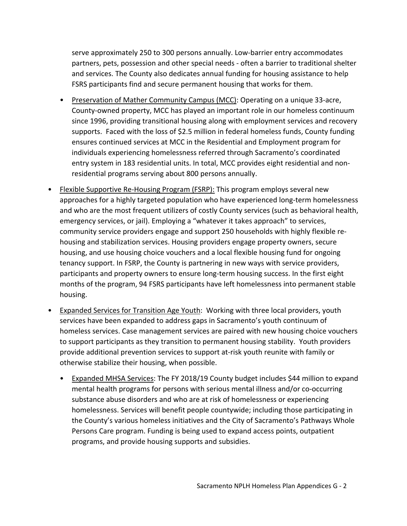serve approximately 250 to 300 persons annually. Low‐barrier entry accommodates partners, pets, possession and other special needs ‐ often a barrier to traditional shelter and services. The County also dedicates annual funding for housing assistance to help FSRS participants find and secure permanent housing that works for them.

- Preservation of Mather Community Campus (MCC): Operating on a unique 33-acre, County‐owned property, MCC has played an important role in our homeless continuum since 1996, providing transitional housing along with employment services and recovery supports. Faced with the loss of \$2.5 million in federal homeless funds, County funding ensures continued services at MCC in the Residential and Employment program for individuals experiencing homelessness referred through Sacramento's coordinated entry system in 183 residential units. In total, MCC provides eight residential and non‐ residential programs serving about 800 persons annually.
- Flexible Supportive Re-Housing Program (FSRP): This program employs several new approaches for a highly targeted population who have experienced long‐term homelessness and who are the most frequent utilizers of costly County services (such as behavioral health, emergency services, or jail). Employing a "whatever it takes approach" to services, community service providers engage and support 250 households with highly flexible re‐ housing and stabilization services. Housing providers engage property owners, secure housing, and use housing choice vouchers and a local flexible housing fund for ongoing tenancy support. In FSRP, the County is partnering in new ways with service providers, participants and property owners to ensure long-term housing success. In the first eight months of the program, 94 FSRS participants have left homelessness into permanent stable housing.
- Expanded Services for Transition Age Youth: Working with three local providers, youth services have been expanded to address gaps in Sacramento's youth continuum of homeless services. Case management services are paired with new housing choice vouchers to support participants as they transition to permanent housing stability. Youth providers provide additional prevention services to support at‐risk youth reunite with family or otherwise stabilize their housing, when possible.
	- Expanded MHSA Services: The FY 2018/19 County budget includes \$44 million to expand mental health programs for persons with serious mental illness and/or co‐occurring substance abuse disorders and who are at risk of homelessness or experiencing homelessness. Services will benefit people countywide; including those participating in the County's various homeless initiatives and the City of Sacramento's Pathways Whole Persons Care program. Funding is being used to expand access points, outpatient programs, and provide housing supports and subsidies.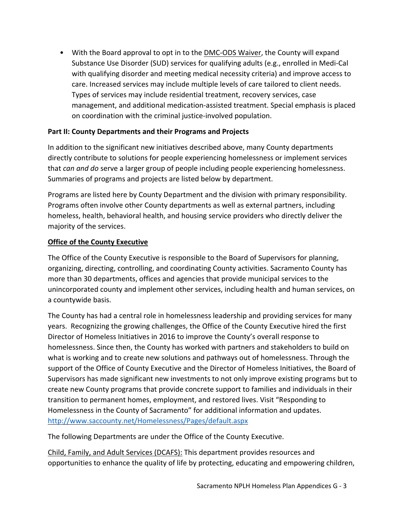• With the Board approval to opt in to the DMC-ODS Waiver, the County will expand Substance Use Disorder (SUD) services for qualifying adults (e.g., enrolled in Medi‐Cal with qualifying disorder and meeting medical necessity criteria) and improve access to care. Increased services may include multiple levels of care tailored to client needs. Types of services may include residential treatment, recovery services, case management, and additional medication‐assisted treatment. Special emphasis is placed on coordination with the criminal justice‐involved population.

### **Part II: County Departments and their Programs and Projects**

In addition to the significant new initiatives described above, many County departments directly contribute to solutions for people experiencing homelessness or implement services that *can and do* serve a larger group of people including people experiencing homelessness. Summaries of programs and projects are listed below by department.

Programs are listed here by County Department and the division with primary responsibility. Programs often involve other County departments as well as external partners, including homeless, health, behavioral health, and housing service providers who directly deliver the majority of the services.

### **Office of the County Executive**

The Office of the County Executive is responsible to the Board of Supervisors for planning, organizing, directing, controlling, and coordinating County activities. Sacramento County has more than 30 departments, offices and agencies that provide municipal services to the unincorporated county and implement other services, including health and human services, on a countywide basis.

The County has had a central role in homelessness leadership and providing services for many years. Recognizing the growing challenges, the Office of the County Executive hired the first Director of Homeless Initiatives in 2016 to improve the County's overall response to homelessness. Since then, the County has worked with partners and stakeholders to build on what is working and to create new solutions and pathways out of homelessness. Through the support of the Office of County Executive and the Director of Homeless Initiatives, the Board of Supervisors has made significant new investments to not only improve existing programs but to create new County programs that provide concrete support to families and individuals in their transition to permanent homes, employment, and restored lives. Visit "Responding to Homelessness in the County of Sacramento" for additional information and updates. http://www.saccounty.net/Homelessness/Pages/default.aspx

The following Departments are under the Office of the County Executive.

Child, Family, and Adult Services (DCAFS): This department provides resources and opportunities to enhance the quality of life by protecting, educating and empowering children,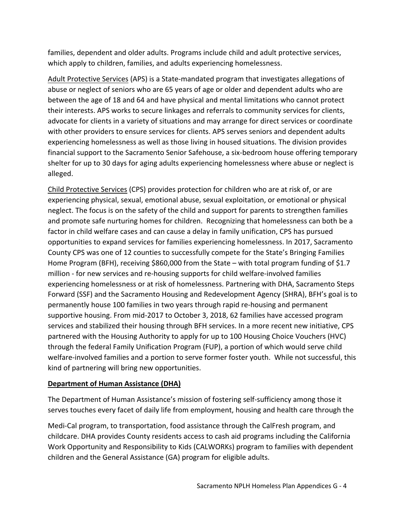families, dependent and older adults. Programs include child and adult protective services, which apply to children, families, and adults experiencing homelessness.

Adult Protective Services (APS) is a State‐mandated program that investigates allegations of abuse or neglect of seniors who are 65 years of age or older and dependent adults who are between the age of 18 and 64 and have physical and mental limitations who cannot protect their interests. APS works to secure linkages and referrals to community services for clients, advocate for clients in a variety of situations and may arrange for direct services or coordinate with other providers to ensure services for clients. APS serves seniors and dependent adults experiencing homelessness as well as those living in housed situations. The division provides financial support to the Sacramento Senior Safehouse, a six‐bedroom house offering temporary shelter for up to 30 days for aging adults experiencing homelessness where abuse or neglect is alleged.

Child Protective Services (CPS) provides protection for children who are at risk of, or are experiencing physical, sexual, emotional abuse, sexual exploitation, or emotional or physical neglect. The focus is on the safety of the child and support for parents to strengthen families and promote safe nurturing homes for children. Recognizing that homelessness can both be a factor in child welfare cases and can cause a delay in family unification, CPS has pursued opportunities to expand services for families experiencing homelessness. In 2017, Sacramento County CPS was one of 12 counties to successfully compete for the State's Bringing Families Home Program (BFH), receiving \$860,000 from the State – with total program funding of \$1.7 million ‐ for new services and re‐housing supports for child welfare‐involved families experiencing homelessness or at risk of homelessness. Partnering with DHA, Sacramento Steps Forward (SSF) and the Sacramento Housing and Redevelopment Agency (SHRA), BFH's goal is to permanently house 100 families in two years through rapid re‐housing and permanent supportive housing. From mid‐2017 to October 3, 2018, 62 families have accessed program services and stabilized their housing through BFH services. In a more recent new initiative, CPS partnered with the Housing Authority to apply for up to 100 Housing Choice Vouchers (HVC) through the federal Family Unification Program (FUP), a portion of which would serve child welfare-involved families and a portion to serve former foster youth. While not successful, this kind of partnering will bring new opportunities.

## **Department of Human Assistance (DHA)**

The Department of Human Assistance's mission of fostering self‐sufficiency among those it serves touches every facet of daily life from employment, housing and health care through the

Medi‐Cal program, to transportation, food assistance through the CalFresh program, and childcare. DHA provides County residents access to cash aid programs including the California Work Opportunity and Responsibility to Kids (CALWORKs) program to families with dependent children and the General Assistance (GA) program for eligible adults.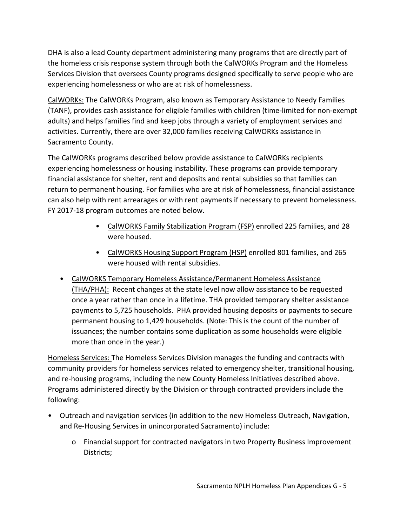DHA is also a lead County department administering many programs that are directly part of the homeless crisis response system through both the CalWORKs Program and the Homeless Services Division that oversees County programs designed specifically to serve people who are experiencing homelessness or who are at risk of homelessness.

CalWORKs: The CalWORKs Program, also known as Temporary Assistance to Needy Families (TANF), provides cash assistance for eligible families with children (time‐limited for non‐exempt adults) and helps families find and keep jobs through a variety of employment services and activities. Currently, there are over 32,000 families receiving CalWORKs assistance in Sacramento County.

The CalWORKs programs described below provide assistance to CalWORKs recipients experiencing homelessness or housing instability. These programs can provide temporary financial assistance for shelter, rent and deposits and rental subsidies so that families can return to permanent housing. For families who are at risk of homelessness, financial assistance can also help with rent arrearages or with rent payments if necessary to prevent homelessness. FY 2017‐18 program outcomes are noted below.

- CalWORKS Family Stabilization Program (FSP) enrolled 225 families, and 28 were housed.
- CalWORKS Housing Support Program (HSP) enrolled 801 families, and 265 were housed with rental subsidies.
- CalWORKS Temporary Homeless Assistance/Permanent Homeless Assistance (THA/PHA): Recent changes at the state level now allow assistance to be requested once a year rather than once in a lifetime. THA provided temporary shelter assistance payments to 5,725 households. PHA provided housing deposits or payments to secure permanent housing to 1,429 households. (Note: This is the count of the number of issuances; the number contains some duplication as some households were eligible more than once in the year.)

Homeless Services: The Homeless Services Division manages the funding and contracts with community providers for homeless services related to emergency shelter, transitional housing, and re-housing programs, including the new County Homeless Initiatives described above. Programs administered directly by the Division or through contracted providers include the following:

- Outreach and navigation services (in addition to the new Homeless Outreach, Navigation, and Re-Housing Services in unincorporated Sacramento) include:
	- o Financial support for contracted navigators in two Property Business Improvement Districts;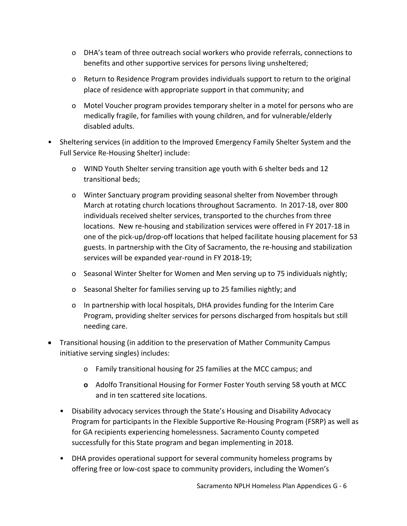- o DHA's team of three outreach social workers who provide referrals, connections to benefits and other supportive services for persons living unsheltered;
- o Return to Residence Program provides individuals support to return to the original place of residence with appropriate support in that community; and
- o Motel Voucher program provides temporary shelter in a motel for persons who are medically fragile, for families with young children, and for vulnerable/elderly disabled adults.
- Sheltering services (in addition to the Improved Emergency Family Shelter System and the Full Service Re‐Housing Shelter) include:
	- o WIND Youth Shelter serving transition age youth with 6 shelter beds and 12 transitional beds;
	- o Winter Sanctuary program providing seasonal shelter from November through March at rotating church locations throughout Sacramento. In 2017‐18, over 800 individuals received shelter services, transported to the churches from three locations. New re‐housing and stabilization services were offered in FY 2017‐18 in one of the pick‐up/drop‐off locations that helped facilitate housing placement for 53 guests. In partnership with the City of Sacramento, the re‐housing and stabilization services will be expanded year‐round in FY 2018‐19;
	- o Seasonal Winter Shelter for Women and Men serving up to 75 individuals nightly;
	- o Seasonal Shelter for families serving up to 25 families nightly; and
	- o In partnership with local hospitals, DHA provides funding for the Interim Care Program, providing shelter services for persons discharged from hospitals but still needing care.
- Transitional housing (in addition to the preservation of Mather Community Campus initiative serving singles) includes:
	- o Family transitional housing for 25 families at the MCC campus; and
	- **o** Adolfo Transitional Housing for Former Foster Youth serving 58 youth at MCC and in ten scattered site locations.
	- Disability advocacy services through the State's Housing and Disability Advocacy Program for participants in the Flexible Supportive Re‐Housing Program (FSRP) as well as for GA recipients experiencing homelessness. Sacramento County competed successfully for this State program and began implementing in 2018.
	- DHA provides operational support for several community homeless programs by offering free or low‐cost space to community providers, including the Women's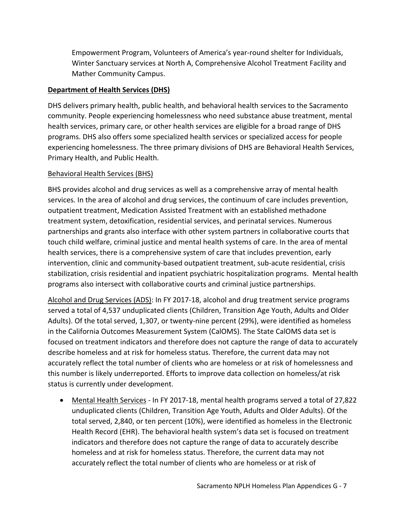Empowerment Program, Volunteers of America's year‐round shelter for Individuals, Winter Sanctuary services at North A, Comprehensive Alcohol Treatment Facility and Mather Community Campus.

### **Department of Health Services (DHS)**

DHS delivers primary health, public health, and behavioral health services to the Sacramento community. People experiencing homelessness who need substance abuse treatment, mental health services, primary care, or other health services are eligible for a broad range of DHS programs. DHS also offers some specialized health services or specialized access for people experiencing homelessness. The three primary divisions of DHS are Behavioral Health Services, Primary Health, and Public Health.

### Behavioral Health Services (BHS)

BHS provides alcohol and drug services as well as a comprehensive array of mental health services. In the area of alcohol and drug services, the continuum of care includes prevention, outpatient treatment, Medication Assisted Treatment with an established methadone treatment system, detoxification, residential services, and perinatal services. Numerous partnerships and grants also interface with other system partners in collaborative courts that touch child welfare, criminal justice and mental health systems of care. In the area of mental health services, there is a comprehensive system of care that includes prevention, early intervention, clinic and community‐based outpatient treatment, sub‐acute residential, crisis stabilization, crisis residential and inpatient psychiatric hospitalization programs. Mental health programs also intersect with collaborative courts and criminal justice partnerships.

Alcohol and Drug Services (ADS): In FY 2017‐18, alcohol and drug treatment service programs served a total of 4,537 unduplicated clients (Children, Transition Age Youth, Adults and Older Adults). Of the total served, 1,307, or twenty-nine percent (29%), were identified as homeless in the California Outcomes Measurement System (CalOMS). The State CalOMS data set is focused on treatment indicators and therefore does not capture the range of data to accurately describe homeless and at risk for homeless status. Therefore, the current data may not accurately reflect the total number of clients who are homeless or at risk of homelessness and this number is likely underreported. Efforts to improve data collection on homeless/at risk status is currently under development.

■ Mental Health Services - In FY 2017-18, mental health programs served a total of 27,822 unduplicated clients (Children, Transition Age Youth, Adults and Older Adults). Of the total served, 2,840, or ten percent (10%), were identified as homeless in the Electronic Health Record (EHR). The behavioral health system's data set is focused on treatment indicators and therefore does not capture the range of data to accurately describe homeless and at risk for homeless status. Therefore, the current data may not accurately reflect the total number of clients who are homeless or at risk of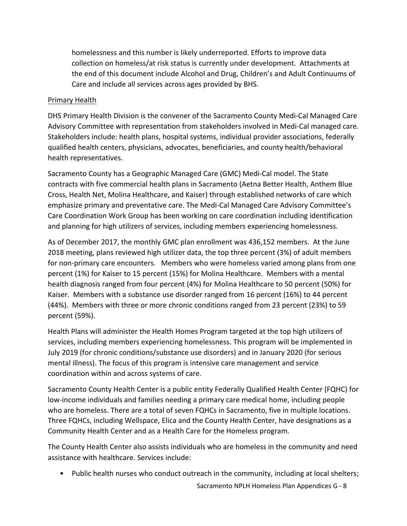homelessness and this number is likely underreported. Efforts to improve data collection on homeless/at risk status is currently under development. Attachments at the end of this document include Alcohol and Drug, Children's and Adult Continuums of Care and include all services across ages provided by BHS.

### Primary Health

DHS Primary Health Division is the convener of the Sacramento County Medi‐Cal Managed Care Advisory Committee with representation from stakeholders involved in Medi‐Cal managed care. Stakeholders include: health plans, hospital systems, individual provider associations, federally qualified health centers, physicians, advocates, beneficiaries, and county health/behavioral health representatives.

Sacramento County has a Geographic Managed Care (GMC) Medi‐Cal model. The State contracts with five commercial health plans in Sacramento (Aetna Better Health, Anthem Blue Cross, Health Net, Molina Healthcare, and Kaiser) through established networks of care which emphasize primary and preventative care. The Medi‐Cal Managed Care Advisory Committee's Care Coordination Work Group has been working on care coordination including identification and planning for high utilizers of services, including members experiencing homelessness.

As of December 2017, the monthly GMC plan enrollment was 436,152 members. At the June 2018 meeting, plans reviewed high utilizer data, the top three percent (3%) of adult members for non-primary care encounters. Members who were homeless varied among plans from one percent (1%) for Kaiser to 15 percent (15%) for Molina Healthcare. Members with a mental health diagnosis ranged from four percent (4%) for Molina Healthcare to 50 percent (50%) for Kaiser. Members with a substance use disorder ranged from 16 percent (16%) to 44 percent (44%). Members with three or more chronic conditions ranged from 23 percent (23%) to 59 percent (59%).

Health Plans will administer the Health Homes Program targeted at the top high utilizers of services, including members experiencing homelessness. This program will be implemented in July 2019 (for chronic conditions/substance use disorders) and in January 2020 (for serious mental illness). The focus of this program is intensive care management and service coordination within and across systems of care.

Sacramento County Health Center is a public entity Federally Qualified Health Center (FQHC) for low‐income individuals and families needing a primary care medical home, including people who are homeless. There are a total of seven FQHCs in Sacramento, five in multiple locations. Three FQHCs, including Wellspace, Elica and the County Health Center, have designations as a Community Health Center and as a Health Care for the Homeless program.

The County Health Center also assists individuals who are homeless in the community and need assistance with healthcare. Services include:

• Public health nurses who conduct outreach in the community, including at local shelters;

Sacramento NPLH Homeless Plan Appendices G ‐ 8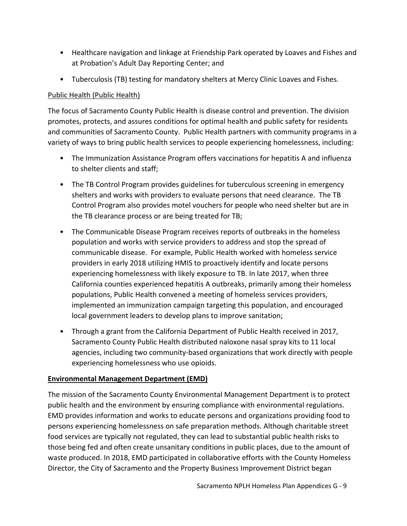- Healthcare navigation and linkage at Friendship Park operated by Loaves and Fishes and at Probation's Adult Day Reporting Center; and
- Tuberculosis (TB) testing for mandatory shelters at Mercy Clinic Loaves and Fishes.

### Public Health (Public Health)

The focus of Sacramento County Public Health is disease control and prevention. The division promotes, protects, and assures conditions for optimal health and public safety for residents and communities of Sacramento County. Public Health partners with community programs in a variety of ways to bring public health services to people experiencing homelessness, including:

- The Immunization Assistance Program offers vaccinations for hepatitis A and influenza to shelter clients and staff;
- The TB Control Program provides guidelines for tuberculous screening in emergency shelters and works with providers to evaluate persons that need clearance. The TB Control Program also provides motel vouchers for people who need shelter but are in the TB clearance process or are being treated for TB;
- The Communicable Disease Program receives reports of outbreaks in the homeless population and works with service providers to address and stop the spread of communicable disease. For example, Public Health worked with homeless service providers in early 2018 utilizing HMIS to proactively identify and locate persons experiencing homelessness with likely exposure to TB. In late 2017, when three California counties experienced hepatitis A outbreaks, primarily among their homeless populations, Public Health convened a meeting of homeless services providers, implemented an immunization campaign targeting this population, and encouraged local government leaders to develop plans to improve sanitation;
- Through a grant from the California Department of Public Health received in 2017, Sacramento County Public Health distributed naloxone nasal spray kits to 11 local agencies, including two community‐based organizations that work directly with people experiencing homelessness who use opioids.

## **Environmental Management Department (EMD)**

The mission of the Sacramento County Environmental Management Department is to protect public health and the environment by ensuring compliance with environmental regulations. EMD provides information and works to educate persons and organizations providing food to persons experiencing homelessness on safe preparation methods. Although charitable street food services are typically not regulated, they can lead to substantial public health risks to those being fed and often create unsanitary conditions in public places, due to the amount of waste produced. In 2018, EMD participated in collaborative efforts with the County Homeless Director, the City of Sacramento and the Property Business Improvement District began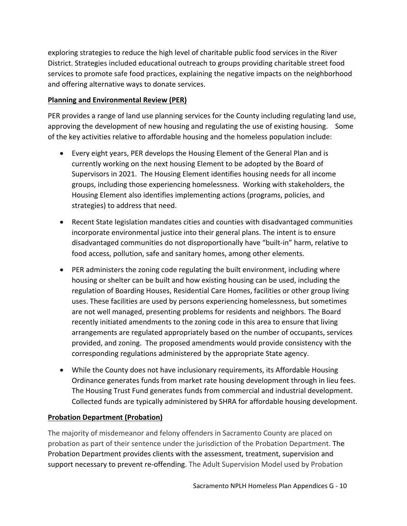exploring strategies to reduce the high level of charitable public food services in the River District. Strategies included educational outreach to groups providing charitable street food services to promote safe food practices, explaining the negative impacts on the neighborhood and offering alternative ways to donate services.

# **Planning and Environmental Review (PER)**

PER provides a range of land use planning services for the County including regulating land use, approving the development of new housing and regulating the use of existing housing. Some of the key activities relative to affordable housing and the homeless population include:

- Every eight years, PER develops the Housing Element of the General Plan and is currently working on the next housing Element to be adopted by the Board of Supervisors in 2021. The Housing Element identifies housing needs for all income groups, including those experiencing homelessness. Working with stakeholders, the Housing Element also identifies implementing actions (programs, policies, and strategies) to address that need.
- Recent State legislation mandates cities and counties with disadvantaged communities incorporate environmental justice into their general plans. The intent is to ensure disadvantaged communities do not disproportionally have "built‐in" harm, relative to food access, pollution, safe and sanitary homes, among other elements.
- PER administers the zoning code regulating the built environment, including where housing or shelter can be built and how existing housing can be used, including the regulation of Boarding Houses, Residential Care Homes, facilities or other group living uses. These facilities are used by persons experiencing homelessness, but sometimes are not well managed, presenting problems for residents and neighbors. The Board recently initiated amendments to the zoning code in this area to ensure that living arrangements are regulated appropriately based on the number of occupants, services provided, and zoning. The proposed amendments would provide consistency with the corresponding regulations administered by the appropriate State agency.
- While the County does not have inclusionary requirements, its Affordable Housing Ordinance generates funds from market rate housing development through in lieu fees. The Housing Trust Fund generates funds from commercial and industrial development. Collected funds are typically administered by SHRA for affordable housing development.

## **Probation Department (Probation)**

The majority of misdemeanor and felony offenders in Sacramento County are placed on probation as part of their sentence under the jurisdiction of the Probation Department. The Probation Department provides clients with the assessment, treatment, supervision and support necessary to prevent re-offending. The Adult Supervision Model used by Probation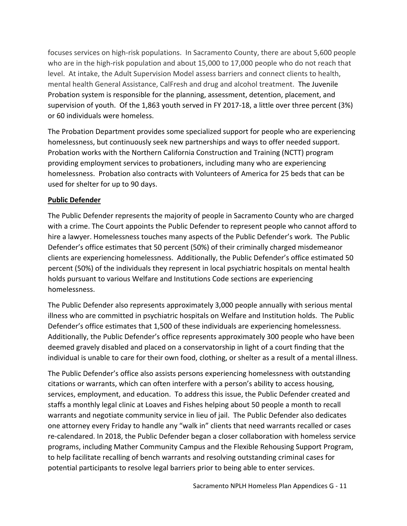focuses services on high-risk populations. In Sacramento County, there are about 5,600 people who are in the high-risk population and about 15,000 to 17,000 people who do not reach that level. At intake, the Adult Supervision Model assess barriers and connect clients to health, mental health General Assistance, CalFresh and drug and alcohol treatment. The Juvenile Probation system is responsible for the planning, assessment, detention, placement, and supervision of youth. Of the 1,863 youth served in FY 2017‐18, a little over three percent (3%) or 60 individuals were homeless.

The Probation Department provides some specialized support for people who are experiencing homelessness, but continuously seek new partnerships and ways to offer needed support. Probation works with the Northern California Construction and Training (NCTT) program providing employment services to probationers, including many who are experiencing homelessness. Probation also contracts with Volunteers of America for 25 beds that can be used for shelter for up to 90 days.

#### **Public Defender**

The Public Defender represents the majority of people in Sacramento County who are charged with a crime. The Court appoints the Public Defender to represent people who cannot afford to hire a lawyer. Homelessness touches many aspects of the Public Defender's work. The Public Defender's office estimates that 50 percent (50%) of their criminally charged misdemeanor clients are experiencing homelessness. Additionally, the Public Defender's office estimated 50 percent (50%) of the individuals they represent in local psychiatric hospitals on mental health holds pursuant to various Welfare and Institutions Code sections are experiencing homelessness.

The Public Defender also represents approximately 3,000 people annually with serious mental illness who are committed in psychiatric hospitals on Welfare and Institution holds. The Public Defender's office estimates that 1,500 of these individuals are experiencing homelessness. Additionally, the Public Defender's office represents approximately 300 people who have been deemed gravely disabled and placed on a conservatorship in light of a court finding that the individual is unable to care for their own food, clothing, or shelter as a result of a mental illness.

The Public Defender's office also assists persons experiencing homelessness with outstanding citations or warrants, which can often interfere with a person's ability to access housing, services, employment, and education. To address this issue, the Public Defender created and staffs a monthly legal clinic at Loaves and Fishes helping about 50 people a month to recall warrants and negotiate community service in lieu of jail. The Public Defender also dedicates one attorney every Friday to handle any "walk in" clients that need warrants recalled or cases re-calendared. In 2018, the Public Defender began a closer collaboration with homeless service programs, including Mather Community Campus and the Flexible Rehousing Support Program, to help facilitate recalling of bench warrants and resolving outstanding criminal cases for potential participants to resolve legal barriers prior to being able to enter services.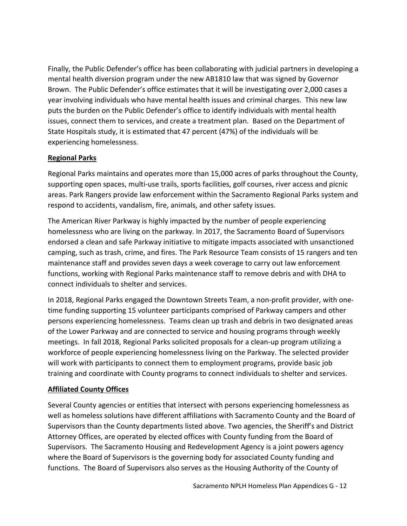Finally, the Public Defender's office has been collaborating with judicial partners in developing a mental health diversion program under the new AB1810 law that was signed by Governor Brown. The Public Defender's office estimates that it will be investigating over 2,000 cases a year involving individuals who have mental health issues and criminal charges. This new law puts the burden on the Public Defender's office to identify individuals with mental health issues, connect them to services, and create a treatment plan. Based on the Department of State Hospitals study, it is estimated that 47 percent (47%) of the individuals will be experiencing homelessness.

### **Regional Parks**

Regional Parks maintains and operates more than 15,000 acres of parks throughout the County, supporting open spaces, multi‐use trails, sports facilities, golf courses, river access and picnic areas. Park Rangers provide law enforcement within the Sacramento Regional Parks system and respond to accidents, vandalism, fire, animals, and other safety issues.

The American River Parkway is highly impacted by the number of people experiencing homelessness who are living on the parkway. In 2017, the Sacramento Board of Supervisors endorsed a clean and safe Parkway initiative to mitigate impacts associated with unsanctioned camping, such as trash, crime, and fires. The Park Resource Team consists of 15 rangers and ten maintenance staff and provides seven days a week coverage to carry out law enforcement functions, working with Regional Parks maintenance staff to remove debris and with DHA to connect individuals to shelter and services.

In 2018, Regional Parks engaged the Downtown Streets Team, a non‐profit provider, with one‐ time funding supporting 15 volunteer participants comprised of Parkway campers and other persons experiencing homelessness. Teams clean up trash and debris in two designated areas of the Lower Parkway and are connected to service and housing programs through weekly meetings. In fall 2018, Regional Parks solicited proposals for a clean-up program utilizing a workforce of people experiencing homelessness living on the Parkway. The selected provider will work with participants to connect them to employment programs, provide basic job training and coordinate with County programs to connect individuals to shelter and services.

### **Affiliated County Offices**

Several County agencies or entities that intersect with persons experiencing homelessness as well as homeless solutions have different affiliations with Sacramento County and the Board of Supervisors than the County departments listed above. Two agencies, the Sheriff's and District Attorney Offices, are operated by elected offices with County funding from the Board of Supervisors. The Sacramento Housing and Redevelopment Agency is a joint powers agency where the Board of Supervisors is the governing body for associated County funding and functions. The Board of Supervisors also serves as the Housing Authority of the County of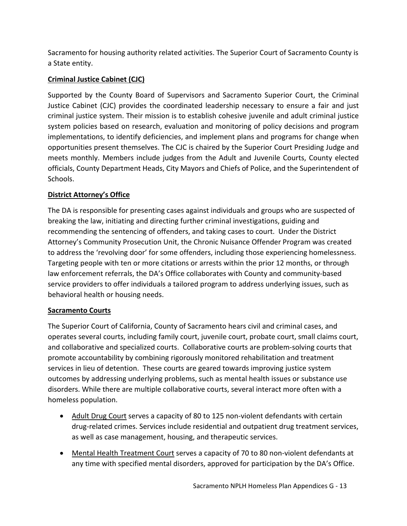Sacramento for housing authority related activities. The Superior Court of Sacramento County is a State entity.

# **Criminal Justice Cabinet (CJC)**

Supported by the County Board of Supervisors and Sacramento Superior Court, the Criminal Justice Cabinet (CJC) provides the coordinated leadership necessary to ensure a fair and just criminal justice system. Their mission is to establish cohesive juvenile and adult criminal justice system policies based on research, evaluation and monitoring of policy decisions and program implementations, to identify deficiencies, and implement plans and programs for change when opportunities present themselves. The CJC is chaired by the Superior Court Presiding Judge and meets monthly. Members include judges from the Adult and Juvenile Courts, County elected officials, County Department Heads, City Mayors and Chiefs of Police, and the Superintendent of Schools.

# **District Attorney's Office**

The DA is responsible for presenting cases against individuals and groups who are suspected of breaking the law, initiating and directing further criminal investigations, guiding and recommending the sentencing of offenders, and taking cases to court. Under the District Attorney's Community Prosecution Unit, the Chronic Nuisance Offender Program was created to address the 'revolving door' for some offenders, including those experiencing homelessness. Targeting people with ten or more citations or arrests within the prior 12 months, or through law enforcement referrals, the DA's Office collaborates with County and community‐based service providers to offer individuals a tailored program to address underlying issues, such as behavioral health or housing needs.

## **Sacramento Courts**

The Superior Court of California, County of Sacramento hears civil and criminal cases, and operates several courts, including family court, juvenile court, probate court, small claims court, and collaborative and specialized courts. Collaborative courts are problem‐solving courts that promote accountability by combining rigorously monitored rehabilitation and treatment services in lieu of detention. These courts are geared towards improving justice system outcomes by addressing underlying problems, such as mental health issues or substance use disorders. While there are multiple collaborative courts, several interact more often with a homeless population.

- Adult Drug Court serves a capacity of 80 to 125 non-violent defendants with certain drug‐related crimes. Services include residential and outpatient drug treatment services, as well as case management, housing, and therapeutic services.
- Mental Health Treatment Court serves a capacity of 70 to 80 non-violent defendants at any time with specified mental disorders, approved for participation by the DA's Office.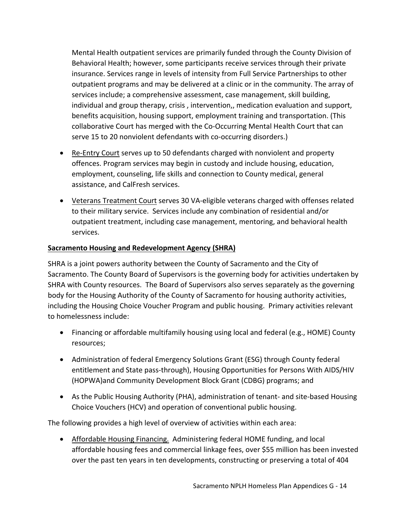Mental Health outpatient services are primarily funded through the County Division of Behavioral Health; however, some participants receive services through their private insurance. Services range in levels of intensity from Full Service Partnerships to other outpatient programs and may be delivered at a clinic or in the community. The array of services include; a comprehensive assessment, case management, skill building, individual and group therapy, crisis , intervention,, medication evaluation and support, benefits acquisition, housing support, employment training and transportation. (This collaborative Court has merged with the Co‐Occurring Mental Health Court that can serve 15 to 20 nonviolent defendants with co-occurring disorders.)

- Re-Entry Court serves up to 50 defendants charged with nonviolent and property offences. Program services may begin in custody and include housing, education, employment, counseling, life skills and connection to County medical, general assistance, and CalFresh services.
- Veterans Treatment Court serves 30 VA-eligible veterans charged with offenses related to their military service. Services include any combination of residential and/or outpatient treatment, including case management, mentoring, and behavioral health services.

### **Sacramento Housing and Redevelopment Agency (SHRA)**

SHRA is a joint powers authority between the County of Sacramento and the City of Sacramento. The County Board of Supervisors is the governing body for activities undertaken by SHRA with County resources. The Board of Supervisors also serves separately as the governing body for the Housing Authority of the County of Sacramento for housing authority activities, including the Housing Choice Voucher Program and public housing. Primary activities relevant to homelessness include:

- Financing or affordable multifamily housing using local and federal (e.g., HOME) County resources;
- Administration of federal Emergency Solutions Grant (ESG) through County federal entitlement and State pass‐through), Housing Opportunities for Persons With AIDS/HIV (HOPWA)and Community Development Block Grant (CDBG) programs; and
- As the Public Housing Authority (PHA), administration of tenant- and site-based Housing Choice Vouchers (HCV) and operation of conventional public housing.

The following provides a high level of overview of activities within each area:

 Affordable Housing Financing. Administering federal HOME funding, and local affordable housing fees and commercial linkage fees, over \$55 million has been invested over the past ten years in ten developments, constructing or preserving a total of 404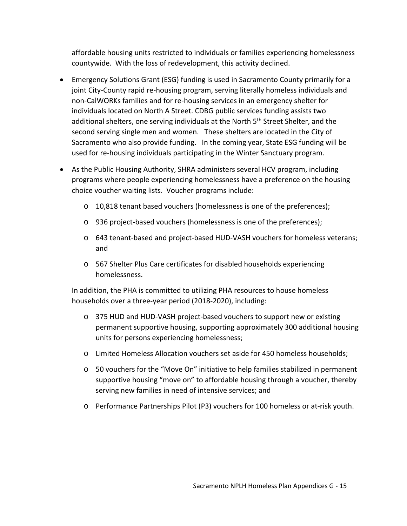affordable housing units restricted to individuals or families experiencing homelessness countywide. With the loss of redevelopment, this activity declined.

- Emergency Solutions Grant (ESG) funding is used in Sacramento County primarily for a joint City-County rapid re-housing program, serving literally homeless individuals and non‐CalWORKs families and for re‐housing services in an emergency shelter for individuals located on North A Street. CDBG public services funding assists two additional shelters, one serving individuals at the North 5<sup>th</sup> Street Shelter, and the second serving single men and women. These shelters are located in the City of Sacramento who also provide funding. In the coming year, State ESG funding will be used for re-housing individuals participating in the Winter Sanctuary program.
- As the Public Housing Authority, SHRA administers several HCV program, including programs where people experiencing homelessness have a preference on the housing choice voucher waiting lists. Voucher programs include:
	- o 10,818 tenant based vouchers (homelessness is one of the preferences);
	- o 936 project‐based vouchers (homelessness is one of the preferences);
	- o 643 tenant‐based and project‐based HUD‐VASH vouchers for homeless veterans; and
	- o 567 Shelter Plus Care certificates for disabled households experiencing homelessness.

In addition, the PHA is committed to utilizing PHA resources to house homeless households over a three‐year period (2018‐2020), including:

- o 375 HUD and HUD‐VASH project‐based vouchers to support new or existing permanent supportive housing, supporting approximately 300 additional housing units for persons experiencing homelessness;
- o Limited Homeless Allocation vouchers set aside for 450 homeless households;
- o 50 vouchers for the "Move On" initiative to help families stabilized in permanent supportive housing "move on" to affordable housing through a voucher, thereby serving new families in need of intensive services; and
- o Performance Partnerships Pilot (P3) vouchers for 100 homeless or at‐risk youth.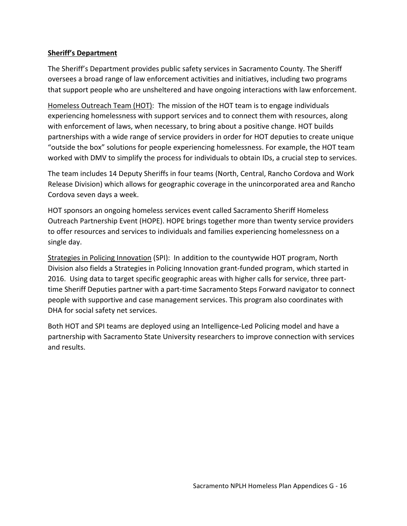#### **Sheriff's Department**

The Sheriff's Department provides public safety services in Sacramento County. The Sheriff oversees a broad range of law enforcement activities and initiatives, including two programs that support people who are unsheltered and have ongoing interactions with law enforcement.

Homeless Outreach Team (HOT): The mission of the HOT team is to engage individuals experiencing homelessness with support services and to connect them with resources, along with enforcement of laws, when necessary, to bring about a positive change. HOT builds partnerships with a wide range of service providers in order for HOT deputies to create unique "outside the box" solutions for people experiencing homelessness. For example, the HOT team worked with DMV to simplify the process for individuals to obtain IDs, a crucial step to services.

The team includes 14 Deputy Sheriffs in four teams (North, Central, Rancho Cordova and Work Release Division) which allows for geographic coverage in the unincorporated area and Rancho Cordova seven days a week.

HOT sponsors an ongoing homeless services event called Sacramento Sheriff Homeless Outreach Partnership Event (HOPE). HOPE brings together more than twenty service providers to offer resources and services to individuals and families experiencing homelessness on a single day.

Strategies in Policing Innovation (SPI): In addition to the countywide HOT program, North Division also fields a Strategies in Policing Innovation grant‐funded program, which started in 2016. Using data to target specific geographic areas with higher calls for service, three part‐ time Sheriff Deputies partner with a part-time Sacramento Steps Forward navigator to connect people with supportive and case management services. This program also coordinates with DHA for social safety net services.

Both HOT and SPI teams are deployed using an Intelligence‐Led Policing model and have a partnership with Sacramento State University researchers to improve connection with services and results.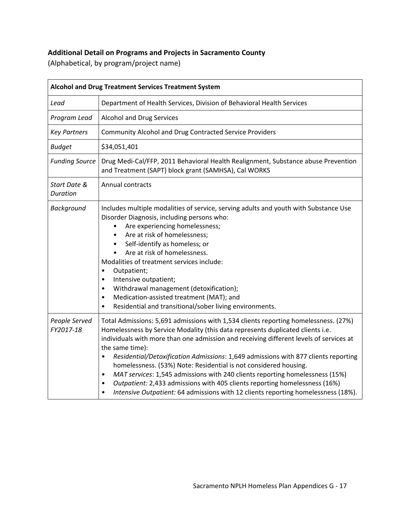# **Additional Detail on Programs and Projects in Sacramento County**

(Alphabetical, by program/project name)

| <b>Alcohol and Drug Treatment Services Treatment System</b> |                                                                                                                                                                                                                                                                                                                                                                                                                                                                                                                                                                                                                                                                                                                                |  |
|-------------------------------------------------------------|--------------------------------------------------------------------------------------------------------------------------------------------------------------------------------------------------------------------------------------------------------------------------------------------------------------------------------------------------------------------------------------------------------------------------------------------------------------------------------------------------------------------------------------------------------------------------------------------------------------------------------------------------------------------------------------------------------------------------------|--|
| Lead                                                        | Department of Health Services, Division of Behavioral Health Services                                                                                                                                                                                                                                                                                                                                                                                                                                                                                                                                                                                                                                                          |  |
| Program Lead                                                | <b>Alcohol and Drug Services</b>                                                                                                                                                                                                                                                                                                                                                                                                                                                                                                                                                                                                                                                                                               |  |
| <b>Key Partners</b>                                         | Community Alcohol and Drug Contracted Service Providers                                                                                                                                                                                                                                                                                                                                                                                                                                                                                                                                                                                                                                                                        |  |
| <b>Budget</b>                                               | \$34,051,401                                                                                                                                                                                                                                                                                                                                                                                                                                                                                                                                                                                                                                                                                                                   |  |
| <b>Funding Source</b>                                       | Drug Medi-Cal/FFP, 2011 Behavioral Health Realignment, Substance abuse Prevention<br>and Treatment (SAPT) block grant (SAMHSA), Cal WORKS                                                                                                                                                                                                                                                                                                                                                                                                                                                                                                                                                                                      |  |
| Start Date &<br>Duration                                    | <b>Annual contracts</b>                                                                                                                                                                                                                                                                                                                                                                                                                                                                                                                                                                                                                                                                                                        |  |
| Background                                                  | Includes multiple modalities of service, serving adults and youth with Substance Use<br>Disorder Diagnosis, including persons who:<br>Are experiencing homelessness;<br>Are at risk of homelessness;<br>$\bullet$<br>Self-identify as homeless; or<br>$\bullet$<br>Are at risk of homelessness.<br>$\bullet$<br>Modalities of treatment services include:<br>Outpatient;<br>$\bullet$<br>Intensive outpatient;<br>$\bullet$<br>Withdrawal management (detoxification);<br>$\bullet$<br>Medication-assisted treatment (MAT); and<br>٠<br>Residential and transitional/sober living environments.<br>$\bullet$                                                                                                                   |  |
| People Served<br>FY2017-18                                  | Total Admissions: 5,691 admissions with 1,534 clients reporting homelessness. (27%)<br>Homelessness by Service Modality (this data represents duplicated clients i.e.<br>individuals with more than one admission and receiving different levels of services at<br>the same time):<br>Residential/Detoxification Admissions: 1,649 admissions with 877 clients reporting<br>$\bullet$<br>homelessness. (53%) Note: Residential is not considered housing.<br>MAT services: 1,545 admissions with 240 clients reporting homelessness (15%)<br>٠<br>Outpatient: 2,433 admissions with 405 clients reporting homelessness (16%)<br>$\bullet$<br>Intensive Outpatient: 64 admissions with 12 clients reporting homelessness (18%). |  |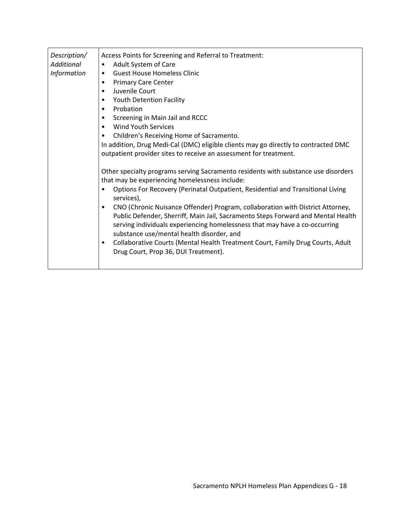| Description/<br><b>Additional</b><br><b>Information</b> | Access Points for Screening and Referral to Treatment:<br>Adult System of Care<br>٠<br><b>Guest House Homeless Clinic</b><br><b>Primary Care Center</b><br>Juvenile Court<br>٠<br>Youth Detention Facility<br>Probation<br>٠<br>Screening in Main Jail and RCCC<br><b>Wind Youth Services</b><br>Children's Receiving Home of Sacramento.<br>In addition, Drug Medi-Cal (DMC) eligible clients may go directly to contracted DMC<br>outpatient provider sites to receive an assessment for treatment.<br>Other specialty programs serving Sacramento residents with substance use disorders<br>that may be experiencing homelessness include:<br>Options For Recovery (Perinatal Outpatient, Residential and Transitional Living<br>services),<br>CNO (Chronic Nuisance Offender) Program, collaboration with District Attorney,<br>٠<br>Public Defender, Sherriff, Main Jail, Sacramento Steps Forward and Mental Health<br>serving individuals experiencing homelessness that may have a co-occurring<br>substance use/mental health disorder, and<br>Collaborative Courts (Mental Health Treatment Court, Family Drug Courts, Adult<br>$\bullet$<br>Drug Court, Prop 36, DUI Treatment). |
|---------------------------------------------------------|---------------------------------------------------------------------------------------------------------------------------------------------------------------------------------------------------------------------------------------------------------------------------------------------------------------------------------------------------------------------------------------------------------------------------------------------------------------------------------------------------------------------------------------------------------------------------------------------------------------------------------------------------------------------------------------------------------------------------------------------------------------------------------------------------------------------------------------------------------------------------------------------------------------------------------------------------------------------------------------------------------------------------------------------------------------------------------------------------------------------------------------------------------------------------------------------|
|---------------------------------------------------------|---------------------------------------------------------------------------------------------------------------------------------------------------------------------------------------------------------------------------------------------------------------------------------------------------------------------------------------------------------------------------------------------------------------------------------------------------------------------------------------------------------------------------------------------------------------------------------------------------------------------------------------------------------------------------------------------------------------------------------------------------------------------------------------------------------------------------------------------------------------------------------------------------------------------------------------------------------------------------------------------------------------------------------------------------------------------------------------------------------------------------------------------------------------------------------------------|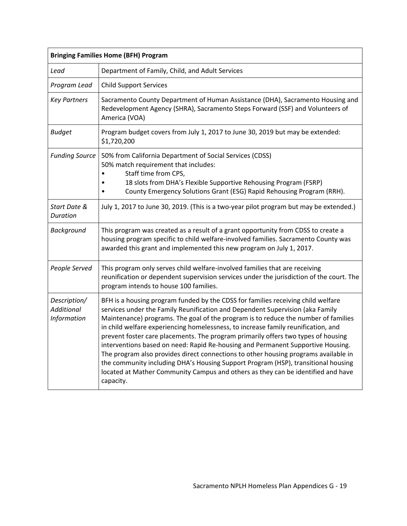| <b>Bringing Families Home (BFH) Program</b> |                                                                                                                                                                                                                                                                                                                                                                                                                                                                                                                                                                                                                                                                                                                                                                                                   |
|---------------------------------------------|---------------------------------------------------------------------------------------------------------------------------------------------------------------------------------------------------------------------------------------------------------------------------------------------------------------------------------------------------------------------------------------------------------------------------------------------------------------------------------------------------------------------------------------------------------------------------------------------------------------------------------------------------------------------------------------------------------------------------------------------------------------------------------------------------|
| Lead                                        | Department of Family, Child, and Adult Services                                                                                                                                                                                                                                                                                                                                                                                                                                                                                                                                                                                                                                                                                                                                                   |
| Program Lead                                | <b>Child Support Services</b>                                                                                                                                                                                                                                                                                                                                                                                                                                                                                                                                                                                                                                                                                                                                                                     |
| <b>Key Partners</b>                         | Sacramento County Department of Human Assistance (DHA), Sacramento Housing and<br>Redevelopment Agency (SHRA), Sacramento Steps Forward (SSF) and Volunteers of<br>America (VOA)                                                                                                                                                                                                                                                                                                                                                                                                                                                                                                                                                                                                                  |
| <b>Budget</b>                               | Program budget covers from July 1, 2017 to June 30, 2019 but may be extended:<br>\$1,720,200                                                                                                                                                                                                                                                                                                                                                                                                                                                                                                                                                                                                                                                                                                      |
| <b>Funding Source</b>                       | 50% from California Department of Social Services (CDSS)<br>50% match requirement that includes:<br>Staff time from CPS,<br>18 slots from DHA's Flexible Supportive Rehousing Program (FSRP)<br>County Emergency Solutions Grant (ESG) Rapid Rehousing Program (RRH).                                                                                                                                                                                                                                                                                                                                                                                                                                                                                                                             |
| Start Date &<br>Duration                    | July 1, 2017 to June 30, 2019. (This is a two-year pilot program but may be extended.)                                                                                                                                                                                                                                                                                                                                                                                                                                                                                                                                                                                                                                                                                                            |
| Background                                  | This program was created as a result of a grant opportunity from CDSS to create a<br>housing program specific to child welfare-involved families. Sacramento County was<br>awarded this grant and implemented this new program on July 1, 2017.                                                                                                                                                                                                                                                                                                                                                                                                                                                                                                                                                   |
| People Served                               | This program only serves child welfare-involved families that are receiving<br>reunification or dependent supervision services under the jurisdiction of the court. The<br>program intends to house 100 families.                                                                                                                                                                                                                                                                                                                                                                                                                                                                                                                                                                                 |
| Description/<br>Additional<br>Information   | BFH is a housing program funded by the CDSS for families receiving child welfare<br>services under the Family Reunification and Dependent Supervision (aka Family<br>Maintenance) programs. The goal of the program is to reduce the number of families<br>in child welfare experiencing homelessness, to increase family reunification, and<br>prevent foster care placements. The program primarily offers two types of housing<br>interventions based on need: Rapid Re-housing and Permanent Supportive Housing.<br>The program also provides direct connections to other housing programs available in<br>the community including DHA's Housing Support Program (HSP), transitional housing<br>located at Mather Community Campus and others as they can be identified and have<br>capacity. |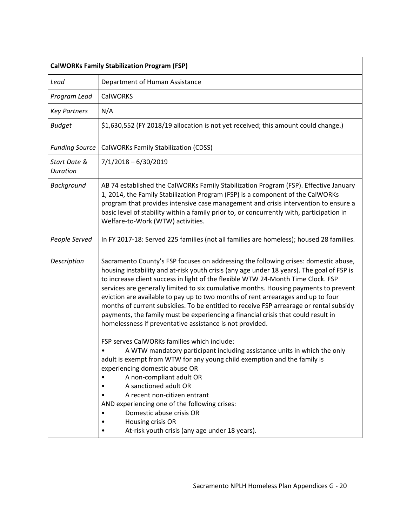| <b>CalWORKs Family Stabilization Program (FSP)</b> |                                                                                                                                                                                                                                                                                                                                                                                                                                                                                                                                                                                                                                                                                             |
|----------------------------------------------------|---------------------------------------------------------------------------------------------------------------------------------------------------------------------------------------------------------------------------------------------------------------------------------------------------------------------------------------------------------------------------------------------------------------------------------------------------------------------------------------------------------------------------------------------------------------------------------------------------------------------------------------------------------------------------------------------|
| Lead                                               | Department of Human Assistance                                                                                                                                                                                                                                                                                                                                                                                                                                                                                                                                                                                                                                                              |
| Program Lead                                       | <b>CalWORKS</b>                                                                                                                                                                                                                                                                                                                                                                                                                                                                                                                                                                                                                                                                             |
| <b>Key Partners</b>                                | N/A                                                                                                                                                                                                                                                                                                                                                                                                                                                                                                                                                                                                                                                                                         |
| <b>Budget</b>                                      | \$1,630,552 (FY 2018/19 allocation is not yet received; this amount could change.)                                                                                                                                                                                                                                                                                                                                                                                                                                                                                                                                                                                                          |
| <b>Funding Source</b>                              | CalWORKs Family Stabilization (CDSS)                                                                                                                                                                                                                                                                                                                                                                                                                                                                                                                                                                                                                                                        |
| Start Date &<br><b>Duration</b>                    | $7/1/2018 - 6/30/2019$                                                                                                                                                                                                                                                                                                                                                                                                                                                                                                                                                                                                                                                                      |
| Background                                         | AB 74 established the CalWORKs Family Stabilization Program (FSP). Effective January<br>1, 2014, the Family Stabilization Program (FSP) is a component of the CalWORKs<br>program that provides intensive case management and crisis intervention to ensure a<br>basic level of stability within a family prior to, or concurrently with, participation in<br>Welfare-to-Work (WTW) activities.                                                                                                                                                                                                                                                                                             |
| People Served                                      | In FY 2017-18: Served 225 families (not all families are homeless); housed 28 families.                                                                                                                                                                                                                                                                                                                                                                                                                                                                                                                                                                                                     |
| Description                                        | Sacramento County's FSP focuses on addressing the following crises: domestic abuse,<br>housing instability and at-risk youth crisis (any age under 18 years). The goal of FSP is<br>to increase client success in light of the flexible WTW 24-Month Time Clock. FSP<br>services are generally limited to six cumulative months. Housing payments to prevent<br>eviction are available to pay up to two months of rent arrearages and up to four<br>months of current subsidies. To be entitled to receive FSP arrearage or rental subsidy<br>payments, the family must be experiencing a financial crisis that could result in<br>homelessness if preventative assistance is not provided. |
|                                                    | FSP serves CalWORKs families which include:<br>A WTW mandatory participant including assistance units in which the only<br>adult is exempt from WTW for any young child exemption and the family is<br>experiencing domestic abuse OR<br>A non-compliant adult OR<br>A sanctioned adult OR<br>A recent non-citizen entrant<br>AND experiencing one of the following crises:<br>Domestic abuse crisis OR<br>Housing crisis OR<br>At-risk youth crisis (any age under 18 years).                                                                                                                                                                                                              |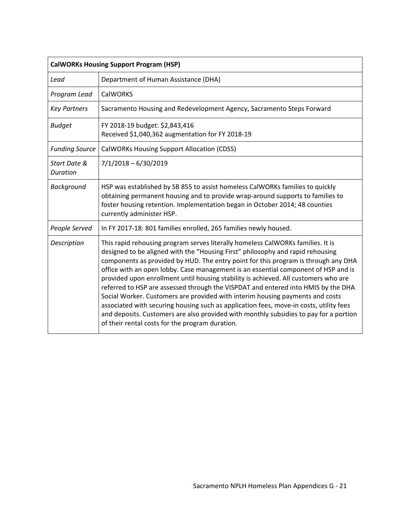| <b>CalWORKs Housing Support Program (HSP)</b> |                                                                                                                                                                                                                                                                                                                                                                                                                                                                                                                                                                                                                                                                                                                                                                                                                                                  |  |
|-----------------------------------------------|--------------------------------------------------------------------------------------------------------------------------------------------------------------------------------------------------------------------------------------------------------------------------------------------------------------------------------------------------------------------------------------------------------------------------------------------------------------------------------------------------------------------------------------------------------------------------------------------------------------------------------------------------------------------------------------------------------------------------------------------------------------------------------------------------------------------------------------------------|--|
| Lead                                          | Department of Human Assistance (DHA)                                                                                                                                                                                                                                                                                                                                                                                                                                                                                                                                                                                                                                                                                                                                                                                                             |  |
| Program Lead                                  | <b>CalWORKS</b>                                                                                                                                                                                                                                                                                                                                                                                                                                                                                                                                                                                                                                                                                                                                                                                                                                  |  |
| <b>Key Partners</b>                           | Sacramento Housing and Redevelopment Agency, Sacramento Steps Forward                                                                                                                                                                                                                                                                                                                                                                                                                                                                                                                                                                                                                                                                                                                                                                            |  |
| <b>Budget</b>                                 | FY 2018-19 budget: \$2,843,416<br>Received \$1,040,362 augmentation for FY 2018-19                                                                                                                                                                                                                                                                                                                                                                                                                                                                                                                                                                                                                                                                                                                                                               |  |
| <b>Funding Source</b>                         | <b>CalWORKs Housing Support Allocation (CDSS)</b>                                                                                                                                                                                                                                                                                                                                                                                                                                                                                                                                                                                                                                                                                                                                                                                                |  |
| Start Date &<br>Duration                      | $7/1/2018 - 6/30/2019$                                                                                                                                                                                                                                                                                                                                                                                                                                                                                                                                                                                                                                                                                                                                                                                                                           |  |
| Background                                    | HSP was established by SB 855 to assist homeless CalWORKs families to quickly<br>obtaining permanent housing and to provide wrap-around supports to families to<br>foster housing retention. Implementation began in October 2014; 48 counties<br>currently administer HSP.                                                                                                                                                                                                                                                                                                                                                                                                                                                                                                                                                                      |  |
| People Served                                 | In FY 2017-18: 801 families enrolled, 265 families newly housed.                                                                                                                                                                                                                                                                                                                                                                                                                                                                                                                                                                                                                                                                                                                                                                                 |  |
| Description                                   | This rapid rehousing program serves literally homeless CalWORKs families. It is<br>designed to be aligned with the "Housing First" philosophy and rapid rehousing<br>components as provided by HUD. The entry point for this program is through any DHA<br>office with an open lobby. Case management is an essential component of HSP and is<br>provided upon enrollment until housing stability is achieved. All customers who are<br>referred to HSP are assessed through the VISPDAT and entered into HMIS by the DHA<br>Social Worker. Customers are provided with interim housing payments and costs<br>associated with securing housing such as application fees, move-in costs, utility fees<br>and deposits. Customers are also provided with monthly subsidies to pay for a portion<br>of their rental costs for the program duration. |  |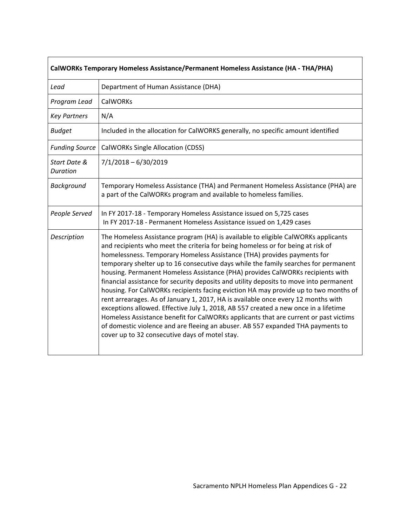| CalWORKs Temporary Homeless Assistance/Permanent Homeless Assistance (HA - THA/PHA) |                                                                                                                                                                                                                                                                                                                                                                                                                                                                                                                                                                                                                                                                                                                                                                                                                                                                                                                                                                                                                    |  |
|-------------------------------------------------------------------------------------|--------------------------------------------------------------------------------------------------------------------------------------------------------------------------------------------------------------------------------------------------------------------------------------------------------------------------------------------------------------------------------------------------------------------------------------------------------------------------------------------------------------------------------------------------------------------------------------------------------------------------------------------------------------------------------------------------------------------------------------------------------------------------------------------------------------------------------------------------------------------------------------------------------------------------------------------------------------------------------------------------------------------|--|
| Lead                                                                                | Department of Human Assistance (DHA)                                                                                                                                                                                                                                                                                                                                                                                                                                                                                                                                                                                                                                                                                                                                                                                                                                                                                                                                                                               |  |
| Program Lead                                                                        | <b>CalWORKs</b>                                                                                                                                                                                                                                                                                                                                                                                                                                                                                                                                                                                                                                                                                                                                                                                                                                                                                                                                                                                                    |  |
| <b>Key Partners</b>                                                                 | N/A                                                                                                                                                                                                                                                                                                                                                                                                                                                                                                                                                                                                                                                                                                                                                                                                                                                                                                                                                                                                                |  |
| <b>Budget</b>                                                                       | Included in the allocation for CalWORKS generally, no specific amount identified                                                                                                                                                                                                                                                                                                                                                                                                                                                                                                                                                                                                                                                                                                                                                                                                                                                                                                                                   |  |
| <b>Funding Source</b>                                                               | <b>CalWORKs Single Allocation (CDSS)</b>                                                                                                                                                                                                                                                                                                                                                                                                                                                                                                                                                                                                                                                                                                                                                                                                                                                                                                                                                                           |  |
| Start Date &<br>Duration                                                            | $7/1/2018 - 6/30/2019$                                                                                                                                                                                                                                                                                                                                                                                                                                                                                                                                                                                                                                                                                                                                                                                                                                                                                                                                                                                             |  |
| Background                                                                          | Temporary Homeless Assistance (THA) and Permanent Homeless Assistance (PHA) are<br>a part of the CalWORKs program and available to homeless families.                                                                                                                                                                                                                                                                                                                                                                                                                                                                                                                                                                                                                                                                                                                                                                                                                                                              |  |
| People Served                                                                       | In FY 2017-18 - Temporary Homeless Assistance issued on 5,725 cases<br>In FY 2017-18 - Permanent Homeless Assistance issued on 1,429 cases                                                                                                                                                                                                                                                                                                                                                                                                                                                                                                                                                                                                                                                                                                                                                                                                                                                                         |  |
| Description                                                                         | The Homeless Assistance program (HA) is available to eligible CalWORKs applicants<br>and recipients who meet the criteria for being homeless or for being at risk of<br>homelessness. Temporary Homeless Assistance (THA) provides payments for<br>temporary shelter up to 16 consecutive days while the family searches for permanent<br>housing. Permanent Homeless Assistance (PHA) provides CalWORKs recipients with<br>financial assistance for security deposits and utility deposits to move into permanent<br>housing. For CalWORKs recipients facing eviction HA may provide up to two months of<br>rent arrearages. As of January 1, 2017, HA is available once every 12 months with<br>exceptions allowed. Effective July 1, 2018, AB 557 created a new once in a lifetime<br>Homeless Assistance benefit for CalWORKs applicants that are current or past victims<br>of domestic violence and are fleeing an abuser. AB 557 expanded THA payments to<br>cover up to 32 consecutive days of motel stay. |  |

 $\mathsf{r}$ 

┑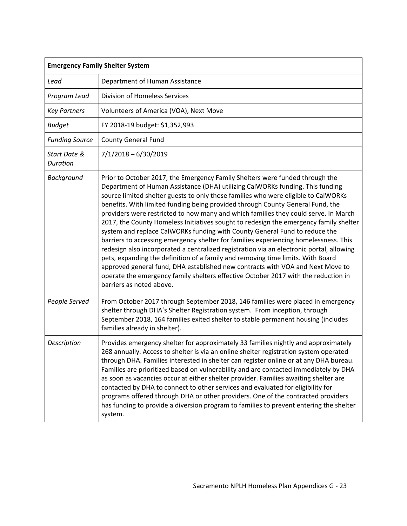| <b>Emergency Family Shelter System</b> |                                                                                                                                                                                                                                                                                                                                                                                                                                                                                                                                                                                                                                                                                                                                                                                                                                                                                                                                                                                                                                                                                |  |
|----------------------------------------|--------------------------------------------------------------------------------------------------------------------------------------------------------------------------------------------------------------------------------------------------------------------------------------------------------------------------------------------------------------------------------------------------------------------------------------------------------------------------------------------------------------------------------------------------------------------------------------------------------------------------------------------------------------------------------------------------------------------------------------------------------------------------------------------------------------------------------------------------------------------------------------------------------------------------------------------------------------------------------------------------------------------------------------------------------------------------------|--|
| Lead                                   | Department of Human Assistance                                                                                                                                                                                                                                                                                                                                                                                                                                                                                                                                                                                                                                                                                                                                                                                                                                                                                                                                                                                                                                                 |  |
| Program Lead                           | <b>Division of Homeless Services</b>                                                                                                                                                                                                                                                                                                                                                                                                                                                                                                                                                                                                                                                                                                                                                                                                                                                                                                                                                                                                                                           |  |
| <b>Key Partners</b>                    | Volunteers of America (VOA), Next Move                                                                                                                                                                                                                                                                                                                                                                                                                                                                                                                                                                                                                                                                                                                                                                                                                                                                                                                                                                                                                                         |  |
| <b>Budget</b>                          | FY 2018-19 budget: \$1,352,993                                                                                                                                                                                                                                                                                                                                                                                                                                                                                                                                                                                                                                                                                                                                                                                                                                                                                                                                                                                                                                                 |  |
| <b>Funding Source</b>                  | <b>County General Fund</b>                                                                                                                                                                                                                                                                                                                                                                                                                                                                                                                                                                                                                                                                                                                                                                                                                                                                                                                                                                                                                                                     |  |
| Start Date &<br><b>Duration</b>        | $7/1/2018 - 6/30/2019$                                                                                                                                                                                                                                                                                                                                                                                                                                                                                                                                                                                                                                                                                                                                                                                                                                                                                                                                                                                                                                                         |  |
| Background                             | Prior to October 2017, the Emergency Family Shelters were funded through the<br>Department of Human Assistance (DHA) utilizing CalWORKs funding. This funding<br>source limited shelter guests to only those families who were eligible to CalWORKs<br>benefits. With limited funding being provided through County General Fund, the<br>providers were restricted to how many and which families they could serve. In March<br>2017, the County Homeless Initiatives sought to redesign the emergency family shelter<br>system and replace CalWORKs funding with County General Fund to reduce the<br>barriers to accessing emergency shelter for families experiencing homelessness. This<br>redesign also incorporated a centralized registration via an electronic portal, allowing<br>pets, expanding the definition of a family and removing time limits. With Board<br>approved general fund, DHA established new contracts with VOA and Next Move to<br>operate the emergency family shelters effective October 2017 with the reduction in<br>barriers as noted above. |  |
| People Served                          | From October 2017 through September 2018, 146 families were placed in emergency<br>shelter through DHA's Shelter Registration system. From inception, through<br>September 2018, 164 families exited shelter to stable permanent housing (includes<br>families already in shelter).                                                                                                                                                                                                                                                                                                                                                                                                                                                                                                                                                                                                                                                                                                                                                                                            |  |
| Description                            | Provides emergency shelter for approximately 33 families nightly and approximately<br>268 annually. Access to shelter is via an online shelter registration system operated<br>through DHA. Families interested in shelter can register online or at any DHA bureau.<br>Families are prioritized based on vulnerability and are contacted immediately by DHA<br>as soon as vacancies occur at either shelter provider. Families awaiting shelter are<br>contacted by DHA to connect to other services and evaluated for eligibility for<br>programs offered through DHA or other providers. One of the contracted providers<br>has funding to provide a diversion program to families to prevent entering the shelter<br>system.                                                                                                                                                                                                                                                                                                                                               |  |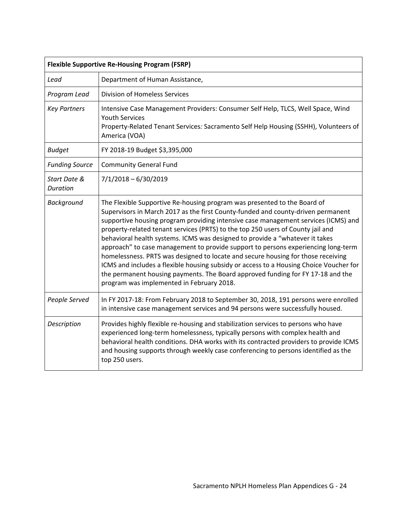| <b>Flexible Supportive Re-Housing Program (FSRP)</b> |                                                                                                                                                                                                                                                                                                                                                                                                                                                                                                                                                                                                                                                                                                                                                                                                                          |  |
|------------------------------------------------------|--------------------------------------------------------------------------------------------------------------------------------------------------------------------------------------------------------------------------------------------------------------------------------------------------------------------------------------------------------------------------------------------------------------------------------------------------------------------------------------------------------------------------------------------------------------------------------------------------------------------------------------------------------------------------------------------------------------------------------------------------------------------------------------------------------------------------|--|
| Lead                                                 | Department of Human Assistance,                                                                                                                                                                                                                                                                                                                                                                                                                                                                                                                                                                                                                                                                                                                                                                                          |  |
| Program Lead                                         | <b>Division of Homeless Services</b>                                                                                                                                                                                                                                                                                                                                                                                                                                                                                                                                                                                                                                                                                                                                                                                     |  |
| <b>Key Partners</b>                                  | Intensive Case Management Providers: Consumer Self Help, TLCS, Well Space, Wind<br><b>Youth Services</b><br>Property-Related Tenant Services: Sacramento Self Help Housing (SSHH), Volunteers of<br>America (VOA)                                                                                                                                                                                                                                                                                                                                                                                                                                                                                                                                                                                                        |  |
| <b>Budget</b>                                        | FY 2018-19 Budget \$3,395,000                                                                                                                                                                                                                                                                                                                                                                                                                                                                                                                                                                                                                                                                                                                                                                                            |  |
| <b>Funding Source</b>                                | <b>Community General Fund</b>                                                                                                                                                                                                                                                                                                                                                                                                                                                                                                                                                                                                                                                                                                                                                                                            |  |
| Start Date &<br><b>Duration</b>                      | $7/1/2018 - 6/30/2019$                                                                                                                                                                                                                                                                                                                                                                                                                                                                                                                                                                                                                                                                                                                                                                                                   |  |
| Background                                           | The Flexible Supportive Re-housing program was presented to the Board of<br>Supervisors in March 2017 as the first County-funded and county-driven permanent<br>supportive housing program providing intensive case management services (ICMS) and<br>property-related tenant services (PRTS) to the top 250 users of County jail and<br>behavioral health systems. ICMS was designed to provide a "whatever it takes<br>approach" to case management to provide support to persons experiencing long-term<br>homelessness. PRTS was designed to locate and secure housing for those receiving<br>ICMS and includes a flexible housing subsidy or access to a Housing Choice Voucher for<br>the permanent housing payments. The Board approved funding for FY 17-18 and the<br>program was implemented in February 2018. |  |
| People Served                                        | In FY 2017-18: From February 2018 to September 30, 2018, 191 persons were enrolled<br>in intensive case management services and 94 persons were successfully housed.                                                                                                                                                                                                                                                                                                                                                                                                                                                                                                                                                                                                                                                     |  |
| Description                                          | Provides highly flexible re-housing and stabilization services to persons who have<br>experienced long-term homelessness, typically persons with complex health and<br>behavioral health conditions. DHA works with its contracted providers to provide ICMS<br>and housing supports through weekly case conferencing to persons identified as the<br>top 250 users.                                                                                                                                                                                                                                                                                                                                                                                                                                                     |  |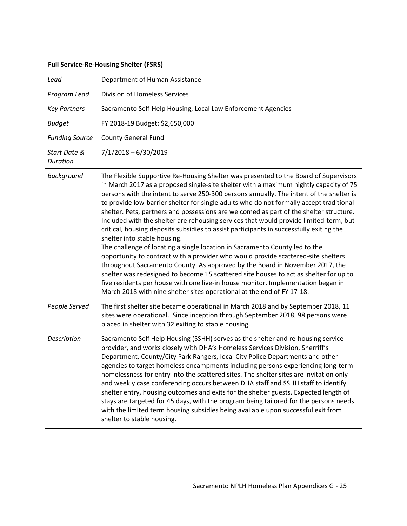| <b>Full Service-Re-Housing Shelter (FSRS)</b> |                                                                                                                                                                                                                                                                                                                                                                                                                                                                                                                                                                                                                                                                                                                                                                                                                                                                                                                                                                                                                                                                                                                                                                                              |  |
|-----------------------------------------------|----------------------------------------------------------------------------------------------------------------------------------------------------------------------------------------------------------------------------------------------------------------------------------------------------------------------------------------------------------------------------------------------------------------------------------------------------------------------------------------------------------------------------------------------------------------------------------------------------------------------------------------------------------------------------------------------------------------------------------------------------------------------------------------------------------------------------------------------------------------------------------------------------------------------------------------------------------------------------------------------------------------------------------------------------------------------------------------------------------------------------------------------------------------------------------------------|--|
| Lead                                          | Department of Human Assistance                                                                                                                                                                                                                                                                                                                                                                                                                                                                                                                                                                                                                                                                                                                                                                                                                                                                                                                                                                                                                                                                                                                                                               |  |
| Program Lead                                  | <b>Division of Homeless Services</b>                                                                                                                                                                                                                                                                                                                                                                                                                                                                                                                                                                                                                                                                                                                                                                                                                                                                                                                                                                                                                                                                                                                                                         |  |
| <b>Key Partners</b>                           | Sacramento Self-Help Housing, Local Law Enforcement Agencies                                                                                                                                                                                                                                                                                                                                                                                                                                                                                                                                                                                                                                                                                                                                                                                                                                                                                                                                                                                                                                                                                                                                 |  |
| <b>Budget</b>                                 | FY 2018-19 Budget: \$2,650,000                                                                                                                                                                                                                                                                                                                                                                                                                                                                                                                                                                                                                                                                                                                                                                                                                                                                                                                                                                                                                                                                                                                                                               |  |
| <b>Funding Source</b>                         | <b>County General Fund</b>                                                                                                                                                                                                                                                                                                                                                                                                                                                                                                                                                                                                                                                                                                                                                                                                                                                                                                                                                                                                                                                                                                                                                                   |  |
| Start Date &<br>Duration                      | $7/1/2018 - 6/30/2019$                                                                                                                                                                                                                                                                                                                                                                                                                                                                                                                                                                                                                                                                                                                                                                                                                                                                                                                                                                                                                                                                                                                                                                       |  |
| Background                                    | The Flexible Supportive Re-Housing Shelter was presented to the Board of Supervisors<br>in March 2017 as a proposed single-site shelter with a maximum nightly capacity of 75<br>persons with the intent to serve 250-300 persons annually. The intent of the shelter is<br>to provide low-barrier shelter for single adults who do not formally accept traditional<br>shelter. Pets, partners and possessions are welcomed as part of the shelter structure.<br>Included with the shelter are rehousing services that would provide limited-term, but<br>critical, housing deposits subsidies to assist participants in successfully exiting the<br>shelter into stable housing.<br>The challenge of locating a single location in Sacramento County led to the<br>opportunity to contract with a provider who would provide scattered-site shelters<br>throughout Sacramento County. As approved by the Board in November 2017, the<br>shelter was redesigned to become 15 scattered site houses to act as shelter for up to<br>five residents per house with one live-in house monitor. Implementation began in<br>March 2018 with nine shelter sites operational at the end of FY 17-18. |  |
| People Served                                 | The first shelter site became operational in March 2018 and by September 2018, 11<br>sites were operational. Since inception through September 2018, 98 persons were<br>placed in shelter with 32 exiting to stable housing.                                                                                                                                                                                                                                                                                                                                                                                                                                                                                                                                                                                                                                                                                                                                                                                                                                                                                                                                                                 |  |
| Description                                   | Sacramento Self Help Housing (SSHH) serves as the shelter and re-housing service<br>provider, and works closely with DHA's Homeless Services Division, Sherriff's<br>Department, County/City Park Rangers, local City Police Departments and other<br>agencies to target homeless encampments including persons experiencing long-term<br>homelessness for entry into the scattered sites. The shelter sites are invitation only<br>and weekly case conferencing occurs between DHA staff and SSHH staff to identify<br>shelter entry, housing outcomes and exits for the shelter guests. Expected length of<br>stays are targeted for 45 days, with the program being tailored for the persons needs<br>with the limited term housing subsidies being available upon successful exit from<br>shelter to stable housing.                                                                                                                                                                                                                                                                                                                                                                     |  |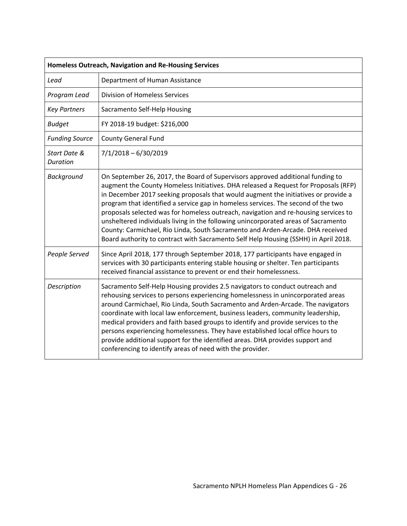| Homeless Outreach, Navigation and Re-Housing Services |                                                                                                                                                                                                                                                                                                                                                                                                                                                                                                                                                                                                                                                                                                        |  |
|-------------------------------------------------------|--------------------------------------------------------------------------------------------------------------------------------------------------------------------------------------------------------------------------------------------------------------------------------------------------------------------------------------------------------------------------------------------------------------------------------------------------------------------------------------------------------------------------------------------------------------------------------------------------------------------------------------------------------------------------------------------------------|--|
| Lead                                                  | Department of Human Assistance                                                                                                                                                                                                                                                                                                                                                                                                                                                                                                                                                                                                                                                                         |  |
| Program Lead                                          | <b>Division of Homeless Services</b>                                                                                                                                                                                                                                                                                                                                                                                                                                                                                                                                                                                                                                                                   |  |
| <b>Key Partners</b>                                   | Sacramento Self-Help Housing                                                                                                                                                                                                                                                                                                                                                                                                                                                                                                                                                                                                                                                                           |  |
| <b>Budget</b>                                         | FY 2018-19 budget: \$216,000                                                                                                                                                                                                                                                                                                                                                                                                                                                                                                                                                                                                                                                                           |  |
| <b>Funding Source</b>                                 | <b>County General Fund</b>                                                                                                                                                                                                                                                                                                                                                                                                                                                                                                                                                                                                                                                                             |  |
| Start Date &<br><b>Duration</b>                       | $7/1/2018 - 6/30/2019$                                                                                                                                                                                                                                                                                                                                                                                                                                                                                                                                                                                                                                                                                 |  |
| <b>Background</b>                                     | On September 26, 2017, the Board of Supervisors approved additional funding to<br>augment the County Homeless Initiatives. DHA released a Request for Proposals (RFP)<br>in December 2017 seeking proposals that would augment the initiatives or provide a<br>program that identified a service gap in homeless services. The second of the two<br>proposals selected was for homeless outreach, navigation and re-housing services to<br>unsheltered individuals living in the following unincorporated areas of Sacramento<br>County: Carmichael, Rio Linda, South Sacramento and Arden-Arcade. DHA received<br>Board authority to contract with Sacramento Self Help Housing (SSHH) in April 2018. |  |
| People Served                                         | Since April 2018, 177 through September 2018, 177 participants have engaged in<br>services with 30 participants entering stable housing or shelter. Ten participants<br>received financial assistance to prevent or end their homelessness.                                                                                                                                                                                                                                                                                                                                                                                                                                                            |  |
| Description                                           | Sacramento Self-Help Housing provides 2.5 navigators to conduct outreach and<br>rehousing services to persons experiencing homelessness in unincorporated areas<br>around Carmichael, Rio Linda, South Sacramento and Arden-Arcade. The navigators<br>coordinate with local law enforcement, business leaders, community leadership,<br>medical providers and faith based groups to identify and provide services to the<br>persons experiencing homelessness. They have established local office hours to<br>provide additional support for the identified areas. DHA provides support and<br>conferencing to identify areas of need with the provider.                                               |  |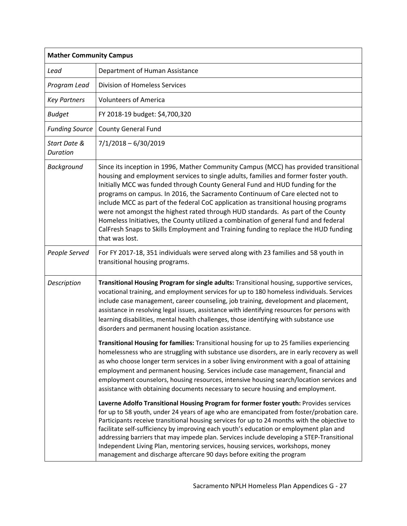| <b>Mather Community Campus</b>  |                                                                                                                                                                                                                                                                                                                                                                                                                                                                                                                                                                                                                                                                                                                       |  |
|---------------------------------|-----------------------------------------------------------------------------------------------------------------------------------------------------------------------------------------------------------------------------------------------------------------------------------------------------------------------------------------------------------------------------------------------------------------------------------------------------------------------------------------------------------------------------------------------------------------------------------------------------------------------------------------------------------------------------------------------------------------------|--|
| Lead                            | Department of Human Assistance                                                                                                                                                                                                                                                                                                                                                                                                                                                                                                                                                                                                                                                                                        |  |
| Program Lead                    | <b>Division of Homeless Services</b>                                                                                                                                                                                                                                                                                                                                                                                                                                                                                                                                                                                                                                                                                  |  |
| <b>Key Partners</b>             | <b>Volunteers of America</b>                                                                                                                                                                                                                                                                                                                                                                                                                                                                                                                                                                                                                                                                                          |  |
| <b>Budget</b>                   | FY 2018-19 budget: \$4,700,320                                                                                                                                                                                                                                                                                                                                                                                                                                                                                                                                                                                                                                                                                        |  |
| <b>Funding Source</b>           | <b>County General Fund</b>                                                                                                                                                                                                                                                                                                                                                                                                                                                                                                                                                                                                                                                                                            |  |
| Start Date &<br><b>Duration</b> | $7/1/2018 - 6/30/2019$                                                                                                                                                                                                                                                                                                                                                                                                                                                                                                                                                                                                                                                                                                |  |
| Background                      | Since its inception in 1996, Mather Community Campus (MCC) has provided transitional<br>housing and employment services to single adults, families and former foster youth.<br>Initially MCC was funded through County General Fund and HUD funding for the<br>programs on campus. In 2016, the Sacramento Continuum of Care elected not to<br>include MCC as part of the federal CoC application as transitional housing programs<br>were not amongst the highest rated through HUD standards. As part of the County<br>Homeless Initiatives, the County utilized a combination of general fund and federal<br>CalFresh Snaps to Skills Employment and Training funding to replace the HUD funding<br>that was lost. |  |
| People Served                   | For FY 2017-18, 351 individuals were served along with 23 families and 58 youth in<br>transitional housing programs.                                                                                                                                                                                                                                                                                                                                                                                                                                                                                                                                                                                                  |  |
| Description                     | Transitional Housing Program for single adults: Transitional housing, supportive services,<br>vocational training, and employment services for up to 180 homeless individuals. Services<br>include case management, career counseling, job training, development and placement,<br>assistance in resolving legal issues, assistance with identifying resources for persons with<br>learning disabilities, mental health challenges, those identifying with substance use<br>disorders and permanent housing location assistance.                                                                                                                                                                                      |  |
|                                 | Transitional Housing for families: Transitional housing for up to 25 families experiencing<br>homelessness who are struggling with substance use disorders, are in early recovery as well<br>as who choose longer term services in a sober living environment with a goal of attaining<br>employment and permanent housing. Services include case management, financial and<br>employment counselors, housing resources, intensive housing search/location services and<br>assistance with obtaining documents necessary to secure housing and employment.                                                                                                                                                            |  |
|                                 | Laverne Adolfo Transitional Housing Program for former foster youth: Provides services<br>for up to 58 youth, under 24 years of age who are emancipated from foster/probation care.<br>Participants receive transitional housing services for up to 24 months with the objective to<br>facilitate self-sufficiency by improving each youth's education or employment plan and<br>addressing barriers that may impede plan. Services include developing a STEP-Transitional<br>Independent Living Plan, mentoring services, housing services, workshops, money<br>management and discharge aftercare 90 days before exiting the program                                                                                |  |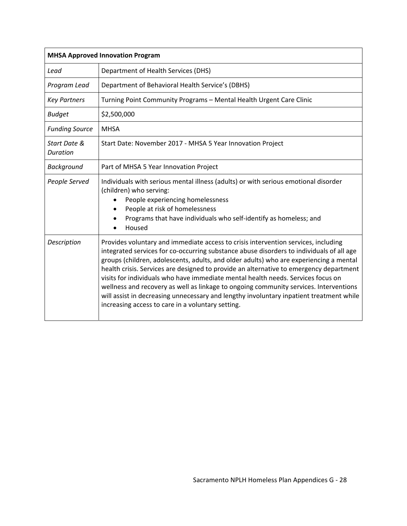| <b>MHSA Approved Innovation Program</b> |                                                                                                                                                                                                                                                                                                                                                                                                                                                                                                                                                                                                                                                                                                 |  |
|-----------------------------------------|-------------------------------------------------------------------------------------------------------------------------------------------------------------------------------------------------------------------------------------------------------------------------------------------------------------------------------------------------------------------------------------------------------------------------------------------------------------------------------------------------------------------------------------------------------------------------------------------------------------------------------------------------------------------------------------------------|--|
| Lead                                    | Department of Health Services (DHS)                                                                                                                                                                                                                                                                                                                                                                                                                                                                                                                                                                                                                                                             |  |
| Program Lead                            | Department of Behavioral Health Service's (DBHS)                                                                                                                                                                                                                                                                                                                                                                                                                                                                                                                                                                                                                                                |  |
| <b>Key Partners</b>                     | Turning Point Community Programs - Mental Health Urgent Care Clinic                                                                                                                                                                                                                                                                                                                                                                                                                                                                                                                                                                                                                             |  |
| <b>Budget</b>                           | \$2,500,000                                                                                                                                                                                                                                                                                                                                                                                                                                                                                                                                                                                                                                                                                     |  |
| <b>Funding Source</b>                   | <b>MHSA</b>                                                                                                                                                                                                                                                                                                                                                                                                                                                                                                                                                                                                                                                                                     |  |
| Start Date &<br>Duration                | Start Date: November 2017 - MHSA 5 Year Innovation Project                                                                                                                                                                                                                                                                                                                                                                                                                                                                                                                                                                                                                                      |  |
| Background                              | Part of MHSA 5 Year Innovation Project                                                                                                                                                                                                                                                                                                                                                                                                                                                                                                                                                                                                                                                          |  |
| People Served                           | Individuals with serious mental illness (adults) or with serious emotional disorder<br>(children) who serving:<br>People experiencing homelessness<br>People at risk of homelessness<br>Programs that have individuals who self-identify as homeless; and<br>Housed                                                                                                                                                                                                                                                                                                                                                                                                                             |  |
| Description                             | Provides voluntary and immediate access to crisis intervention services, including<br>integrated services for co-occurring substance abuse disorders to individuals of all age<br>groups (children, adolescents, adults, and older adults) who are experiencing a mental<br>health crisis. Services are designed to provide an alternative to emergency department<br>visits for individuals who have immediate mental health needs. Services focus on<br>wellness and recovery as well as linkage to ongoing community services. Interventions<br>will assist in decreasing unnecessary and lengthy involuntary inpatient treatment while<br>increasing access to care in a voluntary setting. |  |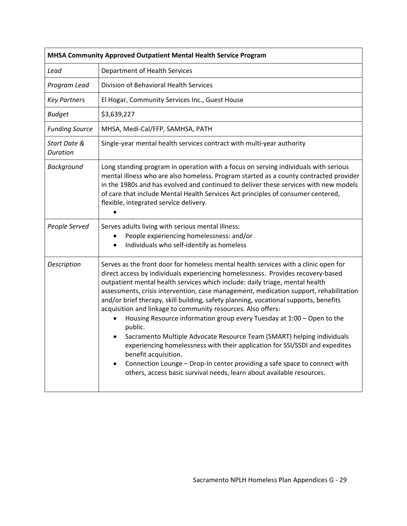| MHSA Community Approved Outpatient Mental Health Service Program |                                                                                                                                                                                                                                                                                                                                                                                                                                                                                                                                                                                                                                                                                                                                                                                                                                                                                                                                                               |  |
|------------------------------------------------------------------|---------------------------------------------------------------------------------------------------------------------------------------------------------------------------------------------------------------------------------------------------------------------------------------------------------------------------------------------------------------------------------------------------------------------------------------------------------------------------------------------------------------------------------------------------------------------------------------------------------------------------------------------------------------------------------------------------------------------------------------------------------------------------------------------------------------------------------------------------------------------------------------------------------------------------------------------------------------|--|
| Lead                                                             | Department of Health Services                                                                                                                                                                                                                                                                                                                                                                                                                                                                                                                                                                                                                                                                                                                                                                                                                                                                                                                                 |  |
| Program Lead                                                     | Division of Behavioral Health Services                                                                                                                                                                                                                                                                                                                                                                                                                                                                                                                                                                                                                                                                                                                                                                                                                                                                                                                        |  |
| <b>Key Partners</b>                                              | El Hogar, Community Services Inc., Guest House                                                                                                                                                                                                                                                                                                                                                                                                                                                                                                                                                                                                                                                                                                                                                                                                                                                                                                                |  |
| <b>Budget</b>                                                    | \$3,639,227                                                                                                                                                                                                                                                                                                                                                                                                                                                                                                                                                                                                                                                                                                                                                                                                                                                                                                                                                   |  |
| <b>Funding Source</b>                                            | MHSA, Medi-Cal/FFP, SAMHSA, PATH                                                                                                                                                                                                                                                                                                                                                                                                                                                                                                                                                                                                                                                                                                                                                                                                                                                                                                                              |  |
| Start Date &<br>Duration                                         | Single-year mental health services contract with multi-year authority                                                                                                                                                                                                                                                                                                                                                                                                                                                                                                                                                                                                                                                                                                                                                                                                                                                                                         |  |
| Background                                                       | Long standing program in operation with a focus on serving individuals with serious<br>mental illness who are also homeless. Program started as a county contracted provider<br>in the 1980s and has evolved and continued to deliver these services with new models<br>of care that include Mental Health Services Act principles of consumer centered,<br>flexible, integrated service delivery.                                                                                                                                                                                                                                                                                                                                                                                                                                                                                                                                                            |  |
| People Served                                                    | Serves adults living with serious mental illness:<br>People experiencing homelessness: and/or<br>$\bullet$<br>Individuals who self-identify as homeless<br>$\bullet$                                                                                                                                                                                                                                                                                                                                                                                                                                                                                                                                                                                                                                                                                                                                                                                          |  |
| Description                                                      | Serves as the front door for homeless mental health services with a clinic open for<br>direct access by individuals experiencing homelessness. Provides recovery-based<br>outpatient mental health services which include: daily triage, mental health<br>assessments, crisis intervention, case management, medication support, rehabilitation<br>and/or brief therapy, skill building, safety planning, vocational supports, benefits<br>acquisition and linkage to community resources. Also offers:<br>Housing Resource information group every Tuesday at 1:00 - Open to the<br>public.<br>Sacramento Multiple Advocate Resource Team (SMART) helping individuals<br>$\bullet$<br>experiencing homelessness with their application for SSI/SSDI and expedites<br>benefit acquisition.<br>Connection Lounge - Drop-In center providing a safe space to connect with<br>$\bullet$<br>others, access basic survival needs, learn about available resources. |  |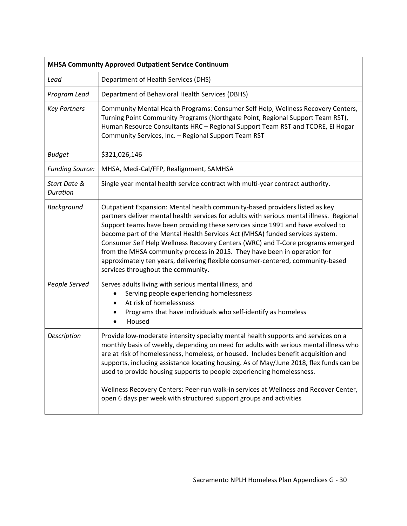| <b>MHSA Community Approved Outpatient Service Continuum</b> |                                                                                                                                                                                                                                                                                                                                                                                                                                                                                                                                                                                                                                   |
|-------------------------------------------------------------|-----------------------------------------------------------------------------------------------------------------------------------------------------------------------------------------------------------------------------------------------------------------------------------------------------------------------------------------------------------------------------------------------------------------------------------------------------------------------------------------------------------------------------------------------------------------------------------------------------------------------------------|
| Lead                                                        | Department of Health Services (DHS)                                                                                                                                                                                                                                                                                                                                                                                                                                                                                                                                                                                               |
| Program Lead                                                | Department of Behavioral Health Services (DBHS)                                                                                                                                                                                                                                                                                                                                                                                                                                                                                                                                                                                   |
| <b>Key Partners</b>                                         | Community Mental Health Programs: Consumer Self Help, Wellness Recovery Centers,<br>Turning Point Community Programs (Northgate Point, Regional Support Team RST),<br>Human Resource Consultants HRC - Regional Support Team RST and TCORE, El Hogar<br>Community Services, Inc. - Regional Support Team RST                                                                                                                                                                                                                                                                                                                      |
| <b>Budget</b>                                               | \$321,026,146                                                                                                                                                                                                                                                                                                                                                                                                                                                                                                                                                                                                                     |
| <b>Funding Source:</b>                                      | MHSA, Medi-Cal/FFP, Realignment, SAMHSA                                                                                                                                                                                                                                                                                                                                                                                                                                                                                                                                                                                           |
| Start Date &<br><b>Duration</b>                             | Single year mental health service contract with multi-year contract authority.                                                                                                                                                                                                                                                                                                                                                                                                                                                                                                                                                    |
| Background                                                  | Outpatient Expansion: Mental health community-based providers listed as key<br>partners deliver mental health services for adults with serious mental illness. Regional<br>Support teams have been providing these services since 1991 and have evolved to<br>become part of the Mental Health Services Act (MHSA) funded services system.<br>Consumer Self Help Wellness Recovery Centers (WRC) and T-Core programs emerged<br>from the MHSA community process in 2015. They have been in operation for<br>approximately ten years, delivering flexible consumer-centered, community-based<br>services throughout the community. |
| People Served                                               | Serves adults living with serious mental illness, and<br>Serving people experiencing homelessness<br>At risk of homelessness<br>$\bullet$<br>Programs that have individuals who self-identify as homeless<br>Housed                                                                                                                                                                                                                                                                                                                                                                                                               |
| Description                                                 | Provide low-moderate intensity specialty mental health supports and services on a<br>monthly basis of weekly, depending on need for adults with serious mental illness who<br>are at risk of homelessness, homeless, or housed. Includes benefit acquisition and<br>supports, including assistance locating housing. As of May/June 2018, flex funds can be<br>used to provide housing supports to people experiencing homelessness.<br>Wellness Recovery Centers: Peer-run walk-in services at Wellness and Recover Center,<br>open 6 days per week with structured support groups and activities                                |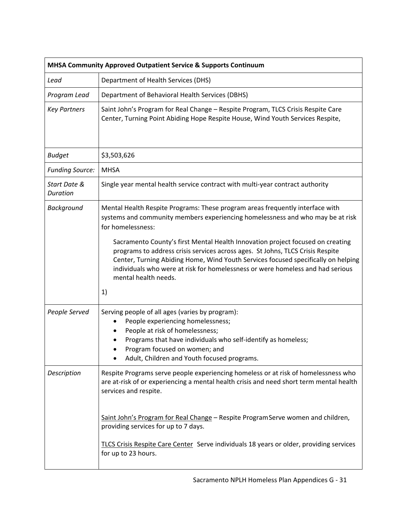| MHSA Community Approved Outpatient Service & Supports Continuum |                                                                                                                                                                                                                                                                                                                                                                                                                                                                                                                                                               |  |
|-----------------------------------------------------------------|---------------------------------------------------------------------------------------------------------------------------------------------------------------------------------------------------------------------------------------------------------------------------------------------------------------------------------------------------------------------------------------------------------------------------------------------------------------------------------------------------------------------------------------------------------------|--|
| Lead                                                            | Department of Health Services (DHS)                                                                                                                                                                                                                                                                                                                                                                                                                                                                                                                           |  |
| Program Lead                                                    | Department of Behavioral Health Services (DBHS)                                                                                                                                                                                                                                                                                                                                                                                                                                                                                                               |  |
| <b>Key Partners</b>                                             | Saint John's Program for Real Change - Respite Program, TLCS Crisis Respite Care<br>Center, Turning Point Abiding Hope Respite House, Wind Youth Services Respite,                                                                                                                                                                                                                                                                                                                                                                                            |  |
| <b>Budget</b>                                                   | \$3,503,626                                                                                                                                                                                                                                                                                                                                                                                                                                                                                                                                                   |  |
| <b>Funding Source:</b>                                          | <b>MHSA</b>                                                                                                                                                                                                                                                                                                                                                                                                                                                                                                                                                   |  |
| Start Date &<br>Duration                                        | Single year mental health service contract with multi-year contract authority                                                                                                                                                                                                                                                                                                                                                                                                                                                                                 |  |
| Background                                                      | Mental Health Respite Programs: These program areas frequently interface with<br>systems and community members experiencing homelessness and who may be at risk<br>for homelessness:<br>Sacramento County's first Mental Health Innovation project focused on creating<br>programs to address crisis services across ages. St Johns, TLCS Crisis Respite<br>Center, Turning Abiding Home, Wind Youth Services focused specifically on helping<br>individuals who were at risk for homelessness or were homeless and had serious<br>mental health needs.<br>1) |  |
| People Served                                                   | Serving people of all ages (varies by program):<br>People experiencing homelessness;<br>$\bullet$<br>People at risk of homelessness;<br>Programs that have individuals who self-identify as homeless;<br>Program focused on women; and<br>Adult, Children and Youth focused programs.                                                                                                                                                                                                                                                                         |  |
| Description                                                     | Respite Programs serve people experiencing homeless or at risk of homelessness who<br>are at-risk of or experiencing a mental health crisis and need short term mental health<br>services and respite.<br>Saint John's Program for Real Change - Respite Program Serve women and children,<br>providing services for up to 7 days.<br>TLCS Crisis Respite Care Center Serve individuals 18 years or older, providing services<br>for up to 23 hours.                                                                                                          |  |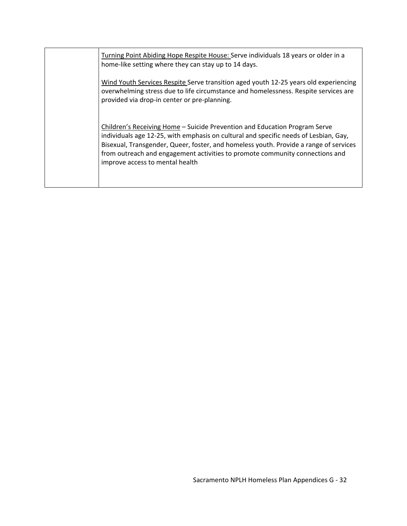Turning Point Abiding Hope Respite House: Serve individuals 18 years or older in a home-like setting where they can stay up to 14 days.

Wind Youth Services Respite Serve transition aged youth 12‐25 years old experiencing overwhelming stress due to life circumstance and homelessness. Respite services are provided via drop‐in center or pre‐planning.

Children's Receiving Home – Suicide Prevention and Education Program Serve individuals age 12‐25, with emphasis on cultural and specific needs of Lesbian, Gay, Bisexual, Transgender, Queer, foster, and homeless youth. Provide a range of services from outreach and engagement activities to promote community connections and improve access to mental health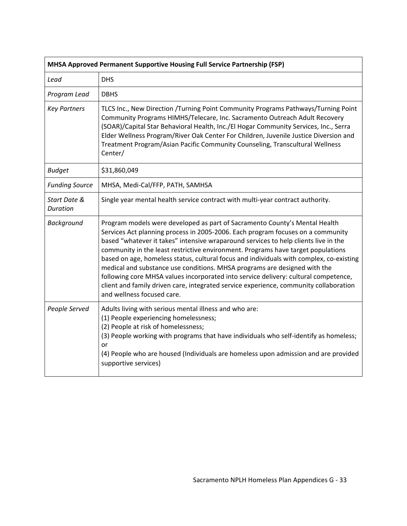| MHSA Approved Permanent Supportive Housing Full Service Partnership (FSP) |                                                                                                                                                                                                                                                                                                                                                                                                                                                                                                                                                                                                                                                                                                                                |  |
|---------------------------------------------------------------------------|--------------------------------------------------------------------------------------------------------------------------------------------------------------------------------------------------------------------------------------------------------------------------------------------------------------------------------------------------------------------------------------------------------------------------------------------------------------------------------------------------------------------------------------------------------------------------------------------------------------------------------------------------------------------------------------------------------------------------------|--|
| Lead                                                                      | <b>DHS</b>                                                                                                                                                                                                                                                                                                                                                                                                                                                                                                                                                                                                                                                                                                                     |  |
| Program Lead                                                              | <b>DBHS</b>                                                                                                                                                                                                                                                                                                                                                                                                                                                                                                                                                                                                                                                                                                                    |  |
| <b>Key Partners</b>                                                       | TLCS Inc., New Direction /Turning Point Community Programs Pathways/Turning Point<br>Community Programs HIMHS/Telecare, Inc. Sacramento Outreach Adult Recovery<br>(SOAR)/Capital Star Behavioral Health, Inc./El Hogar Community Services, Inc., Serra<br>Elder Wellness Program/River Oak Center For Children, Juvenile Justice Diversion and<br>Treatment Program/Asian Pacific Community Counseling, Transcultural Wellness<br>Center/                                                                                                                                                                                                                                                                                     |  |
| <b>Budget</b>                                                             | \$31,860,049                                                                                                                                                                                                                                                                                                                                                                                                                                                                                                                                                                                                                                                                                                                   |  |
| <b>Funding Source</b>                                                     | MHSA, Medi-Cal/FFP, PATH, SAMHSA                                                                                                                                                                                                                                                                                                                                                                                                                                                                                                                                                                                                                                                                                               |  |
| Start Date &<br>Duration                                                  | Single year mental health service contract with multi-year contract authority.                                                                                                                                                                                                                                                                                                                                                                                                                                                                                                                                                                                                                                                 |  |
| <b>Background</b>                                                         | Program models were developed as part of Sacramento County's Mental Health<br>Services Act planning process in 2005-2006. Each program focuses on a community<br>based "whatever it takes" intensive wraparound services to help clients live in the<br>community in the least restrictive environment. Programs have target populations<br>based on age, homeless status, cultural focus and individuals with complex, co-existing<br>medical and substance use conditions. MHSA programs are designed with the<br>following core MHSA values incorporated into service delivery: cultural competence,<br>client and family driven care, integrated service experience, community collaboration<br>and wellness focused care. |  |
| People Served                                                             | Adults living with serious mental illness and who are:<br>(1) People experiencing homelessness;<br>(2) People at risk of homelessness;<br>(3) People working with programs that have individuals who self-identify as homeless;<br>or<br>(4) People who are housed (Individuals are homeless upon admission and are provided<br>supportive services)                                                                                                                                                                                                                                                                                                                                                                           |  |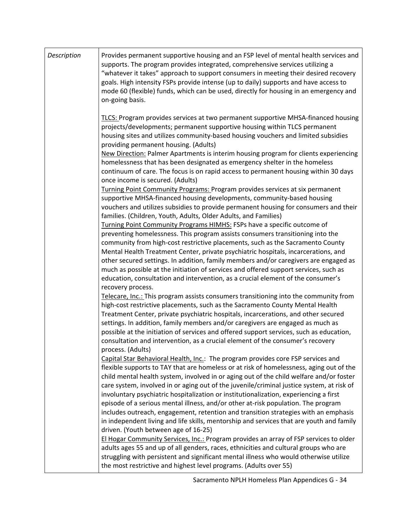| Description | Provides permanent supportive housing and an FSP level of mental health services and<br>supports. The program provides integrated, comprehensive services utilizing a<br>"whatever it takes" approach to support consumers in meeting their desired recovery<br>goals. High intensity FSPs provide intense (up to daily) supports and have access to<br>mode 60 (flexible) funds, which can be used, directly for housing in an emergency and<br>on-going basis.                                                                                                                                                                                                                                                                                                             |
|-------------|------------------------------------------------------------------------------------------------------------------------------------------------------------------------------------------------------------------------------------------------------------------------------------------------------------------------------------------------------------------------------------------------------------------------------------------------------------------------------------------------------------------------------------------------------------------------------------------------------------------------------------------------------------------------------------------------------------------------------------------------------------------------------|
|             | TLCS: Program provides services at two permanent supportive MHSA-financed housing<br>projects/developments; permanent supportive housing within TLCS permanent<br>housing sites and utilizes community-based housing vouchers and limited subsidies<br>providing permanent housing. (Adults)<br>New Direction: Palmer Apartments is interim housing program for clients experiencing<br>homelessness that has been designated as emergency shelter in the homeless<br>continuum of care. The focus is on rapid access to permanent housing within 30 days<br>once income is secured. (Adults)                                                                                                                                                                                |
|             | Turning Point Community Programs: Program provides services at six permanent<br>supportive MHSA-financed housing developments, community-based housing<br>vouchers and utilizes subsidies to provide permanent housing for consumers and their<br>families. (Children, Youth, Adults, Older Adults, and Families)                                                                                                                                                                                                                                                                                                                                                                                                                                                            |
|             | Turning Point Community Programs HIMHS: FSPs have a specific outcome of<br>preventing homelessness. This program assists consumers transitioning into the<br>community from high-cost restrictive placements, such as the Sacramento County<br>Mental Health Treatment Center, private psychiatric hospitals, incarcerations, and<br>other secured settings. In addition, family members and/or caregivers are engaged as<br>much as possible at the initiation of services and offered support services, such as<br>education, consultation and intervention, as a crucial element of the consumer's<br>recovery process.                                                                                                                                                   |
|             | Telecare, Inc.: This program assists consumers transitioning into the community from<br>high-cost restrictive placements, such as the Sacramento County Mental Health<br>Treatment Center, private psychiatric hospitals, incarcerations, and other secured<br>settings. In addition, family members and/or caregivers are engaged as much as<br>possible at the initiation of services and offered support services, such as education,<br>consultation and intervention, as a crucial element of the consumer's recovery<br>process. (Adults)                                                                                                                                                                                                                              |
|             | Capital Star Behavioral Health, Inc.: The program provides core FSP services and<br>flexible supports to TAY that are homeless or at risk of homelessness, aging out of the<br>child mental health system, involved in or aging out of the child welfare and/or foster<br>care system, involved in or aging out of the juvenile/criminal justice system, at risk of<br>involuntary psychiatric hospitalization or institutionalization, experiencing a first<br>episode of a serious mental illness, and/or other at-risk population. The program<br>includes outreach, engagement, retention and transition strategies with an emphasis<br>in independent living and life skills, mentorship and services that are youth and family<br>driven. (Youth between age of 16-25) |
|             | El Hogar Community Services, Inc.: Program provides an array of FSP services to older<br>adults ages 55 and up of all genders, races, ethnicities and cultural groups who are<br>struggling with persistent and significant mental illness who would otherwise utilize<br>the most restrictive and highest level programs. (Adults over 55)                                                                                                                                                                                                                                                                                                                                                                                                                                  |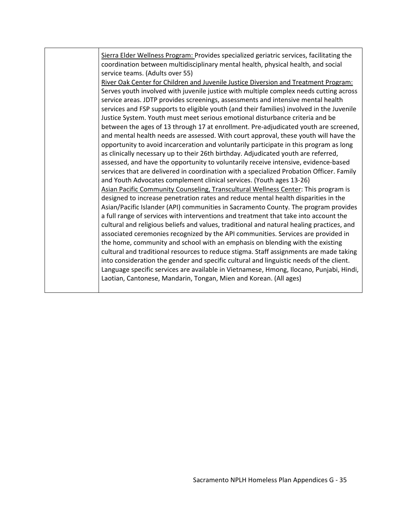Sierra Elder Wellness Program: Provides specialized geriatric services, facilitating the coordination between multidisciplinary mental health, physical health, and social service teams. (Adults over 55) River Oak Center for Children and Juvenile Justice Diversion and Treatment Program: Serves youth involved with juvenile justice with multiple complex needs cutting across service areas. JDTP provides screenings, assessments and intensive mental health services and FSP supports to eligible youth (and their families) involved in the Juvenile Justice System. Youth must meet serious emotional disturbance criteria and be between the ages of 13 through 17 at enrollment. Pre-adjudicated youth are screened, and mental health needs are assessed. With court approval, these youth will have the opportunity to avoid incarceration and voluntarily participate in this program as long as clinically necessary up to their 26th birthday. Adjudicated youth are referred, assessed, and have the opportunity to voluntarily receive intensive, evidence‐based services that are delivered in coordination with a specialized Probation Officer. Family and Youth Advocates complement clinical services. (Youth ages 13‐26) Asian Pacific Community Counseling, Transcultural Wellness Center: This program is designed to increase penetration rates and reduce mental health disparities in the Asian/Pacific Islander (API) communities in Sacramento County. The program provides a full range of services with interventions and treatment that take into account the cultural and religious beliefs and values, traditional and natural healing practices, and associated ceremonies recognized by the API communities. Services are provided in the home, community and school with an emphasis on blending with the existing cultural and traditional resources to reduce stigma. Staff assignments are made taking into consideration the gender and specific cultural and linguistic needs of the client. Language specific services are available in Vietnamese, Hmong, Ilocano, Punjabi, Hindi, Laotian, Cantonese, Mandarin, Tongan, Mien and Korean. (All ages)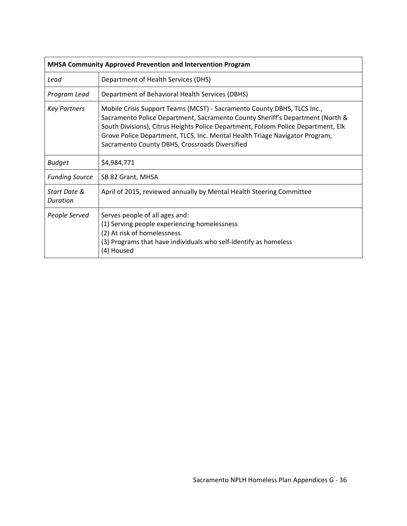| MHSA Community Approved Prevention and Intervention Program |                                                                                                                                                                                                                                                                                                                                                                                |  |
|-------------------------------------------------------------|--------------------------------------------------------------------------------------------------------------------------------------------------------------------------------------------------------------------------------------------------------------------------------------------------------------------------------------------------------------------------------|--|
| Lead                                                        | Department of Health Services (DHS)                                                                                                                                                                                                                                                                                                                                            |  |
| Program Lead                                                | Department of Behavioral Health Services (DBHS)                                                                                                                                                                                                                                                                                                                                |  |
| <b>Key Partners</b>                                         | Mobile Crisis Support Teams (MCST) - Sacramento County DBHS, TLCS Inc.,<br>Sacramento Police Department, Sacramento County Sheriff's Department (North &<br>South Divisions), Citrus Heights Police Department, Folsom Police Department, Elk<br>Grove Police Department, TLCS, Inc. Mental Health Triage Navigator Program,<br>Sacramento County DBHS, Crossroads Diversified |  |
| <b>Budget</b>                                               | \$4,984,771                                                                                                                                                                                                                                                                                                                                                                    |  |
| <b>Funding Source</b>                                       | SB 82 Grant, MHSA                                                                                                                                                                                                                                                                                                                                                              |  |
| Start Date &<br>Duration                                    | April of 2015, reviewed annually by Mental Health Steering Committee                                                                                                                                                                                                                                                                                                           |  |
| People Served                                               | Serves people of all ages and:<br>(1) Serving people experiencing homelessness<br>(2) At risk of homelessness<br>(3) Programs that have individuals who self-identify as homeless<br>(4) Housed                                                                                                                                                                                |  |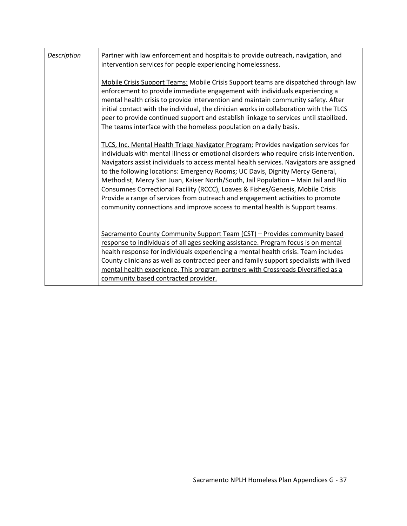| Description | Partner with law enforcement and hospitals to provide outreach, navigation, and<br>intervention services for people experiencing homelessness.                                                                                                                                                                                                                                                                                                                                                                                                                                                                                                                                                      |
|-------------|-----------------------------------------------------------------------------------------------------------------------------------------------------------------------------------------------------------------------------------------------------------------------------------------------------------------------------------------------------------------------------------------------------------------------------------------------------------------------------------------------------------------------------------------------------------------------------------------------------------------------------------------------------------------------------------------------------|
|             | Mobile Crisis Support Teams: Mobile Crisis Support teams are dispatched through law<br>enforcement to provide immediate engagement with individuals experiencing a<br>mental health crisis to provide intervention and maintain community safety. After<br>initial contact with the individual, the clinician works in collaboration with the TLCS<br>peer to provide continued support and establish linkage to services until stabilized.<br>The teams interface with the homeless population on a daily basis.                                                                                                                                                                                   |
|             | TLCS, Inc. Mental Health Triage Navigator Program: Provides navigation services for<br>individuals with mental illness or emotional disorders who require crisis intervention.<br>Navigators assist individuals to access mental health services. Navigators are assigned<br>to the following locations: Emergency Rooms; UC Davis, Dignity Mercy General,<br>Methodist, Mercy San Juan, Kaiser North/South, Jail Population - Main Jail and Rio<br>Consumnes Correctional Facility (RCCC), Loaves & Fishes/Genesis, Mobile Crisis<br>Provide a range of services from outreach and engagement activities to promote<br>community connections and improve access to mental health is Support teams. |
|             | Sacramento County Community Support Team (CST) - Provides community based<br>response to individuals of all ages seeking assistance. Program focus is on mental<br>health response for individuals experiencing a mental health crisis. Team includes<br>County clinicians as well as contracted peer and family support specialists with lived<br>mental health experience. This program partners with Crossroads Diversified as a<br>community based contracted provider.                                                                                                                                                                                                                         |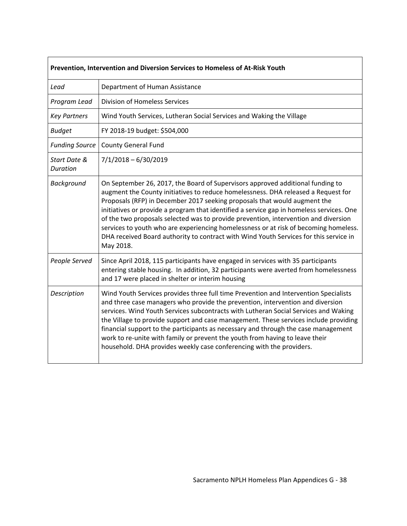| Prevention, Intervention and Diversion Services to Homeless of At-Risk Youth |                                                                                                                                                                                                                                                                                                                                                                                                                                                                                                                                                                                                                                   |  |
|------------------------------------------------------------------------------|-----------------------------------------------------------------------------------------------------------------------------------------------------------------------------------------------------------------------------------------------------------------------------------------------------------------------------------------------------------------------------------------------------------------------------------------------------------------------------------------------------------------------------------------------------------------------------------------------------------------------------------|--|
| Lead                                                                         | Department of Human Assistance                                                                                                                                                                                                                                                                                                                                                                                                                                                                                                                                                                                                    |  |
| Program Lead                                                                 | <b>Division of Homeless Services</b>                                                                                                                                                                                                                                                                                                                                                                                                                                                                                                                                                                                              |  |
| <b>Key Partners</b>                                                          | Wind Youth Services, Lutheran Social Services and Waking the Village                                                                                                                                                                                                                                                                                                                                                                                                                                                                                                                                                              |  |
| <b>Budget</b>                                                                | FY 2018-19 budget: \$504,000                                                                                                                                                                                                                                                                                                                                                                                                                                                                                                                                                                                                      |  |
| <b>Funding Source</b>                                                        | <b>County General Fund</b>                                                                                                                                                                                                                                                                                                                                                                                                                                                                                                                                                                                                        |  |
| Start Date &<br><b>Duration</b>                                              | $7/1/2018 - 6/30/2019$                                                                                                                                                                                                                                                                                                                                                                                                                                                                                                                                                                                                            |  |
| Background                                                                   | On September 26, 2017, the Board of Supervisors approved additional funding to<br>augment the County initiatives to reduce homelessness. DHA released a Request for<br>Proposals (RFP) in December 2017 seeking proposals that would augment the<br>initiatives or provide a program that identified a service gap in homeless services. One<br>of the two proposals selected was to provide prevention, intervention and diversion<br>services to youth who are experiencing homelessness or at risk of becoming homeless.<br>DHA received Board authority to contract with Wind Youth Services for this service in<br>May 2018. |  |
| People Served                                                                | Since April 2018, 115 participants have engaged in services with 35 participants<br>entering stable housing. In addition, 32 participants were averted from homelessness<br>and 17 were placed in shelter or interim housing                                                                                                                                                                                                                                                                                                                                                                                                      |  |
| Description                                                                  | Wind Youth Services provides three full time Prevention and Intervention Specialists<br>and three case managers who provide the prevention, intervention and diversion<br>services. Wind Youth Services subcontracts with Lutheran Social Services and Waking<br>the Village to provide support and case management. These services include providing<br>financial support to the participants as necessary and through the case management<br>work to re-unite with family or prevent the youth from having to leave their<br>household. DHA provides weekly case conferencing with the providers.                               |  |

 $\Gamma$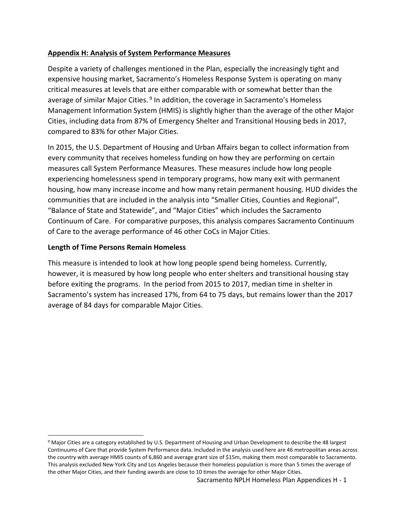## **Appendix H: Analysis of System Performance Measures**

Despite a variety of challenges mentioned in the Plan, especially the increasingly tight and expensive housing market, Sacramento's Homeless Response System is operating on many critical measures at levels that are either comparable with or somewhat better than the average of similar Major Cities. 9 In addition, the coverage in Sacramento's Homeless Management Information System (HMIS) is slightly higher than the average of the other Major Cities, including data from 87% of Emergency Shelter and Transitional Housing beds in 2017, compared to 83% for other Major Cities.

In 2015, the U.S. Department of Housing and Urban Affairs began to collect information from every community that receives homeless funding on how they are performing on certain measures call System Performance Measures. These measures include how long people experiencing homelessness spend in temporary programs, how many exit with permanent housing, how many increase income and how many retain permanent housing. HUD divides the communities that are included in the analysis into "Smaller Cities, Counties and Regional", "Balance of State and Statewide", and "Major Cities" which includes the Sacramento Continuum of Care. For comparative purposes, this analysis compares Sacramento Continuum of Care to the average performance of 46 other CoCs in Major Cities.

#### **Length of Time Persons Remain Homeless**

This measure is intended to look at how long people spend being homeless. Currently, however, it is measured by how long people who enter shelters and transitional housing stay before exiting the programs. In the period from 2015 to 2017, median time in shelter in Sacramento's system has increased 17%, from 64 to 75 days, but remains lower than the 2017 average of 84 days for comparable Major Cities.

<sup>&</sup>lt;sup>9</sup> Major Cities are a category established by U.S. Department of Housing and Urban Development to describe the 48 largest Continuums of Care that provide System Performance data. Included in the analysis used here are 46 metropolitan areas across the country with average HMIS counts of 6,860 and average grant size of \$15m, making them most comparable to Sacramento. This analysis excluded New York City and Los Angeles because their homeless population is more than 5 times the average of the other Major Cities, and their funding awards are close to 10 times the average for other Major Cities.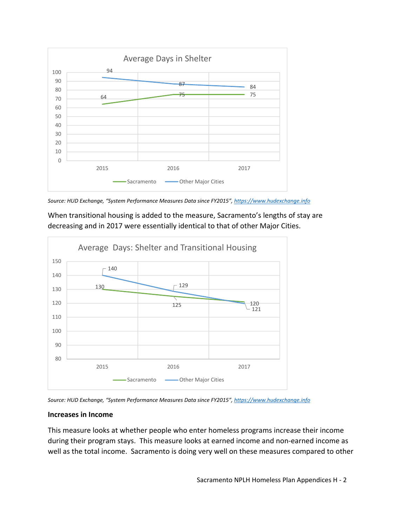

*Source: HUD Exchange, "System Performance Measures Data since FY2015", https://www.hudexchange.info*

When transitional housing is added to the measure, Sacramento's lengths of stay are decreasing and in 2017 were essentially identical to that of other Major Cities.



*Source: HUD Exchange, "System Performance Measures Data since FY2015", https://www.hudexchange.info*

## **Increases in Income**

This measure looks at whether people who enter homeless programs increase their income during their program stays. This measure looks at earned income and non‐earned income as well as the total income. Sacramento is doing very well on these measures compared to other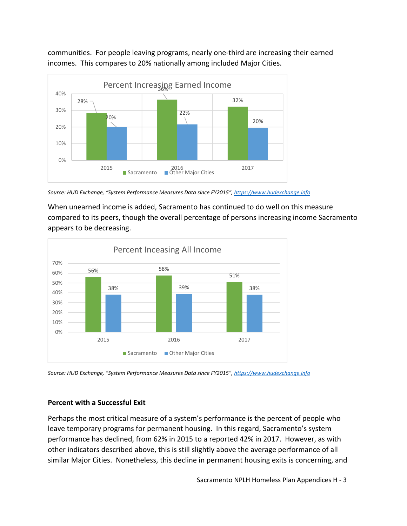communities. For people leaving programs, nearly one‐third are increasing their earned incomes. This compares to 20% nationally among included Major Cities.



*Source: HUD Exchange, "System Performance Measures Data since FY2015", https://www.hudexchange.info*

When unearned income is added, Sacramento has continued to do well on this measure compared to its peers, though the overall percentage of persons increasing income Sacramento appears to be decreasing.



*Source: HUD Exchange, "System Performance Measures Data since FY2015", https://www.hudexchange.info*

# **Percent with a Successful Exit**

Perhaps the most critical measure of a system's performance is the percent of people who leave temporary programs for permanent housing. In this regard, Sacramento's system performance has declined, from 62% in 2015 to a reported 42% in 2017. However, as with other indicators described above, this is still slightly above the average performance of all similar Major Cities. Nonetheless, this decline in permanent housing exits is concerning, and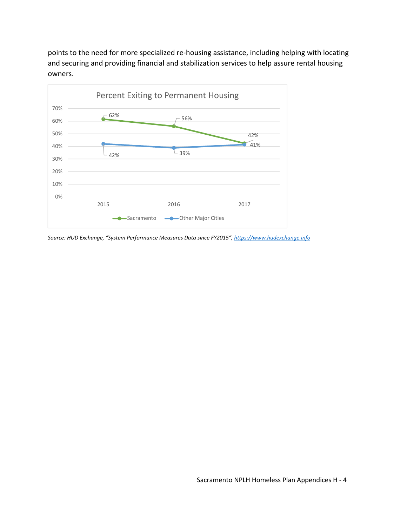points to the need for more specialized re‐housing assistance, including helping with locating and securing and providing financial and stabilization services to help assure rental housing owners.



*Source: HUD Exchange, "System Performance Measures Data since FY2015", https://www.hudexchange.info*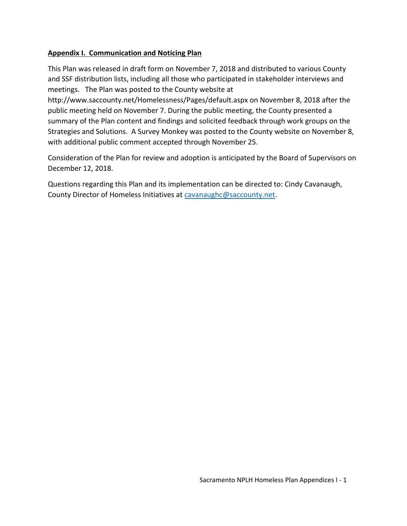#### **Appendix I. Communication and Noticing Plan**

This Plan was released in draft form on November 7, 2018 and distributed to various County and SSF distribution lists, including all those who participated in stakeholder interviews and meetings. The Plan was posted to the County website at

http://www.saccounty.net/Homelessness/Pages/default.aspx on November 8, 2018 after the public meeting held on November 7. During the public meeting, the County presented a summary of the Plan content and findings and solicited feedback through work groups on the Strategies and Solutions. A Survey Monkey was posted to the County website on November 8, with additional public comment accepted through November 25.

Consideration of the Plan for review and adoption is anticipated by the Board of Supervisors on December 12, 2018.

Questions regarding this Plan and its implementation can be directed to: Cindy Cavanaugh, County Director of Homeless Initiatives at cavanaughc@saccounty.net.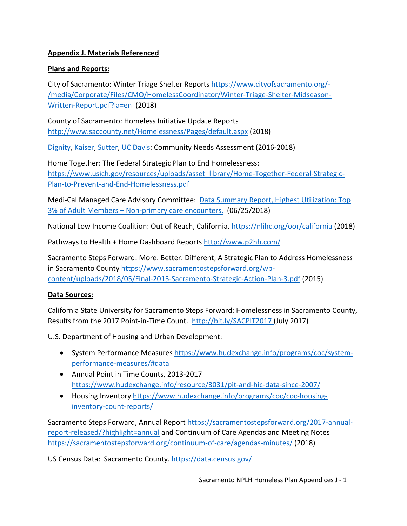## **Appendix J. Materials Referenced**

## **Plans and Reports:**

City of Sacramento: Winter Triage Shelter Reports https://www.cityofsacramento.org/‐ /media/Corporate/Files/CMO/HomelessCoordinator/Winter‐Triage‐Shelter‐Midseason‐ Written‐Report.pdf?la=en (2018)

County of Sacramento: Homeless Initiative Update Reports http://www.saccounty.net/Homelessness/Pages/default.aspx (2018)

Dignity, Kaiser, Sutter, UC Davis: Community Needs Assessment (2016‐2018)

Home Together: The Federal Strategic Plan to End Homelessness: https://www.usich.gov/resources/uploads/asset\_library/Home-Together-Federal-Strategic-Plan‐to‐Prevent‐and‐End‐Homelessness.pdf

Medi-Cal Managed Care Advisory Committee: Data Summary Report, Highest Utilization: Top 3% of Adult Members – Non‐primary care encounters. (06/25/2018)

National Low Income Coalition: Out of Reach, California. https://nlihc.org/oor/california (2018)

Pathways to Health + Home Dashboard Reports http://www.p2hh.com/

Sacramento Steps Forward: More. Better. Different, A Strategic Plan to Address Homelessness in Sacramento County https://www.sacramentostepsforward.org/wpcontent/uploads/2018/05/Final‐2015‐Sacramento‐Strategic‐Action‐Plan‐3.pdf (2015)

## **Data Sources:**

California State University for Sacramento Steps Forward: Homelessness in Sacramento County, Results from the 2017 Point‐in‐Time Count. http://bit.ly/SACPIT2017 (July 2017)

U.S. Department of Housing and Urban Development:

- System Performance Measures https://www.hudexchange.info/programs/coc/systemperformance‐measures/#data
- Annual Point in Time Counts, 2013-2017 https://www.hudexchange.info/resource/3031/pit‐and‐hic‐data‐since‐2007/
- Housing Inventory https://www.hudexchange.info/programs/coc/coc-housinginventory‐count‐reports/

Sacramento Steps Forward, Annual Report https://sacramentostepsforward.org/2017‐annual‐ report-released/?highlight=annual and Continuum of Care Agendas and Meeting Notes https://sacramentostepsforward.org/continuum‐of‐care/agendas‐minutes/ (2018)

US Census Data: Sacramento County. https://data.census.gov/

Sacramento NPLH Homeless Plan Appendices J ‐ 1